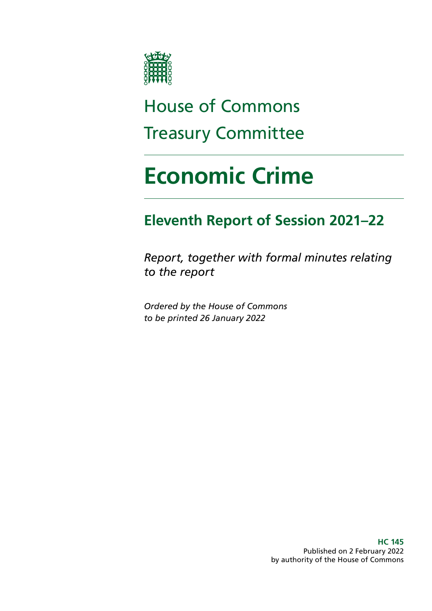

## House of Commons Treasury Committee

# **Economic Crime**

## **Eleventh Report of Session 2021–22**

*Report, together with formal minutes relating to the report*

*Ordered by the House of Commons to be printed 26 January 2022*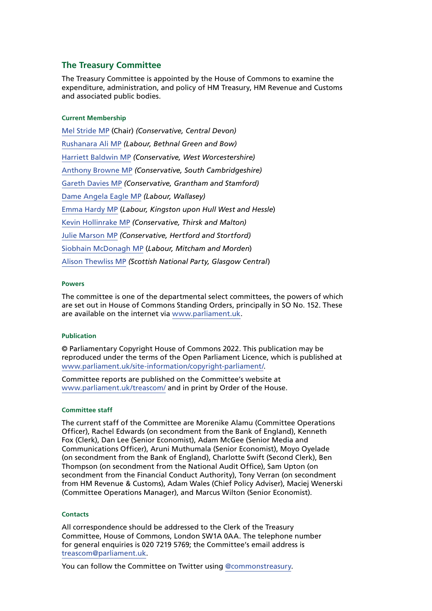#### **The Treasury Committee**

The Treasury Committee is appointed by the House of Commons to examine the expenditure, administration, and policy of HM Treasury, HM Revenue and Customs and associated public bodies.

#### **Current Membership**

[Mel Stride MP](https://members.parliament.uk/member/3935/contact) (Chair) *(Conservative, Central Devon)* [Rushanara Ali MP](https://members.parliament.uk/member/4138/contact) *(Labour, Bethnal Green and Bow)* [Harriett Baldwin MP](https://members.parliament.uk/member/4107/contact) *(Conservative, West Worcestershire)* [Anthony Browne MP](https://members.parliament.uk/member/4801/contact) *(Conservative, South Cambridgeshire)* [Gareth Davies MP](https://members.parliament.uk/member/4850/contact) *(Conservative, Grantham and Stamford)* [Dame Angela Eagle MP](https://members.parliament.uk/member/491/contact) *(Labour, Wallasey)* [Emma Hardy MP](https://members.parliament.uk/member/4645/contact) (*Labour, Kingston upon Hull West and Hessle*) [Kevin Hollinrake MP](https://members.parliament.uk/member/4474/contact) *(Conservative, Thirsk and Malton)* [Julie Marson MP](https://members.parliament.uk/member/4768/contact) *(Conservative, Hertford and Stortford)* [Siobhain McDonagh MP](https://members.parliament.uk/member/193/contact) (*Labour, Mitcham and Morden*) [Alison Thewliss MP](https://www.parliament.uk/biographies/commons/alison-thewliss/4430) *(Scottish National Party, Glasgow Central*)

#### **Powers**

The committee is one of the departmental select committees, the powers of which are set out in House of Commons Standing Orders, principally in SO No. 152. These are available on the internet via [www.parliament.uk.](http://www.parliament.uk)

#### **Publication**

© Parliamentary Copyright House of Commons 2022. This publication may be reproduced under the terms of the Open Parliament Licence, which is published at [www.parliament.uk/site-information/copyright-parliament/](http://www.parliament.uk/site-information/copyright-parliament/).

Committee reports are published on the Committee's website at [www.parliament.uk/treascom/](https://committees.parliament.uk/committee/158/treasury-committee/) and in print by Order of the House.

#### **Committee staff**

The current staff of the Committee are Morenike Alamu (Committee Operations Officer), Rachel Edwards (on secondment from the Bank of England), Kenneth Fox (Clerk), Dan Lee (Senior Economist), Adam McGee (Senior Media and Communications Officer), Aruni Muthumala (Senior Economist), Moyo Oyelade (on secondment from the Bank of England), Charlotte Swift (Second Clerk), Ben Thompson (on secondment from the National Audit Office), Sam Upton (on secondment from the Financial Conduct Authority), Tony Verran (on secondment from HM Revenue & Customs), Adam Wales (Chief Policy Adviser), Maciej Wenerski (Committee Operations Manager), and Marcus Wilton (Senior Economist).

#### **Contacts**

All correspondence should be addressed to the Clerk of the Treasury Committee, House of Commons, London SW1A 0AA. The telephone number for general enquiries is 020 7219 5769; the Committee's email address is [treascom@parliament.uk](mailto:treascom%40parliament.uk?subject=).

You can follow the Committee on Twitter using [@commonstreasury](https://twitter.com/CommonsTreasury).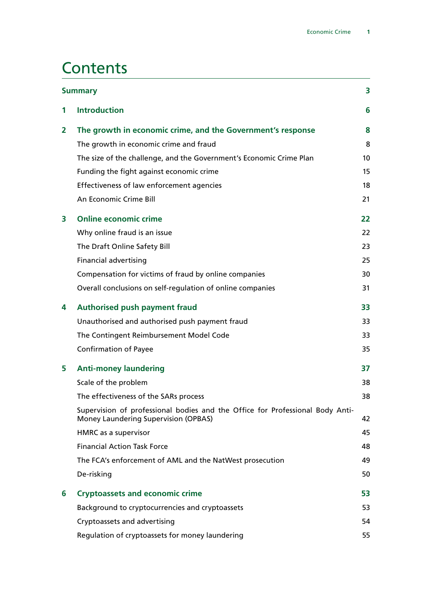## **Contents**

|              | <b>Summary</b>                                                                                                        | 3  |
|--------------|-----------------------------------------------------------------------------------------------------------------------|----|
| 1            | <b>Introduction</b>                                                                                                   | 6  |
| $\mathbf{2}$ | The growth in economic crime, and the Government's response                                                           | 8  |
|              | The growth in economic crime and fraud                                                                                | 8  |
|              | The size of the challenge, and the Government's Economic Crime Plan                                                   | 10 |
|              | Funding the fight against economic crime                                                                              | 15 |
|              | Effectiveness of law enforcement agencies                                                                             | 18 |
|              | An Economic Crime Bill                                                                                                | 21 |
| 3            | <b>Online economic crime</b>                                                                                          | 22 |
|              | Why online fraud is an issue                                                                                          | 22 |
|              | The Draft Online Safety Bill                                                                                          | 23 |
|              | <b>Financial advertising</b>                                                                                          | 25 |
|              | Compensation for victims of fraud by online companies                                                                 | 30 |
|              | Overall conclusions on self-regulation of online companies                                                            | 31 |
| 4            | <b>Authorised push payment fraud</b>                                                                                  | 33 |
|              | Unauthorised and authorised push payment fraud                                                                        | 33 |
|              | The Contingent Reimbursement Model Code                                                                               | 33 |
|              | <b>Confirmation of Payee</b>                                                                                          | 35 |
| 5            | <b>Anti-money laundering</b>                                                                                          | 37 |
|              | Scale of the problem                                                                                                  | 38 |
|              | The effectiveness of the SARs process                                                                                 | 38 |
|              | Supervision of professional bodies and the Office for Professional Body Anti-<br>Money Laundering Supervision (OPBAS) | 42 |
|              | HMRC as a supervisor                                                                                                  | 45 |
|              | <b>Financial Action Task Force</b>                                                                                    | 48 |
|              | The FCA's enforcement of AML and the NatWest prosecution                                                              | 49 |
|              | De-risking                                                                                                            | 50 |
| 6            | <b>Cryptoassets and economic crime</b>                                                                                | 53 |
|              | Background to cryptocurrencies and cryptoassets                                                                       | 53 |
|              | Cryptoassets and advertising                                                                                          | 54 |
|              | Regulation of cryptoassets for money laundering                                                                       | 55 |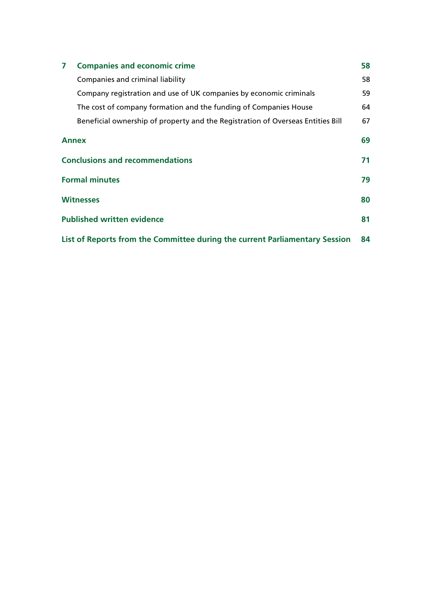| <b>Companies and economic crime</b><br>7                                    |                                                                                 | 58 |  |
|-----------------------------------------------------------------------------|---------------------------------------------------------------------------------|----|--|
|                                                                             | Companies and criminal liability                                                | 58 |  |
|                                                                             | Company registration and use of UK companies by economic criminals              | 59 |  |
|                                                                             | The cost of company formation and the funding of Companies House                | 64 |  |
|                                                                             | Beneficial ownership of property and the Registration of Overseas Entities Bill | 67 |  |
| <b>Annex</b>                                                                |                                                                                 |    |  |
| <b>Conclusions and recommendations</b>                                      |                                                                                 |    |  |
| <b>Formal minutes</b>                                                       |                                                                                 |    |  |
| <b>Witnesses</b>                                                            |                                                                                 |    |  |
|                                                                             | <b>Published written evidence</b>                                               |    |  |
| List of Reports from the Committee during the current Parliamentary Session |                                                                                 |    |  |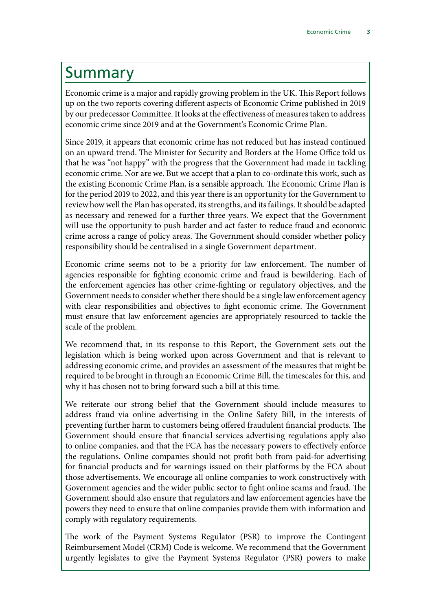## <span id="page-4-0"></span>Summary

Economic crime is a major and rapidly growing problem in the UK. This Report follows up on the two reports covering different aspects of Economic Crime published in 2019 by our predecessor Committee. It looks at the effectiveness of measures taken to address economic crime since 2019 and at the Government's Economic Crime Plan.

Since 2019, it appears that economic crime has not reduced but has instead continued on an upward trend. The Minister for Security and Borders at the Home Office told us that he was "not happy" with the progress that the Government had made in tackling economic crime. Nor are we. But we accept that a plan to co-ordinate this work, such as the existing Economic Crime Plan, is a sensible approach. The Economic Crime Plan is for the period 2019 to 2022, and this year there is an opportunity for the Government to review how well the Plan has operated, its strengths, and its failings. It should be adapted as necessary and renewed for a further three years. We expect that the Government will use the opportunity to push harder and act faster to reduce fraud and economic crime across a range of policy areas. The Government should consider whether policy responsibility should be centralised in a single Government department.

Economic crime seems not to be a priority for law enforcement. The number of agencies responsible for fighting economic crime and fraud is bewildering. Each of the enforcement agencies has other crime-fighting or regulatory objectives, and the Government needs to consider whether there should be a single law enforcement agency with clear responsibilities and objectives to fight economic crime. The Government must ensure that law enforcement agencies are appropriately resourced to tackle the scale of the problem.

We recommend that, in its response to this Report, the Government sets out the legislation which is being worked upon across Government and that is relevant to addressing economic crime, and provides an assessment of the measures that might be required to be brought in through an Economic Crime Bill, the timescales for this, and why it has chosen not to bring forward such a bill at this time.

We reiterate our strong belief that the Government should include measures to address fraud via online advertising in the Online Safety Bill, in the interests of preventing further harm to customers being offered fraudulent financial products. The Government should ensure that financial services advertising regulations apply also to online companies, and that the FCA has the necessary powers to effectively enforce the regulations. Online companies should not profit both from paid-for advertising for financial products and for warnings issued on their platforms by the FCA about those advertisements. We encourage all online companies to work constructively with Government agencies and the wider public sector to fight online scams and fraud. The Government should also ensure that regulators and law enforcement agencies have the powers they need to ensure that online companies provide them with information and comply with regulatory requirements.

The work of the Payment Systems Regulator (PSR) to improve the Contingent Reimbursement Model (CRM) Code is welcome. We recommend that the Government urgently legislates to give the Payment Systems Regulator (PSR) powers to make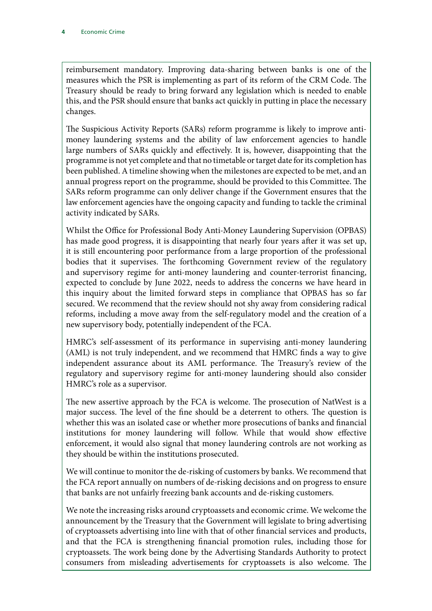reimbursement mandatory. Improving data-sharing between banks is one of the measures which the PSR is implementing as part of its reform of the CRM Code. The Treasury should be ready to bring forward any legislation which is needed to enable this, and the PSR should ensure that banks act quickly in putting in place the necessary changes.

The Suspicious Activity Reports (SARs) reform programme is likely to improve antimoney laundering systems and the ability of law enforcement agencies to handle large numbers of SARs quickly and effectively. It is, however, disappointing that the programme is not yet complete and that no timetable or target date for its completion has been published. A timeline showing when the milestones are expected to be met, and an annual progress report on the programme, should be provided to this Committee. The SARs reform programme can only deliver change if the Government ensures that the law enforcement agencies have the ongoing capacity and funding to tackle the criminal activity indicated by SARs.

Whilst the Office for Professional Body Anti-Money Laundering Supervision (OPBAS) has made good progress, it is disappointing that nearly four years after it was set up, it is still encountering poor performance from a large proportion of the professional bodies that it supervises. The forthcoming Government review of the regulatory and supervisory regime for anti-money laundering and counter-terrorist financing, expected to conclude by June 2022, needs to address the concerns we have heard in this inquiry about the limited forward steps in compliance that OPBAS has so far secured. We recommend that the review should not shy away from considering radical reforms, including a move away from the self-regulatory model and the creation of a new supervisory body, potentially independent of the FCA.

HMRC's self-assessment of its performance in supervising anti-money laundering (AML) is not truly independent, and we recommend that HMRC finds a way to give independent assurance about its AML performance. The Treasury's review of the regulatory and supervisory regime for anti-money laundering should also consider HMRC's role as a supervisor.

The new assertive approach by the FCA is welcome. The prosecution of NatWest is a major success. The level of the fine should be a deterrent to others. The question is whether this was an isolated case or whether more prosecutions of banks and financial institutions for money laundering will follow. While that would show effective enforcement, it would also signal that money laundering controls are not working as they should be within the institutions prosecuted.

We will continue to monitor the de-risking of customers by banks. We recommend that the FCA report annually on numbers of de-risking decisions and on progress to ensure that banks are not unfairly freezing bank accounts and de-risking customers.

We note the increasing risks around cryptoassets and economic crime. We welcome the announcement by the Treasury that the Government will legislate to bring advertising of cryptoassets advertising into line with that of other financial services and products, and that the FCA is strengthening financial promotion rules, including those for cryptoassets. The work being done by the Advertising Standards Authority to protect consumers from misleading advertisements for cryptoassets is also welcome. The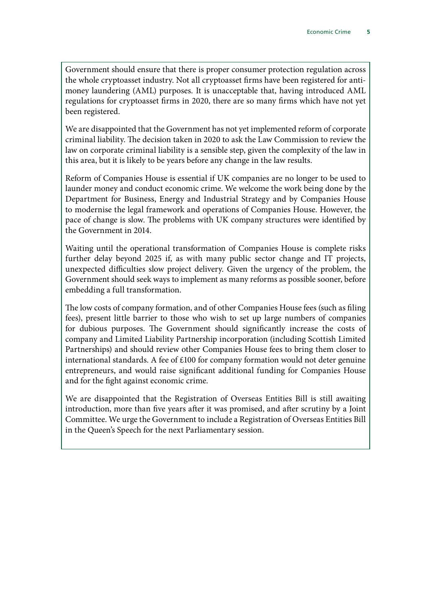Government should ensure that there is proper consumer protection regulation across the whole cryptoasset industry. Not all cryptoasset firms have been registered for antimoney laundering (AML) purposes. It is unacceptable that, having introduced AML regulations for cryptoasset firms in 2020, there are so many firms which have not yet been registered.

We are disappointed that the Government has not yet implemented reform of corporate criminal liability. The decision taken in 2020 to ask the Law Commission to review the law on corporate criminal liability is a sensible step, given the complexity of the law in this area, but it is likely to be years before any change in the law results.

Reform of Companies House is essential if UK companies are no longer to be used to launder money and conduct economic crime. We welcome the work being done by the Department for Business, Energy and Industrial Strategy and by Companies House to modernise the legal framework and operations of Companies House. However, the pace of change is slow. The problems with UK company structures were identified by the Government in 2014.

Waiting until the operational transformation of Companies House is complete risks further delay beyond 2025 if, as with many public sector change and IT projects, unexpected difficulties slow project delivery. Given the urgency of the problem, the Government should seek ways to implement as many reforms as possible sooner, before embedding a full transformation.

The low costs of company formation, and of other Companies House fees (such as filing fees), present little barrier to those who wish to set up large numbers of companies for dubious purposes. The Government should significantly increase the costs of company and Limited Liability Partnership incorporation (including Scottish Limited Partnerships) and should review other Companies House fees to bring them closer to international standards. A fee of £100 for company formation would not deter genuine entrepreneurs, and would raise significant additional funding for Companies House and for the fight against economic crime.

We are disappointed that the Registration of Overseas Entities Bill is still awaiting introduction, more than five years after it was promised, and after scrutiny by a Joint Committee. We urge the Government to include a Registration of Overseas Entities Bill in the Queen's Speech for the next Parliamentary session.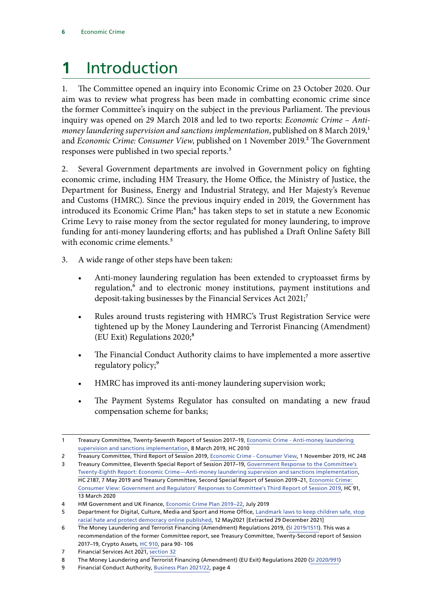## <span id="page-7-0"></span>**1** Introduction

1. The Committee opened an inquiry into Economic Crime on 23 October 2020. Our aim was to review what progress has been made in combatting economic crime since the former Committee's inquiry on the subject in the previous Parliament. The previous inquiry was opened on 29 March 2018 and led to two reports: *Economic Crime – Antimoney laundering supervision and sanctions implementation*, published on 8 March 2019,<sup>1</sup> and *Economic Crime: Consumer View*, published on 1 November 2019.<sup>2</sup> The Government responses were published in two special reports.<sup>3</sup>

2. Several Government departments are involved in Government policy on fighting economic crime, including HM Treasury, the Home Office, the Ministry of Justice, the Department for Business, Energy and Industrial Strategy, and Her Majesty's Revenue and Customs (HMRC). Since the previous inquiry ended in 2019, the Government has introduced its Economic Crime Plan;<sup>4</sup> has taken steps to set in statute a new Economic Crime Levy to raise money from the sector regulated for money laundering, to improve funding for anti-money laundering efforts; and has published a Draft Online Safety Bill with economic crime elements.<sup>5</sup>

- 3. A wide range of other steps have been taken:
	- Anti-money laundering regulation has been extended to cryptoasset firms by regulation,<sup>6</sup> and to electronic money institutions, payment institutions and deposit-taking businesses by the Financial Services Act 2021;<sup>7</sup>
	- Rules around trusts registering with HMRC's Trust Registration Service were tightened up by the Money Laundering and Terrorist Financing (Amendment) (EU Exit) Regulations 2020;<sup>8</sup>
	- The Financial Conduct Authority claims to have implemented a more assertive regulatory policy;<sup>9</sup>
	- HMRC has improved its anti-money laundering supervision work;
	- The Payment Systems Regulator has consulted on mandating a new fraud compensation scheme for banks;

<sup>1</sup> Treasury Committee, Twenty-Seventh Report of Session 2017–19, [Economic Crime - Anti-money laundering](https://publications.parliament.uk/pa/cm201719/cmselect/cmtreasy/2010/2010.pdf)  [supervision and sanctions implementation](https://publications.parliament.uk/pa/cm201719/cmselect/cmtreasy/2010/2010.pdf), 8 March 2019, HC 2010

<sup>2</sup> Treasury Committee, Third Report of Session 2019, [Economic Crime - Consumer View](https://publications.parliament.uk/pa/cm201919/cmselect/cmtreasy/246/246.pdf), 1 November 2019, HC 248

<sup>3</sup> Treasury Committee, Eleventh Special Report of Session 2017–19, [Government Response to the Committee's](https://publications.parliament.uk/pa/cm201719/cmselect/cmtreasy/2187/2187.pdf)  [Twenty-Eighth Report: Economic Crime—Anti-money laundering supervision and sanctions implementation,](https://publications.parliament.uk/pa/cm201719/cmselect/cmtreasy/2187/2187.pdf) HC 2187, 7 May 2019 and Treasury Committee, Second Special Report of Session 2019–21, [Economic Crime:](https://committees.parliament.uk/publications/316/documents/1303/default/)  [Consumer View: Government and Regulators' Responses to Committee's Third Report of Session 2019](https://committees.parliament.uk/publications/316/documents/1303/default/), HC 91, 13 March 2020

<sup>4</sup> HM Government and UK Finance, [Economic Crime Plan 2019–22,](https://assets.publishing.service.gov.uk/government/uploads/system/uploads/attachment_data/file/816215/2019-22_Economic_Crime_Plan.pdf) July 2019

<sup>5</sup> Department for Digital, Culture, Media and Sport and Home Office, [Landmark laws to keep children safe, stop](https://www.gov.uk/government/news/landmark-laws-to-keep-children-safe-stop-racial-hate-and-protect-democracy-online-published)  [racial hate and protect democracy online published,](https://www.gov.uk/government/news/landmark-laws-to-keep-children-safe-stop-racial-hate-and-protect-democracy-online-published) 12 May2021 [Extracted 29 December 2021]

<sup>6</sup> The Money Laundering and Terrorist Financing (Amendment) Regulations 2019, [\(SI 2019/1511](https://www.legislation.gov.uk/uksi/2019/1511/regulation/4/made)). This was a recommendation of the former Committee report, see Treasury Committee, Twenty-Second report of Session 2017–19, Crypto Assets*,* [HC 910,](https://publications.parliament.uk/pa/cm201719/cmselect/cmtreasy/910/910.pdf) para 90- 106

<sup>7</sup> Financial Services Act 2021, [section 32](https://www.legislation.gov.uk/ukpga/2021/22/section/32)

<sup>8</sup> The Money Laundering and Terrorist Financing (Amendment) (EU Exit) Regulations 2020 ([SI 2020/991](https://www.legislation.gov.uk/uksi/2020/991/pdfs/uksi_20200991_en.pdf))

<sup>9</sup> Financial Conduct Authority, [Business Plan 2021/22,](https://www.fca.org.uk/publication/business-plans/business-plan-2021-22.pdf) page 4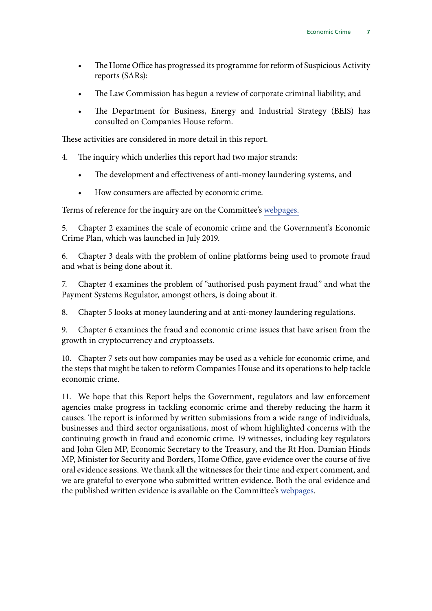- The Home Office has progressed its programme for reform of Suspicious Activity reports (SARs):
- The Law Commission has begun a review of corporate criminal liability; and
- The Department for Business, Energy and Industrial Strategy (BEIS) has consulted on Companies House reform.

These activities are considered in more detail in this report.

- 4. The inquiry which underlies this report had two major strands:
	- The development and effectiveness of anti-money laundering systems, and
	- How consumers are affected by economic crime.

Terms of reference for the inquiry are on the Committee's [webpages.](https://committees.parliament.uk/call-for-evidence/282/)

5. Chapter 2 examines the scale of economic crime and the Government's Economic Crime Plan, which was launched in July 2019.

6. Chapter 3 deals with the problem of online platforms being used to promote fraud and what is being done about it.

7. Chapter 4 examines the problem of "authorised push payment fraud" and what the Payment Systems Regulator, amongst others, is doing about it.

8. Chapter 5 looks at money laundering and at anti-money laundering regulations.

9. Chapter 6 examines the fraud and economic crime issues that have arisen from the growth in cryptocurrency and cryptoassets.

10. Chapter 7 sets out how companies may be used as a vehicle for economic crime, and the steps that might be taken to reform Companies House and its operations to help tackle economic crime.

11. We hope that this Report helps the Government, regulators and law enforcement agencies make progress in tackling economic crime and thereby reducing the harm it causes. The report is informed by written submissions from a wide range of individuals, businesses and third sector organisations, most of whom highlighted concerns with the continuing growth in fraud and economic crime. 19 witnesses, including key regulators and John Glen MP, Economic Secretary to the Treasury, and the Rt Hon. Damian Hinds MP, Minister for Security and Borders, Home Office, gave evidence over the course of five oral evidence sessions. We thank all the witnesses for their time and expert comment, and we are grateful to everyone who submitted written evidence. Both the oral evidence and the published written evidence is available on the Committee's [webpages](https://committees.parliament.uk/work/726/economic-crime/publications/written-evidence/).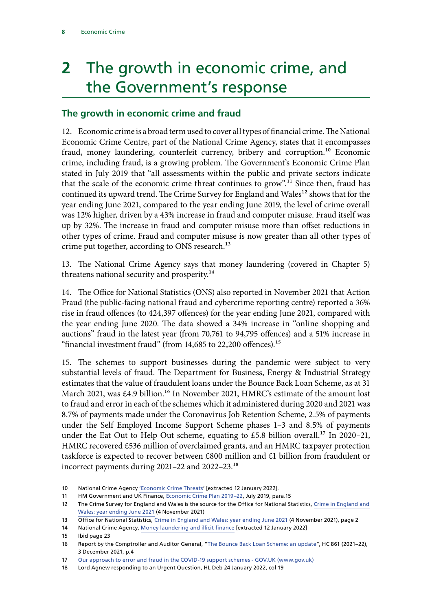## <span id="page-9-0"></span>**2** The growth in economic crime, and the Government's response

### **The growth in economic crime and fraud**

12. Economic crime is a broad term used to cover all types of financial crime. The National Economic Crime Centre, part of the National Crime Agency, states that it encompasses fraud, money laundering, counterfeit currency, bribery and corruption.<sup>10</sup> Economic crime, including fraud, is a growing problem. The Government's Economic Crime Plan stated in July 2019 that "all assessments within the public and private sectors indicate that the scale of the economic crime threat continues to grow".11 Since then, fraud has continued its upward trend. The Crime Survey for England and Wales<sup>12</sup> shows that for the year ending June 2021, compared to the year ending June 2019, the level of crime overall was 12% higher, driven by a 43% increase in fraud and computer misuse. Fraud itself was up by 32%. The increase in fraud and computer misuse more than offset reductions in other types of crime. Fraud and computer misuse is now greater than all other types of crime put together, according to ONS research.<sup>13</sup>

13. The National Crime Agency says that money laundering (covered in Chapter 5) threatens national security and prosperity.<sup>14</sup>

14. The Office for National Statistics (ONS) also reported in November 2021 that Action Fraud (the public-facing national fraud and cybercrime reporting centre) reported a 36% rise in fraud offences (to 424,397 offences) for the year ending June 2021, compared with the year ending June 2020. The data showed a 34% increase in "online shopping and auctions" fraud in the latest year (from 70,761 to 94,795 offences) and a 51% increase in "financial investment fraud" (from  $14,685$  to  $22,200$  offences).<sup>15</sup>

15. The schemes to support businesses during the pandemic were subject to very substantial levels of fraud. The Department for Business, Energy & Industrial Strategy estimates that the value of fraudulent loans under the Bounce Back Loan Scheme, as at 31 March 2021, was £4.9 billion.<sup>16</sup> In November 2021, HMRC's estimate of the amount lost to fraud and error in each of the schemes which it administered during 2020 and 2021 was 8.7% of payments made under the Coronavirus Job Retention Scheme, 2.5% of payments under the Self Employed Income Support Scheme phases 1–3 and 8.5% of payments under the Eat Out to Help Out scheme, equating to £5.8 billion overall.<sup>17</sup> In 2020-21, HMRC recovered £536 million of overclaimed grants, and an HMRC taxpayer protection taskforce is expected to recover between £800 million and £1 billion from fraudulent or incorrect payments during 2021–22 and 2022–23.18

<sup>10</sup> National Crime Agency ['Economic Crime Threats'](https://www.nationalcrimeagency.gov.uk/what-we-do/national-economic-crime-centre) [extracted 12 January 2022].

<sup>11</sup> HM Government and UK Finance, [Economic Crime Plan 2019–22,](https://assets.publishing.service.gov.uk/government/uploads/system/uploads/attachment_data/file/816215/2019-22_Economic_Crime_Plan.pdf) July 2019, para.15

<sup>12</sup> The Crime Survey for England and Wales is the source for the Office for National Statistics, [Crime in England and](https://www.ons.gov.uk/peoplepopulationandcommunity/crimeandjustice/bulletins/crimeinenglandandwales/latest)  [Wales: year ending June 2021](https://www.ons.gov.uk/peoplepopulationandcommunity/crimeandjustice/bulletins/crimeinenglandandwales/latest) (4 November 2021)

<sup>13</sup> Office for National Statistics, [Crime in England and Wales: year ending June 2021](https://www.ons.gov.uk/peoplepopulationandcommunity/crimeandjustice/bulletins/crimeinenglandandwales/yearendingjune2021/pdf) (4 November 2021), page 2

<sup>14</sup> National Crime Agency, [Money laundering and illicit finance](https://nationalcrimeagency.gov.uk/what-we-do/crime-threats/money-laundering-and-illicit-finance) [extracted 12 January 2022]

<sup>15</sup> Ibid page 23

<sup>16</sup> Report by the Comptroller and Auditor General, ["The Bounce Back Loan Scheme: an update](https://www.nao.org.uk/wp-content/uploads/2021/12/The-Bounce-Back-Loan-Scheme-an-update.pdf)", HC 861 (2021–22), 3 December 2021, p.4

<sup>17</sup> [Our approach to error and fraud in the COVID-19 support schemes - GOV.UK \(www.gov.uk\)](https://www.gov.uk/government/publications/measuring-error-and-fraud-in-the-covid-19-schemes/our-approach-to-error-and-fraud-in-the-covid-19-support-schemes)

<sup>18</sup> Lord Agnew responding to an Urgent Question, HL Deb 24 January 2022, col 19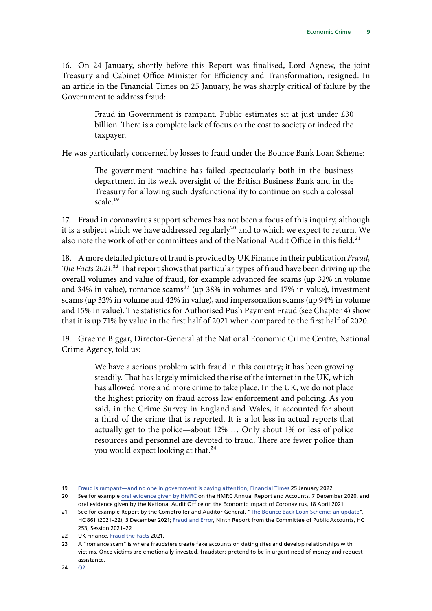16. On 24 January, shortly before this Report was finalised, Lord Agnew, the joint Treasury and Cabinet Office Minister for Efficiency and Transformation, resigned. In an article in the Financial Times on 25 January, he was sharply critical of failure by the Government to address fraud:

> Fraud in Government is rampant. Public estimates sit at just under £30 billion. There is a complete lack of focus on the cost to society or indeed the taxpayer.

He was particularly concerned by losses to fraud under the Bounce Bank Loan Scheme:

The government machine has failed spectacularly both in the business department in its weak oversight of the British Business Bank and in the Treasury for allowing such dysfunctionality to continue on such a colossal scale.<sup>19</sup>

17. Fraud in coronavirus support schemes has not been a focus of this inquiry, although it is a subject which we have addressed regularly<sup>20</sup> and to which we expect to return. We also note the work of other committees and of the National Audit Office in this field.<sup>21</sup>

18. A more detailed picture of fraud is provided by UK Finance in their publication *Fraud, The Facts 2021*<sup>22</sup> That report shows that particular types of fraud have been driving up the overall volumes and value of fraud, for example advanced fee scams (up 32% in volume and 34% in value), romance scams<sup>23</sup> (up 38% in volumes and 17% in value), investment scams (up 32% in volume and 42% in value), and impersonation scams (up 94% in volume and 15% in value). The statistics for Authorised Push Payment Fraud (see Chapter 4) show that it is up 71% by value in the first half of 2021 when compared to the first half of 2020.

19. Graeme Biggar, Director-General at the National Economic Crime Centre, National Crime Agency, told us:

> We have a serious problem with fraud in this country; it has been growing steadily. That has largely mimicked the rise of the internet in the UK, which has allowed more and more crime to take place. In the UK, we do not place the highest priority on fraud across law enforcement and policing. As you said, in the Crime Survey in England and Wales, it accounted for about a third of the crime that is reported. It is a lot less in actual reports that actually get to the police—about 12% … Only about 1% or less of police resources and personnel are devoted to fraud. There are fewer police than you would expect looking at that.<sup>24</sup>

<sup>19</sup> [Fraud is rampant—and no one in government is paying attention, Financial Times](https://www.ft.com/content/e7973f2e-32c2-4cab-9b12-13add89f8891) 25 January 2022

<sup>20</sup> See for example [oral evidence given by HMRC](https://committees.parliament.uk/oralevidence/1353/pdf/) on the HMRC Annual Report and Accounts, 7 December 2020, and oral evidence given by the National Audit Office on the Economic Impact of Coronavirus, 18 April 2021

<sup>21</sup> See for example Report by the Comptroller and Auditor General, "[The Bounce Back Loan Scheme: an update"](https://www.nao.org.uk/wp-content/uploads/2021/12/The-Bounce-Back-Loan-Scheme-an-update.pdf), HC 861 (2021–22), 3 December 2021; [Fraud and Error,](https://committees.parliament.uk/publications/6469/documents/70574/default/) Ninth Report from the Committee of Public Accounts, HC 253, Session 2021–22

<sup>22</sup> UK Finance, [Fraud the Facts](https://www.ukfinance.org.uk/system/files/Fraud%20The%20Facts%202021-%20FINAL.pdf) 2021.

<sup>23</sup> A "romance scam" is where fraudsters create fake accounts on dating sites and develop relationships with victims. Once victims are emotionally invested, fraudsters pretend to be in urgent need of money and request assistance.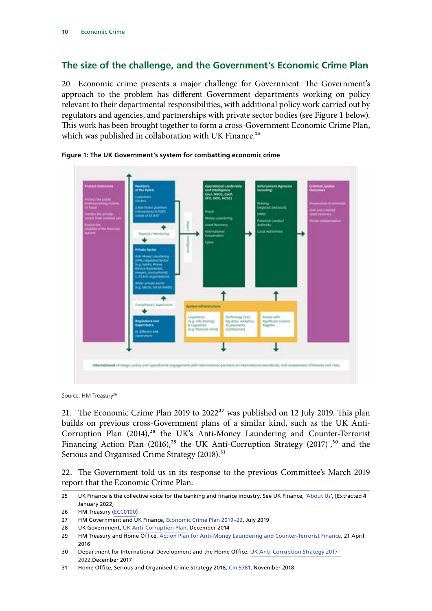### <span id="page-11-0"></span>**The size of the challenge, and the Government's Economic Crime Plan**

20. Economic crime presents a major challenge for Government. The Government's approach to the problem has different Government departments working on policy relevant to their departmental responsibilities, with additional policy work carried out by regulators and agencies, and partnerships with private sector bodies (see Figure 1 below). This work has been brought together to form a cross-Government Economic Crime Plan, which was published in collaboration with UK Finance.<sup>25</sup>





Source: HM Treasury<sup>26</sup>

21. The Economic Crime Plan 2019 to  $2022^{27}$  was published on 12 July 2019. This plan builds on previous cross-Government plans of a similar kind, such as the UK Anti-Corruption Plan  $(2014)$ ,<sup>28</sup> the UK's Anti-Money Laundering and Counter-Terrorist Financing Action Plan  $(2016)$ ,<sup>29</sup> the UK Anti-Corruption Strategy  $(2017)$ ,<sup>30</sup> and the Serious and Organised Crime Strategy (2018).<sup>31</sup>

22. The Government told us in its response to the previous Committee's March 2019 report that the Economic Crime Plan:

<sup>25</sup> UK Finance is the collective voice for the banking and finance industry. See UK Finance, '[About Us'](https://www.ukfinance.org.uk/about-us), [Extracted 4 January 2022]

<sup>26</sup> HM Treasury [\(ECC0100](https://committees.parliament.uk/writtenevidence/42174/pdf/))

<sup>27</sup> HM Government and UK Finance, [Economic Crime Plan 2019–22,](https://assets.publishing.service.gov.uk/government/uploads/system/uploads/attachment_data/file/816215/2019-22_Economic_Crime_Plan.pdf) July 2019

<sup>28</sup> UK Government, [UK Anti-Corruption Plan](https://assets.publishing.service.gov.uk/government/uploads/system/uploads/attachment_data/file/388894/UKantiCorruptionPlan.pdf), December 2014

<sup>29</sup> HM Treasury and Home Office, [Action Plan for Anti-Money Laundering and Counter-Terrorist Finance](https://assets.publishing.service.gov.uk/government/uploads/system/uploads/attachment_data/file/517992/6-2118-Action_Plan_for_Anti-Money_Laundering__web_.pdf), 21 April 2016

<sup>30</sup> Department for International Development and the Home Office, [UK Anti-Corruption Strategy 2017-](https://assets.publishing.service.gov.uk/government/uploads/system/uploads/attachment_data/file/667221/6_3323_Anti-Corruption_Strategy_WEB.pdf)  [2022,](https://assets.publishing.service.gov.uk/government/uploads/system/uploads/attachment_data/file/667221/6_3323_Anti-Corruption_Strategy_WEB.pdf)December 2017

<sup>31</sup> Home Office, Serious and Organised Crime Strategy 2018, [Cm 9781,](https://assets.publishing.service.gov.uk/government/uploads/system/uploads/attachment_data/file/752850/SOC-2018-web.pdf) November 2018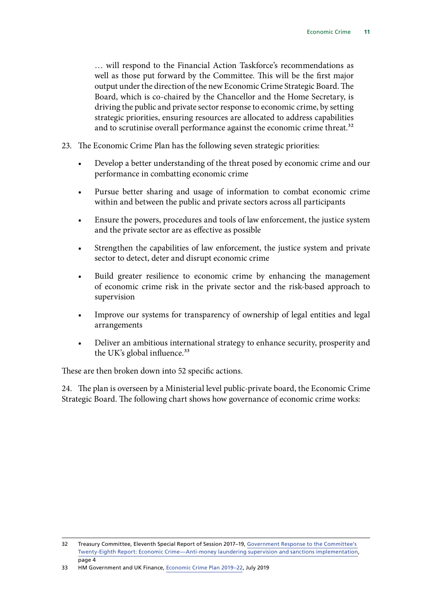… will respond to the Financial Action Taskforce's recommendations as well as those put forward by the Committee. This will be the first major output under the direction of the new Economic Crime Strategic Board. The Board, which is co-chaired by the Chancellor and the Home Secretary, is driving the public and private sector response to economic crime, by setting strategic priorities, ensuring resources are allocated to address capabilities and to scrutinise overall performance against the economic crime threat.<sup>32</sup>

- 23. The Economic Crime Plan has the following seven strategic priorities:
	- Develop a better understanding of the threat posed by economic crime and our performance in combatting economic crime
	- Pursue better sharing and usage of information to combat economic crime within and between the public and private sectors across all participants
	- Ensure the powers, procedures and tools of law enforcement, the justice system and the private sector are as effective as possible
	- Strengthen the capabilities of law enforcement, the justice system and private sector to detect, deter and disrupt economic crime
	- Build greater resilience to economic crime by enhancing the management of economic crime risk in the private sector and the risk-based approach to supervision
	- Improve our systems for transparency of ownership of legal entities and legal arrangements
	- Deliver an ambitious international strategy to enhance security, prosperity and the UK's global influence.<sup>33</sup>

These are then broken down into 52 specific actions.

24. The plan is overseen by a Ministerial level public-private board, the Economic Crime Strategic Board. The following chart shows how governance of economic crime works:

<sup>32</sup> Treasury Committee, Eleventh Special Report of Session 2017–19, [Government Response to the Committee's](https://publications.parliament.uk/pa/cm201719/cmselect/cmtreasy/2187/2187.pdf)  [Twenty-Eighth Report: Economic Crime—Anti-money laundering supervision and sanctions implementation,](https://publications.parliament.uk/pa/cm201719/cmselect/cmtreasy/2187/2187.pdf) page 4

<sup>33</sup> HM Government and UK Finance, [Economic Crime Plan 2019–22,](https://assets.publishing.service.gov.uk/government/uploads/system/uploads/attachment_data/file/816215/2019-22_Economic_Crime_Plan.pdf) July 2019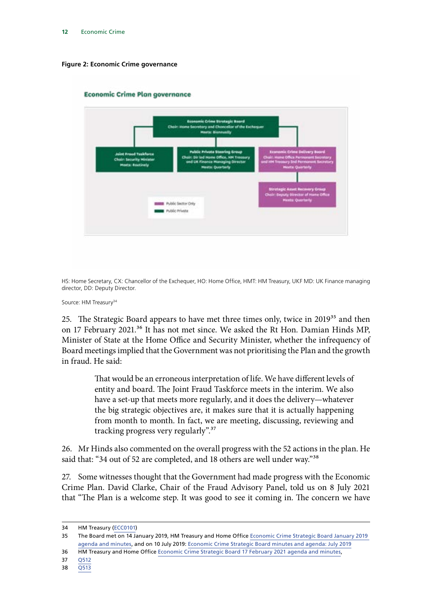#### **Figure 2: Economic Crime governance**



#### **Economic Crime Plan governance**

HS: Home Secretary, CX: Chancellor of the Exchequer, HO: Home Office, HMT: HM Treasury, UKF MD: UK Finance managing director, DD: Deputy Director.

Source: HM Treasury<sup>34</sup>

25. The Strategic Board appears to have met three times only, twice in 2019<sup>35</sup> and then on 17 February 2021.<sup>36</sup> It has not met since. We asked the Rt Hon. Damian Hinds MP, Minister of State at the Home Office and Security Minister, whether the infrequency of Board meetings implied that the Government was not prioritising the Plan and the growth in fraud. He said:

> That would be an erroneous interpretation of life. We have different levels of entity and board. The Joint Fraud Taskforce meets in the interim. We also have a set-up that meets more regularly, and it does the delivery—whatever the big strategic objectives are, it makes sure that it is actually happening from month to month. In fact, we are meeting, discussing, reviewing and tracking progress very regularly".37

26. Mr Hinds also commented on the overall progress with the 52 actions in the plan. He said that: "34 out of 52 are completed, and 18 others are well under way."38

27. Some witnesses thought that the Government had made progress with the Economic Crime Plan. David Clarke, Chair of the Fraud Advisory Panel, told us on 8 July 2021 that "The Plan is a welcome step. It was good to see it coming in. The concern we have

<sup>34</sup> HM Treasury [\(ECC0101\)](https://committees.parliament.uk/writtenevidence/42218/pdf/)

<sup>35</sup> The Board met on 14 January 2019, HM Treasury and Home Office [Economic Crime Strategic Board January 2019](https://www.gov.uk/government/publications/economic-crime-strategic-board-minutes-and-agenda-january-2019/economic-crime-strategic-board-january-2019-agenda-and-minutes)  [agenda and minutes](https://www.gov.uk/government/publications/economic-crime-strategic-board-minutes-and-agenda-january-2019/economic-crime-strategic-board-january-2019-agenda-and-minutes), and on 10 July 2019: [Economic Crime Strategic Board minutes and agenda: July 2019](https://www.gov.uk/government/publications/economic-crime-strategic-board-minutes-and-agenda-july-2019)

<sup>36</sup> HM Treasury and Home Office [Economic Crime Strategic Board 17 February 2021 agenda and minutes,](https://www.gov.uk/government/publications/economic-crime-strategic-board-minutes-and-agenda-17-february-2021/economic-crime-strategic-board-17-february-2021-agenda-and-minutes)

<sup>37</sup> O512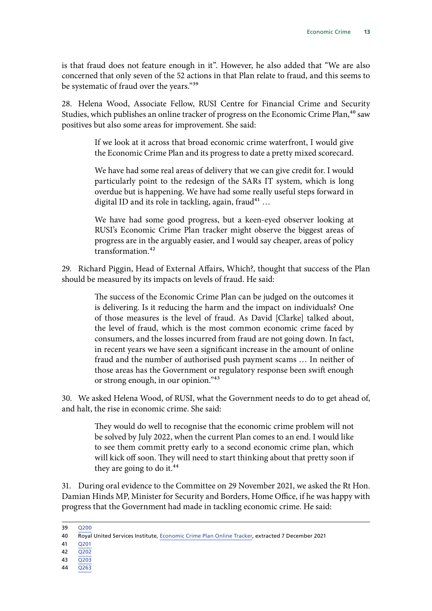is that fraud does not feature enough in it". However, he also added that "We are also concerned that only seven of the 52 actions in that Plan relate to fraud, and this seems to be systematic of fraud over the years."39

28. Helena Wood, Associate Fellow, RUSI Centre for Financial Crime and Security Studies, which publishes an online tracker of progress on the Economic Crime Plan,<sup>40</sup> saw positives but also some areas for improvement. She said:

> If we look at it across that broad economic crime waterfront, I would give the Economic Crime Plan and its progress to date a pretty mixed scorecard.

> We have had some real areas of delivery that we can give credit for. I would particularly point to the redesign of the SARs IT system, which is long overdue but is happening. We have had some really useful steps forward in digital ID and its role in tackling, again, fraud<sup>41</sup> ...

> We have had some good progress, but a keen-eyed observer looking at RUSI's Economic Crime Plan tracker might observe the biggest areas of progress are in the arguably easier, and I would say cheaper, areas of policy transformation.<sup>42</sup>

29. Richard Piggin, Head of External Affairs, Which?, thought that success of the Plan should be measured by its impacts on levels of fraud. He said:

> The success of the Economic Crime Plan can be judged on the outcomes it is delivering. Is it reducing the harm and the impact on individuals? One of those measures is the level of fraud. As David [Clarke] talked about, the level of fraud, which is the most common economic crime faced by consumers, and the losses incurred from fraud are not going down. In fact, in recent years we have seen a significant increase in the amount of online fraud and the number of authorised push payment scams … In neither of those areas has the Government or regulatory response been swift enough or strong enough, in our opinion."43

30. We asked Helena Wood, of RUSI, what the Government needs to do to get ahead of, and halt, the rise in economic crime. She said:

> They would do well to recognise that the economic crime problem will not be solved by July 2022, when the current Plan comes to an end. I would like to see them commit pretty early to a second economic crime plan, which will kick off soon. They will need to start thinking about that pretty soon if they are going to do it.<sup>44</sup>

31. During oral evidence to the Committee on 29 November 2021, we asked the Rt Hon. Damian Hinds MP, Minister for Security and Borders, Home Office, if he was happy with progress that the Government had made in tackling economic crime. He said:

- 43 [Q203](https://committees.parliament.uk/oralevidence/2532/pdf/)
- 44 [Q263](https://committees.parliament.uk/oralevidence/2532/pdf/)

<sup>39</sup> [Q200](https://committees.parliament.uk/oralevidence/2532/html/)

<sup>40</sup> Royal United Services Institute, [Economic Crime Plan Online Tracker,](https://rusi.org/ecp) extracted 7 December 2021

<sup>42</sup> [Q202](https://committees.parliament.uk/oralevidence/2532/html/)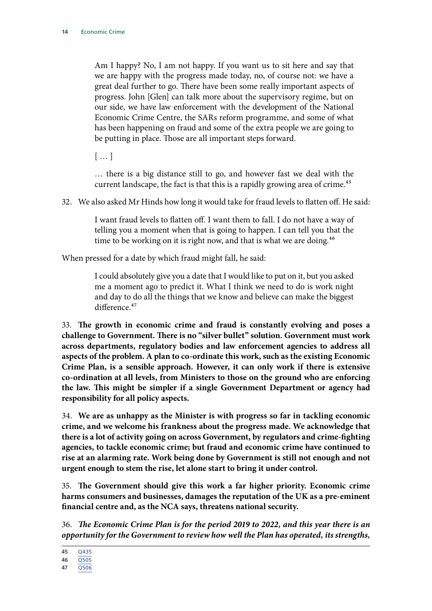Am I happy? No, I am not happy. If you want us to sit here and say that we are happy with the progress made today, no, of course not: we have a great deal further to go. There have been some really important aspects of progress. John [Glen] can talk more about the supervisory regime, but on our side, we have law enforcement with the development of the National Economic Crime Centre, the SARs reform programme, and some of what has been happening on fraud and some of the extra people we are going to be putting in place. Those are all important steps forward.

[ … ]

… there is a big distance still to go, and however fast we deal with the current landscape, the fact is that this is a rapidly growing area of crime.<sup>45</sup>

32. We also asked Mr Hinds how long it would take for fraud levels to flatten off. He said:

I want fraud levels to flatten off. I want them to fall. I do not have a way of telling you a moment when that is going to happen. I can tell you that the time to be working on it is right now, and that is what we are doing.<sup>46</sup>

When pressed for a date by which fraud might fall, he said:

I could absolutely give you a date that I would like to put on it, but you asked me a moment ago to predict it. What I think we need to do is work night and day to do all the things that we know and believe can make the biggest difference.<sup>47</sup>

33. **The growth in economic crime and fraud is constantly evolving and poses a challenge to Government. There is no "silver bullet" solution. Government must work across departments, regulatory bodies and law enforcement agencies to address all aspects of the problem. A plan to co-ordinate this work, such as the existing Economic Crime Plan, is a sensible approach. However, it can only work if there is extensive co-ordination at all levels, from Ministers to those on the ground who are enforcing the law. This might be simpler if a single Government Department or agency had responsibility for all policy aspects.**

34. **We are as unhappy as the Minister is with progress so far in tackling economic crime, and we welcome his frankness about the progress made. We acknowledge that there is a lot of activity going on across Government, by regulators and crime-fighting agencies, to tackle economic crime; but fraud and economic crime have continued to rise at an alarming rate. Work being done by Government is still not enough and not urgent enough to stem the rise, let alone start to bring it under control.**

35. **The Government should give this work a far higher priority. Economic crime harms consumers and businesses, damages the reputation of the UK as a pre-eminent financial centre and, as the NCA says, threatens national security.**

36. *The Economic Crime Plan is for the period 2019 to 2022, and this year there is an opportunity for the Government to review how well the Plan has operated, its strengths,* 

<sup>46</sup> [Q505](https://committees.parliament.uk/oralevidence/3088/pdf/)

<sup>47</sup> [Q506](https://committees.parliament.uk/oralevidence/3088/pdf/)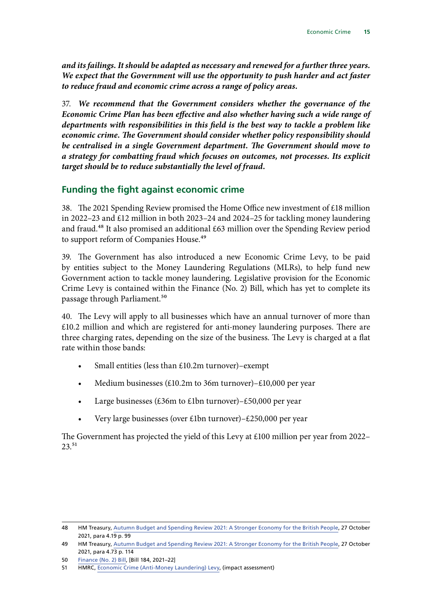<span id="page-16-0"></span>*and its failings. It should be adapted as necessary and renewed for a further three years. We expect that the Government will use the opportunity to push harder and act faster to reduce fraud and economic crime across a range of policy areas***.**

37. *We recommend that the Government considers whether the governance of the Economic Crime Plan has been effective and also whether having such a wide range of departments with responsibilities in this field is the best way to tackle a problem like economic crime. The Government should consider whether policy responsibility should be centralised in a single Government department. The Government should move to a strategy for combatting fraud which focuses on outcomes, not processes. Its explicit target should be to reduce substantially the level of fraud.*

### **Funding the fight against economic crime**

38. The 2021 Spending Review promised the Home Office new investment of £18 million in 2022–23 and £12 million in both 2023–24 and 2024–25 for tackling money laundering and fraud.<sup>48</sup> It also promised an additional  $\pounds 63$  million over the Spending Review period to support reform of Companies House.<sup>49</sup>

39. The Government has also introduced a new Economic Crime Levy, to be paid by entities subject to the Money Laundering Regulations (MLRs), to help fund new Government action to tackle money laundering. Legislative provision for the Economic Crime Levy is contained within the Finance (No. 2) Bill, which has yet to complete its passage through Parliament.<sup>50</sup>

40. The Levy will apply to all businesses which have an annual turnover of more than £10.2 million and which are registered for anti-money laundering purposes. There are three charging rates, depending on the size of the business. The Levy is charged at a flat rate within those bands:

- Small entities (less than £10.2m turnover)–exempt
- Medium businesses (£10.2m to 36m turnover)–£10,000 per year
- Large businesses (£36m to £1bn turnover)–£50,000 per year
- Very large businesses (over £1bn turnover)–£250,000 per year

The Government has projected the yield of this Levy at £100 million per year from 2022– 23.51

<sup>48</sup> HM Treasury, [Autumn Budget and Spending Review 2021: A Stronger Economy for the British People](https://assets.publishing.service.gov.uk/government/uploads/system/uploads/attachment_data/file/1029974/Budget_AB2021_Web_Accessible.pdf), 27 October 2021, para 4.19 p. 99

<sup>49</sup> HM Treasury, [Autumn Budget and Spending Review 2021: A Stronger Economy for the British People](https://assets.publishing.service.gov.uk/government/uploads/system/uploads/attachment_data/file/1029974/Budget_AB2021_Web_Accessible.pdf), 27 October 2021, para 4.73 p. 114

<sup>50</sup> [Finance \(No. 2\) Bill,](https://bills.parliament.uk/bills/3060) [Bill 184, 2021–22]

<sup>51</sup> HMRC, [Economic Crime \(Anti-Money Laundering\) Levy,](https://www.gov.uk/government/publications/economic-crime-anti-money-laundering-levy/economic-crime-anti-money-laundering-levy) (impact assessment)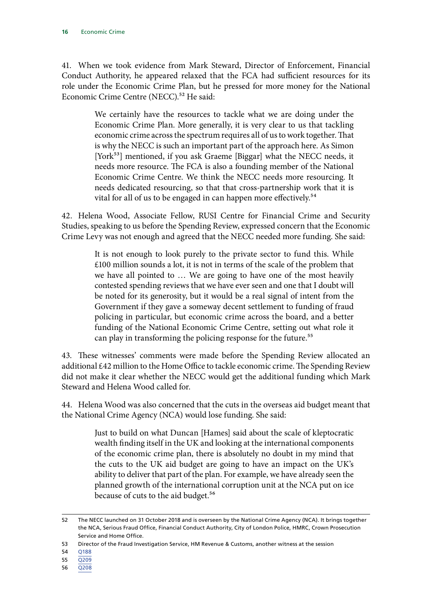41. When we took evidence from Mark Steward, Director of Enforcement, Financial Conduct Authority, he appeared relaxed that the FCA had sufficient resources for its role under the Economic Crime Plan, but he pressed for more money for the National Economic Crime Centre (NECC).<sup>52</sup> He said:

> We certainly have the resources to tackle what we are doing under the Economic Crime Plan. More generally, it is very clear to us that tackling economic crime across the spectrum requires all of us to work together. That is why the NECC is such an important part of the approach here. As Simon [York<sup>53</sup>] mentioned, if you ask Graeme [Biggar] what the NECC needs, it needs more resource. The FCA is also a founding member of the National Economic Crime Centre. We think the NECC needs more resourcing. It needs dedicated resourcing, so that that cross-partnership work that it is vital for all of us to be engaged in can happen more effectively.<sup>54</sup>

42. Helena Wood, Associate Fellow, RUSI Centre for Financial Crime and Security Studies, speaking to us before the Spending Review, expressed concern that the Economic Crime Levy was not enough and agreed that the NECC needed more funding. She said:

> It is not enough to look purely to the private sector to fund this. While £100 million sounds a lot, it is not in terms of the scale of the problem that we have all pointed to … We are going to have one of the most heavily contested spending reviews that we have ever seen and one that I doubt will be noted for its generosity, but it would be a real signal of intent from the Government if they gave a someway decent settlement to funding of fraud policing in particular, but economic crime across the board, and a better funding of the National Economic Crime Centre, setting out what role it can play in transforming the policing response for the future.<sup>55</sup>

43. These witnesses' comments were made before the Spending Review allocated an additional £42 million to the Home Office to tackle economic crime. The Spending Review did not make it clear whether the NECC would get the additional funding which Mark Steward and Helena Wood called for.

44. Helena Wood was also concerned that the cuts in the overseas aid budget meant that the National Crime Agency (NCA) would lose funding. She said:

> Just to build on what Duncan [Hames] said about the scale of kleptocratic wealth finding itself in the UK and looking at the international components of the economic crime plan, there is absolutely no doubt in my mind that the cuts to the UK aid budget are going to have an impact on the UK's ability to deliver that part of the plan. For example, we have already seen the planned growth of the international corruption unit at the NCA put on ice because of cuts to the aid budget.<sup>56</sup>

- 55 [Q209](https://committees.parliament.uk/oralevidence/2532/pdf/)
- 56 [Q208](https://committees.parliament.uk/oralevidence/2532/pdf/)

<sup>52</sup> The NECC launched on 31 October 2018 and is overseen by the National Crime Agency (NCA). It brings together the NCA, Serious Fraud Office, Financial Conduct Authority, City of London Police, HMRC, Crown Prosecution Service and Home Office.

<sup>53</sup> Director of the Fraud Investigation Service, HM Revenue & Customs, another witness at the session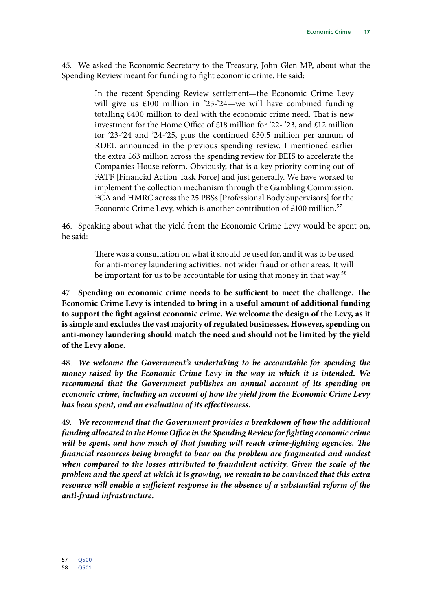45. We asked the Economic Secretary to the Treasury, John Glen MP, about what the Spending Review meant for funding to fight economic crime. He said:

> In the recent Spending Review settlement—the Economic Crime Levy will give us £100 million in '23-'24—we will have combined funding totalling £400 million to deal with the economic crime need. That is new investment for the Home Office of £18 million for '22- '23, and £12 million for '23-'24 and '24-'25, plus the continued £30.5 million per annum of RDEL announced in the previous spending review. I mentioned earlier the extra £63 million across the spending review for BEIS to accelerate the Companies House reform. Obviously, that is a key priority coming out of FATF [Financial Action Task Force] and just generally. We have worked to implement the collection mechanism through the Gambling Commission, FCA and HMRC across the 25 PBSs [Professional Body Supervisors] for the Economic Crime Levy, which is another contribution of £100 million.<sup>57</sup>

46. Speaking about what the yield from the Economic Crime Levy would be spent on, he said:

> There was a consultation on what it should be used for, and it was to be used for anti-money laundering activities, not wider fraud or other areas. It will be important for us to be accountable for using that money in that way.<sup>58</sup>

47. **Spending on economic crime needs to be sufficient to meet the challenge. The Economic Crime Levy is intended to bring in a useful amount of additional funding to support the fight against economic crime. We welcome the design of the Levy, as it is simple and excludes the vast majority of regulated businesses. However, spending on anti-money laundering should match the need and should not be limited by the yield of the Levy alone.**

48. *We welcome the Government's undertaking to be accountable for spending the money raised by the Economic Crime Levy in the way in which it is intended. We recommend that the Government publishes an annual account of its spending on economic crime, including an account of how the yield from the Economic Crime Levy has been spent, and an evaluation of its effectiveness.*

49. *We recommend that the Government provides a breakdown of how the additional funding allocated to the Home Office in the Spending Review for fighting economic crime will be spent, and how much of that funding will reach crime-fighting agencies. The financial resources being brought to bear on the problem are fragmented and modest when compared to the losses attributed to fraudulent activity. Given the scale of the problem and the speed at which it is growing, we remain to be convinced that this extra resource will enable a sufficient response in the absence of a substantial reform of the anti-fraud infrastructure.*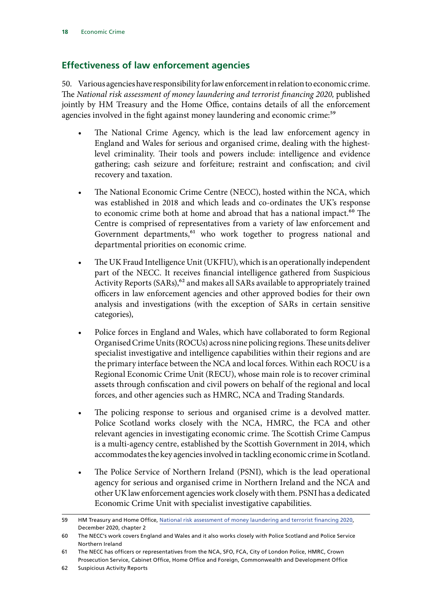### <span id="page-19-0"></span>**Effectiveness of law enforcement agencies**

50. Various agencies have responsibility for law enforcement in relation to economic crime. The *National risk assessment of money laundering and terrorist financing 2020,* published jointly by HM Treasury and the Home Office, contains details of all the enforcement agencies involved in the fight against money laundering and economic crime:<sup>59</sup>

- The National Crime Agency, which is the lead law enforcement agency in England and Wales for serious and organised crime, dealing with the highestlevel criminality. Their tools and powers include: intelligence and evidence gathering; cash seizure and forfeiture; restraint and confiscation; and civil recovery and taxation.
- The National Economic Crime Centre (NECC), hosted within the NCA, which was established in 2018 and which leads and co-ordinates the UK's response to economic crime both at home and abroad that has a national impact.<sup>60</sup> The Centre is comprised of representatives from a variety of law enforcement and Government departments,<sup>61</sup> who work together to progress national and departmental priorities on economic crime.
- The UK Fraud Intelligence Unit (UKFIU), which is an operationally independent part of the NECC. It receives financial intelligence gathered from Suspicious Activity Reports (SARs),<sup>62</sup> and makes all SARs available to appropriately trained officers in law enforcement agencies and other approved bodies for their own analysis and investigations (with the exception of SARs in certain sensitive categories),
- Police forces in England and Wales, which have collaborated to form Regional Organised Crime Units (ROCUs) across nine policing regions. These units deliver specialist investigative and intelligence capabilities within their regions and are the primary interface between the NCA and local forces. Within each ROCU is a Regional Economic Crime Unit (RECU), whose main role is to recover criminal assets through confiscation and civil powers on behalf of the regional and local forces, and other agencies such as HMRC, NCA and Trading Standards.
- The policing response to serious and organised crime is a devolved matter. Police Scotland works closely with the NCA, HMRC, the FCA and other relevant agencies in investigating economic crime. The Scottish Crime Campus is a multi-agency centre, established by the Scottish Government in 2014, which accommodates the key agencies involved in tackling economic crime in Scotland.
- The Police Service of Northern Ireland (PSNI), which is the lead operational agency for serious and organised crime in Northern Ireland and the NCA and other UK law enforcement agencies work closely with them. PSNI has a dedicated Economic Crime Unit with specialist investigative capabilities.

<sup>59</sup> HM Treasury and Home Office, [National risk assessment of money laundering and terrorist financing 2020](https://assets.publishing.service.gov.uk/government/uploads/system/uploads/attachment_data/file/945411/NRA_2020_v1.2_FOR_PUBLICATION.pdf), December 2020, chapter 2

<sup>60</sup> The NECC's work covers England and Wales and it also works closely with Police Scotland and Police Service Northern Ireland

<sup>61</sup> The NECC has officers or representatives from the NCA, SFO, FCA, City of London Police, HMRC, Crown Prosecution Service, Cabinet Office, Home Office and Foreign, Commonwealth and Development Office

<sup>62</sup> Suspicious Activity Reports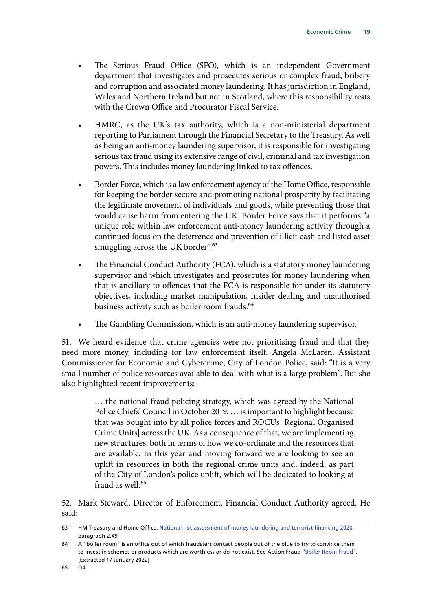- The Serious Fraud Office (SFO), which is an independent Government department that investigates and prosecutes serious or complex fraud, bribery and corruption and associated money laundering. It has jurisdiction in England, Wales and Northern Ireland but not in Scotland, where this responsibility rests with the Crown Office and Procurator Fiscal Service.
- HMRC, as the UK's tax authority, which is a non-ministerial department reporting to Parliament through the Financial Secretary to the Treasury. As well as being an anti-money laundering supervisor, it is responsible for investigating serious tax fraud using its extensive range of civil, criminal and tax investigation powers. This includes money laundering linked to tax offences.
- Border Force, which is a law enforcement agency of the Home Office, responsible for keeping the border secure and promoting national prosperity by facilitating the legitimate movement of individuals and goods, while preventing those that would cause harm from entering the UK. Border Force says that it performs "a unique role within law enforcement anti-money laundering activity through a continued focus on the deterrence and prevention of illicit cash and listed asset smuggling across the UK border".<sup>63</sup>
- The Financial Conduct Authority (FCA), which is a statutory money laundering supervisor and which investigates and prosecutes for money laundering when that is ancillary to offences that the FCA is responsible for under its statutory objectives, including market manipulation, insider dealing and unauthorised business activity such as boiler room frauds.<sup>64</sup>
- The Gambling Commission, which is an anti-money laundering supervisor.

51. We heard evidence that crime agencies were not prioritising fraud and that they need more money, including for law enforcement itself. Angela McLaren, Assistant Commissioner for Economic and Cybercrime, City of London Police, said: "It is a very small number of police resources available to deal with what is a large problem". But she also highlighted recent improvements:

> … the national fraud policing strategy, which was agreed by the National Police Chiefs' Council in October 2019. … is important to highlight because that was bought into by all police forces and ROCUs [Regional Organised Crime Units] across the UK. As a consequence of that, we are implementing new structures, both in terms of how we co-ordinate and the resources that are available. In this year and moving forward we are looking to see an uplift in resources in both the regional crime units and, indeed, as part of the City of London's police uplift, which will be dedicated to looking at fraud as well.<sup>65</sup>

52. Mark Steward, Director of Enforcement, Financial Conduct Authority agreed. He said:

<sup>63</sup> HM Treasury and Home Office, [National risk assessment of money laundering and terrorist financing 2020](https://assets.publishing.service.gov.uk/government/uploads/system/uploads/attachment_data/file/945411/NRA_2020_v1.2_FOR_PUBLICATION.pdf), paragraph 2.49

<sup>64</sup> A "boiler room" is an office out of which fraudsters contact people out of the blue to try to convince them to invest in schemes or products which are worthless or do not exist. See Action Fraud "[Boiler Room Fraud"](https://www.actionfraud.police.uk/a-z-of-fraud/boiler-room-fraud?__cf_chl_jschl_tk__=JuRPTHQq5P.AwoiUI_tM_jf0RBFagUGHGdUYz802.HE-1642432639-0-gaNycGzNCNE). [Extracted 17 January 2022]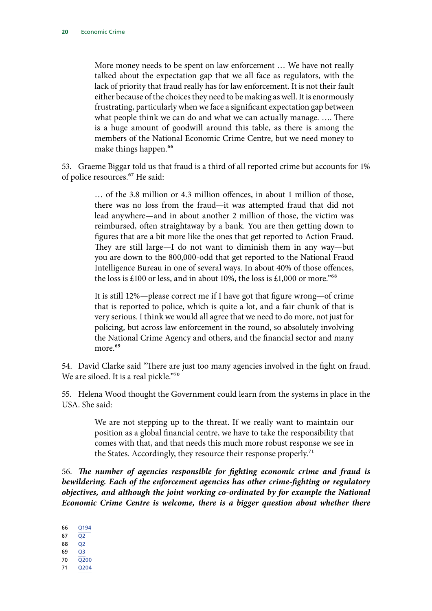More money needs to be spent on law enforcement … We have not really talked about the expectation gap that we all face as regulators, with the lack of priority that fraud really has for law enforcement. It is not their fault either because of the choices they need to be making as well. It is enormously frustrating, particularly when we face a significant expectation gap between what people think we can do and what we can actually manage. …. There is a huge amount of goodwill around this table, as there is among the members of the National Economic Crime Centre, but we need money to make things happen.<sup>66</sup>

53. Graeme Biggar told us that fraud is a third of all reported crime but accounts for 1% of police resources.67 He said:

> … of the 3.8 million or 4.3 million offences, in about 1 million of those, there was no loss from the fraud—it was attempted fraud that did not lead anywhere—and in about another 2 million of those, the victim was reimbursed, often straightaway by a bank. You are then getting down to figures that are a bit more like the ones that get reported to Action Fraud. They are still large—I do not want to diminish them in any way—but you are down to the 800,000-odd that get reported to the National Fraud Intelligence Bureau in one of several ways. In about 40% of those offences, the loss is £100 or less, and in about 10%, the loss is £1,000 or more.<sup>"68</sup>

> It is still 12%—please correct me if I have got that figure wrong—of crime that is reported to police, which is quite a lot, and a fair chunk of that is very serious. I think we would all agree that we need to do more, not just for policing, but across law enforcement in the round, so absolutely involving the National Crime Agency and others, and the financial sector and many more.<sup>69</sup>

54. David Clarke said "There are just too many agencies involved in the fight on fraud. We are siloed. It is a real pickle."70

55. Helena Wood thought the Government could learn from the systems in place in the USA. She said:

> We are not stepping up to the threat. If we really want to maintain our position as a global financial centre, we have to take the responsibility that comes with that, and that needs this much more robust response we see in the States. Accordingly, they resource their response properly.<sup>71</sup>

56. *The number of agencies responsible for fighting economic crime and fraud is bewildering. Each of the enforcement agencies has other crime-fighting or regulatory <i>objectives, and although the joint working co-ordinated by for example the National Economic Crime Centre is welcome, there is a bigger question about whether there* 

- 69 [Q3](https://committees.parliament.uk/oralevidence/1571/pdf/) 70 [Q200](https://committees.parliament.uk/oralevidence/2532/pdf/)
- 71 [Q204](https://committees.parliament.uk/oralevidence/2532/pdf/)
	-

<sup>66</sup> [Q194](https://committees.parliament.uk/oralevidence/2349/pdf/)

<sup>67</sup> [Q2](https://committees.parliament.uk/oralevidence/1571/pdf/)

<sup>68</sup>  $\overline{Q2}$  $\overline{Q2}$  $\overline{Q2}$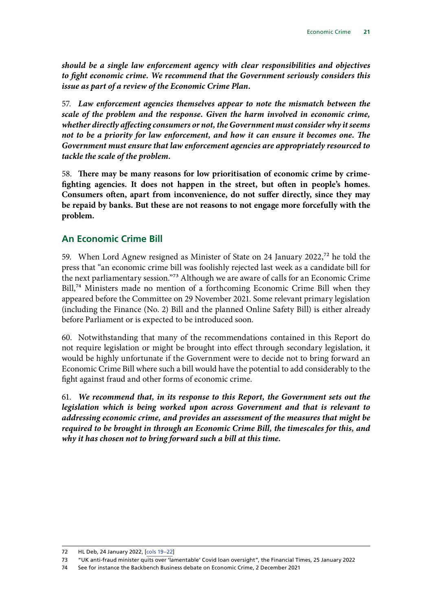<span id="page-22-0"></span>*should be a single law enforcement agency with clear responsibilities and objectives to fight economic crime. We recommend that the Government seriously considers this issue as part of a review of the Economic Crime Plan.*

57. *Law enforcement agencies themselves appear to note the mismatch between the scale of the problem and the response. Given the harm involved in economic crime, whether directly affecting consumers or not, the Government must consider why it seems not to be a priority for law enforcement, and how it can ensure it becomes one. The Government must ensure that law enforcement agencies are appropriately resourced to tackle the scale of the problem.*

58. **There may be many reasons for low prioritisation of economic crime by crimefighting agencies. It does not happen in the street, but often in people's homes. Consumers often, apart from inconvenience, do not suffer directly, since they may be repaid by banks. But these are not reasons to not engage more forcefully with the problem.**

### **An Economic Crime Bill**

59. When Lord Agnew resigned as Minister of State on 24 January 2022,<sup>72</sup> he told the press that "an economic crime bill was foolishly rejected last week as a candidate bill for the next parliamentary session."73 Although we are aware of calls for an Economic Crime Bill,<sup>74</sup> Ministers made no mention of a forthcoming Economic Crime Bill when they appeared before the Committee on 29 November 2021. Some relevant primary legislation (including the Finance (No. 2) Bill and the planned Online Safety Bill) is either already before Parliament or is expected to be introduced soon.

60. Notwithstanding that many of the recommendations contained in this Report do not require legislation or might be brought into effect through secondary legislation, it would be highly unfortunate if the Government were to decide not to bring forward an Economic Crime Bill where such a bill would have the potential to add considerably to the fight against fraud and other forms of economic crime.

61. *We recommend that, in its response to this Report, the Government sets out the legislation which is being worked upon across Government and that is relevant to addressing economic crime, and provides an assessment of the measures that might be required to be brought in through an Economic Crime Bill, the timescales for this, and why it has chosen not to bring forward such a bill at this time.*

<sup>72</sup> HL Deb, 24 January 2022, [[cols 19–22](https://hansard.parliament.uk/Lords/2022-01-24/debates/805E6270-7DF6-4CF8-9487-08F9028A1EE1/CoronavirusGrantSchemesFraud)]

<sup>73</sup> "UK anti-fraud minister quits over 'lamentable' Covid loan oversight", the Financial Times, 25 January 2022

<sup>74</sup> See for instance the Backbench Business debate on Economic Crime, 2 December 2021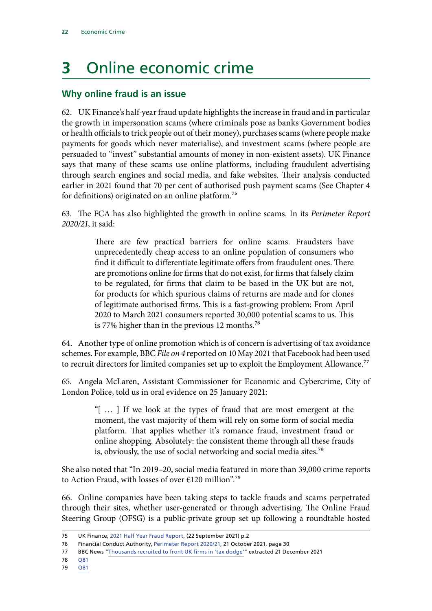## <span id="page-23-0"></span>**3** Online economic crime

### **Why online fraud is an issue**

62. UK Finance's half-year fraud update highlights the increase in fraud and in particular the growth in impersonation scams (where criminals pose as banks Government bodies or health officials to trick people out of their money), purchases scams (where people make payments for goods which never materialise), and investment scams (where people are persuaded to "invest" substantial amounts of money in non-existent assets). UK Finance says that many of these scams use online platforms, including fraudulent advertising through search engines and social media, and fake websites. Their analysis conducted earlier in 2021 found that 70 per cent of authorised push payment scams (See Chapter 4 for definitions) originated on an online platform.<sup>75</sup>

63. The FCA has also highlighted the growth in online scams. In its *Perimeter Report 2020/21*, it said:

> There are few practical barriers for online scams. Fraudsters have unprecedentedly cheap access to an online population of consumers who find it difficult to differentiate legitimate offers from fraudulent ones. There are promotions online for firms that do not exist, for firms that falsely claim to be regulated, for firms that claim to be based in the UK but are not, for products for which spurious claims of returns are made and for clones of legitimate authorised firms. This is a fast-growing problem: From April 2020 to March 2021 consumers reported 30,000 potential scams to us. This is 77% higher than in the previous 12 months.<sup>76</sup>

64. Another type of online promotion which is of concern is advertising of tax avoidance schemes. For example, BBC *File on 4* reported on 10 May 2021 that Facebook had been used to recruit directors for limited companies set up to exploit the Employment Allowance.<sup>77</sup>

65. Angela McLaren, Assistant Commissioner for Economic and Cybercrime, City of London Police, told us in oral evidence on 25 January 2021:

> "[ … ] If we look at the types of fraud that are most emergent at the moment, the vast majority of them will rely on some form of social media platform. That applies whether it's romance fraud, investment fraud or online shopping. Absolutely: the consistent theme through all these frauds is, obviously, the use of social networking and social media sites.<sup>78</sup>

She also noted that "In 2019–20, social media featured in more than 39,000 crime reports to Action Fraud, with losses of over £120 million".79

66. Online companies have been taking steps to tackle frauds and scams perpetrated through their sites, whether user-generated or through advertising. The Online Fraud Steering Group (OFSG) is a public-private group set up following a roundtable hosted

- 78 [Q81](https://committees.parliament.uk/oralevidence/1571/pdf/)
- 79 [Q81](https://committees.parliament.uk/oralevidence/1571/pdf/)

<sup>75</sup> UK Finance, [2021 Half Year Fraud Report,](https://www.ukfinance.org.uk/system/files/Half-year-fraud-update-2021-FINAL.pdf) (22 September 2021) p.2

<sup>76</sup> Financial Conduct Authority, [Perimeter Report 2020/21,](https://www.fca.org.uk/publication/annual-reports/perimeter-report-2020-21.pdf) 21 October 2021, page 30

<sup>77</sup> BBC News ["Thousands recruited to front UK firms in 'tax dodge'"](https://www.bbc.co.uk/news/uk-57021128) extracted 21 December 2021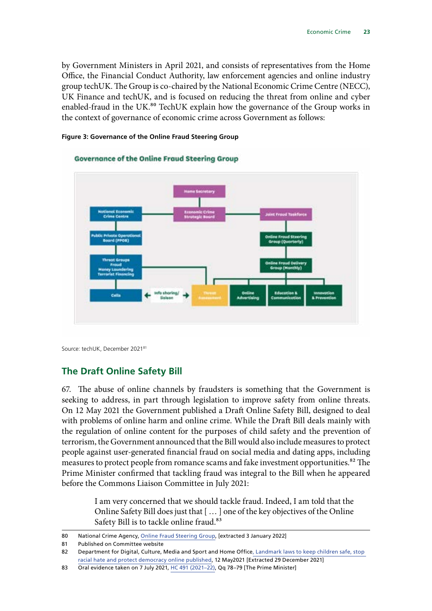<span id="page-24-0"></span>by Government Ministers in April 2021, and consists of representatives from the Home Office, the Financial Conduct Authority, law enforcement agencies and online industry group techUK. The Group is co-chaired by the National Economic Crime Centre (NECC), UK Finance and techUK, and is focused on reducing the threat from online and cyber enabled-fraud in the UK.<sup>80</sup> TechUK explain how the governance of the Group works in the context of governance of economic crime across Government as follows:



#### **Figure 3: Governance of the Online Fraud Steering Group**

Source: techUK, December 202181

### **The Draft Online Safety Bill**

67. The abuse of online channels by fraudsters is something that the Government is seeking to address, in part through legislation to improve safety from online threats. On 12 May 2021 the Government published a Draft Online Safety Bill, designed to deal with problems of online harm and online crime. While the Draft Bill deals mainly with the regulation of online content for the purposes of child safety and the prevention of terrorism, the Government announced that the Bill would also include measures to protect people against user-generated financial fraud on social media and dating apps, including measures to protect people from romance scams and fake investment opportunities.<sup>82</sup> The Prime Minister confirmed that tackling fraud was integral to the Bill when he appeared before the Commons Liaison Committee in July 2021:

> I am very concerned that we should tackle fraud. Indeed, I am told that the Online Safety Bill does just that [ … ] one of the key objectives of the Online Safety Bill is to tackle online fraud.<sup>83</sup>

<sup>80</sup> National Crime Agency, [Online Fraud Steering Group,](https://www.nationalcrimeagency.gov.uk/what-we-do/national-economic-crime-centre) [extracted 3 January 2022]

<sup>81</sup> Published on Committee website

<sup>82</sup> Department for Digital, Culture, Media and Sport and Home Office, Landmark laws to keep children safe, stop [racial hate and protect democracy online published,](https://www.gov.uk/government/news/landmark-laws-to-keep-children-safe-stop-racial-hate-and-protect-democracy-online-published) 12 May2021 [Extracted 29 December 2021]

<sup>83</sup> Oral evidence taken on 7 July 2021, [HC 491 \(2021–22\)](https://committees.parliament.uk/oralevidence/2308/default/), Qq 78–79 [The Prime Minister]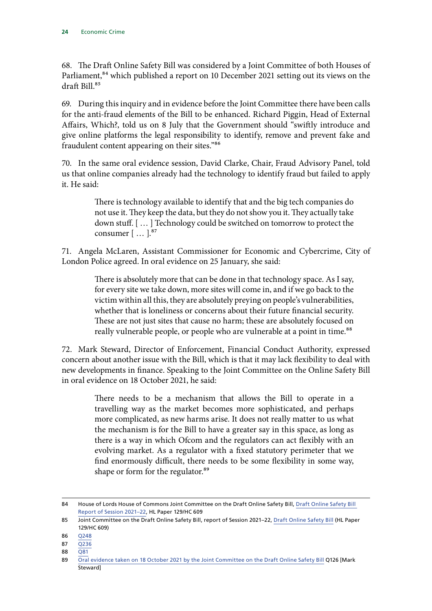68. The Draft Online Safety Bill was considered by a Joint Committee of both Houses of Parliament,<sup>84</sup> which published a report on 10 December 2021 setting out its views on the draft Bill<sup>85</sup>

69. During this inquiry and in evidence before the Joint Committee there have been calls for the anti-fraud elements of the Bill to be enhanced. Richard Piggin, Head of External Affairs, Which?, told us on 8 July that the Government should "swiftly introduce and give online platforms the legal responsibility to identify, remove and prevent fake and fraudulent content appearing on their sites."86

70. In the same oral evidence session, David Clarke, Chair, Fraud Advisory Panel, told us that online companies already had the technology to identify fraud but failed to apply it. He said:

> There is technology available to identify that and the big tech companies do not use it. They keep the data, but they do not show you it. They actually take down stuff. [ … ] Technology could be switched on tomorrow to protect the consumer [ ... ].<sup>87</sup>

71. Angela McLaren, Assistant Commissioner for Economic and Cybercrime, City of London Police agreed. In oral evidence on 25 January, she said:

> There is absolutely more that can be done in that technology space. As I say, for every site we take down, more sites will come in, and if we go back to the victim within all this, they are absolutely preying on people's vulnerabilities, whether that is loneliness or concerns about their future financial security. These are not just sites that cause no harm; these are absolutely focused on really vulnerable people, or people who are vulnerable at a point in time.<sup>88</sup>

72. Mark Steward, Director of Enforcement, Financial Conduct Authority, expressed concern about another issue with the Bill, which is that it may lack flexibility to deal with new developments in finance. Speaking to the Joint Committee on the Online Safety Bill in oral evidence on 18 October 2021, he said:

> There needs to be a mechanism that allows the Bill to operate in a travelling way as the market becomes more sophisticated, and perhaps more complicated, as new harms arise. It does not really matter to us what the mechanism is for the Bill to have a greater say in this space, as long as there is a way in which Ofcom and the regulators can act flexibly with an evolving market. As a regulator with a fixed statutory perimeter that we find enormously difficult, there needs to be some flexibility in some way, shape or form for the regulator.<sup>89</sup>

<sup>84</sup> House of Lords House of Commons Joint Committee on the Draft Online Safety Bill, [Draft Online Safety Bill](https://committees.parliament.uk/committee/534/draft-online-safety-bill-joint-committee/)  [Report of Session 2021–22](https://committees.parliament.uk/committee/534/draft-online-safety-bill-joint-committee/), HL Paper 129/HC 609

<sup>85</sup> Joint Committee on the Draft Online Safety Bill, report of Session 2021-22, [Draft Online Safety Bill](https://committees.parliament.uk/publications/8206/documents/84092/default/) (HL Paper 129/HC 609)

<sup>86</sup> [Q248](https://committees.parliament.uk/oralevidence/2532/pdf/)

<sup>87</sup> [Q236](https://committees.parliament.uk/oralevidence/2532/pdf/)

<sup>88</sup> [Q81](https://committees.parliament.uk/oralevidence/1571/pdf/)

<sup>89</sup> [Oral evidence taken on 18 October 2021 by the Joint Committee on the Draft Online Safety Bill](https://committees.parliament.uk/oralevidence/2826/pdf/) Q126 [Mark Steward]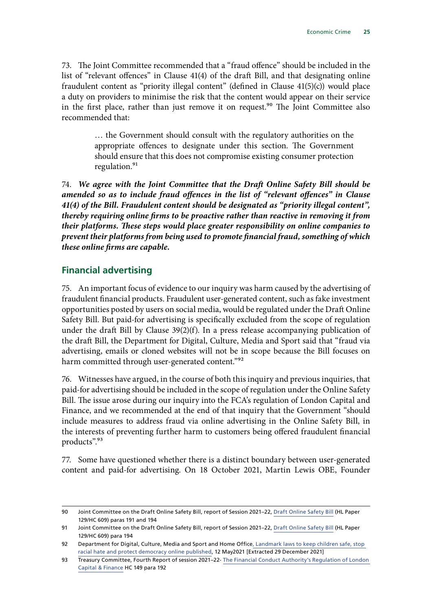<span id="page-26-0"></span>73. The Joint Committee recommended that a "fraud offence" should be included in the list of "relevant offences" in Clause 41(4) of the draft Bill, and that designating online fraudulent content as "priority illegal content" (defined in Clause 41(5)(c)) would place a duty on providers to minimise the risk that the content would appear on their service in the first place, rather than just remove it on request.<sup>90</sup> The Joint Committee also recommended that:

> … the Government should consult with the regulatory authorities on the appropriate offences to designate under this section. The Government should ensure that this does not compromise existing consumer protection regulation.<sup>91</sup>

74. *We agree with the Joint Committee that the Draft Online Safety Bill should be amended so as to include fraud offences in the list of "relevant offences" in Clause 41(4) of the Bill. Fraudulent content should be designated as "priority illegal content", thereby requiring online firms to be proactive rather than reactive in removing it from their platforms. These steps would place greater responsibility on online companies to prevent their platforms from being used to promote financial fraud, something of which these online firms are capable.*

#### **Financial advertising**

75. An important focus of evidence to our inquiry was harm caused by the advertising of fraudulent financial products. Fraudulent user-generated content, such as fake investment opportunities posted by users on social media, would be regulated under the Draft Online Safety Bill. But paid-for advertising is specifically excluded from the scope of regulation under the draft Bill by Clause 39(2)(f). In a press release accompanying publication of the draft Bill, the Department for Digital, Culture, Media and Sport said that "fraud via advertising, emails or cloned websites will not be in scope because the Bill focuses on harm committed through user-generated content."92

76. Witnesses have argued, in the course of both this inquiry and previous inquiries, that paid-for advertising should be included in the scope of regulation under the Online Safety Bill. The issue arose during our inquiry into the FCA's regulation of London Capital and Finance, and we recommended at the end of that inquiry that the Government "should include measures to address fraud via online advertising in the Online Safety Bill, in the interests of preventing further harm to customers being offered fraudulent financial products".93

77. Some have questioned whether there is a distinct boundary between user-generated content and paid-for advertising. On 18 October 2021, Martin Lewis OBE, Founder

<sup>90</sup> Joint Committee on the Draft Online Safety Bill, report of Session 2021–22, [Draft Online Safety Bill](https://committees.parliament.uk/publications/8206/documents/84092/default/) (HL Paper 129/HC 609) paras 191 and 194

<sup>91</sup> Joint Committee on the Draft Online Safety Bill, report of Session 2021–22, [Draft Online Safety Bill](https://committees.parliament.uk/publications/8206/documents/84092/default/) (HL Paper 129/HC 609) para 194

<sup>92</sup> Department for Digital, Culture, Media and Sport and Home Offic[e, Landmark laws to keep children safe, stop](https://www.gov.uk/government/news/landmark-laws-to-keep-children-safe-stop-racial-hate-and-protect-democracy-online-published)  [racial hate and protect democracy online published,](https://www.gov.uk/government/news/landmark-laws-to-keep-children-safe-stop-racial-hate-and-protect-democracy-online-published) 12 May2021 [Extracted 29 December 2021]

<sup>93</sup> Treasury Committee, Fourth Report of session 2021–22- [The Financial Conduct Authority's Regulation of London](https://committees.parliament.uk/publications/6397/documents/70132/default/)  [Capital & Finance](https://committees.parliament.uk/publications/6397/documents/70132/default/) HC 149 para 192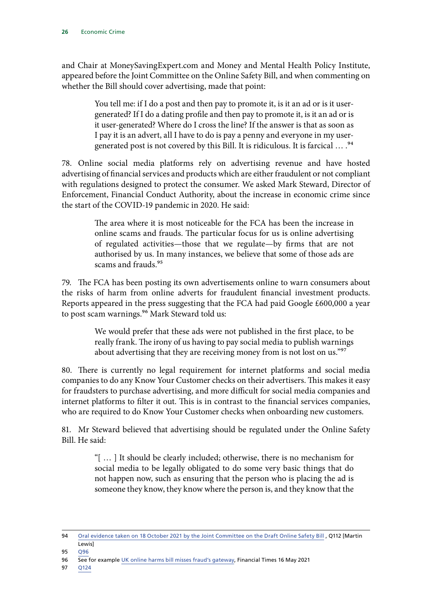and Chair at MoneySavingExpert.com and Money and Mental Health Policy Institute, appeared before the Joint Committee on the Online Safety Bill, and when commenting on whether the Bill should cover advertising, made that point:

> You tell me: if I do a post and then pay to promote it, is it an ad or is it usergenerated? If I do a dating profile and then pay to promote it, is it an ad or is it user-generated? Where do I cross the line? If the answer is that as soon as I pay it is an advert, all I have to do is pay a penny and everyone in my usergenerated post is not covered by this Bill. It is ridiculous. It is farcical  $\ldots$ .<sup>94</sup>

78. Online social media platforms rely on advertising revenue and have hosted advertising of financial services and products which are either fraudulent or not compliant with regulations designed to protect the consumer. We asked Mark Steward, Director of Enforcement, Financial Conduct Authority, about the increase in economic crime since the start of the COVID-19 pandemic in 2020. He said:

> The area where it is most noticeable for the FCA has been the increase in online scams and frauds. The particular focus for us is online advertising of regulated activities—those that we regulate—by firms that are not authorised by us. In many instances, we believe that some of those ads are scams and frauds.<sup>95</sup>

79. The FCA has been posting its own advertisements online to warn consumers about the risks of harm from online adverts for fraudulent financial investment products. Reports appeared in the press suggesting that the FCA had paid Google £600,000 a year to post scam warnings.<sup>96</sup> Mark Steward told us:

> We would prefer that these ads were not published in the first place, to be really frank. The irony of us having to pay social media to publish warnings about advertising that they are receiving money from is not lost on us."97

80. There is currently no legal requirement for internet platforms and social media companies to do any Know Your Customer checks on their advertisers. This makes it easy for fraudsters to purchase advertising, and more difficult for social media companies and internet platforms to filter it out. This is in contrast to the financial services companies, who are required to do Know Your Customer checks when onboarding new customers.

81. Mr Steward believed that advertising should be regulated under the Online Safety Bill. He said:

> "[ … ] It should be clearly included; otherwise, there is no mechanism for social media to be legally obligated to do some very basic things that do not happen now, such as ensuring that the person who is placing the ad is someone they know, they know where the person is, and they know that the

<sup>94</sup> Oral evidence taken on 18 October 2021 by the Joint Committee on the Draft Online Safety Bill, Q112 [Martin **Lewisl** 

<sup>95</sup> [Q96](https://committees.parliament.uk/oralevidence/2349/pdf/)

<sup>96</sup> See for example [UK online harms bill misses fraud's gateway,](https://www.ft.com/content/239c33ea-8d41-4e79-ab88-e53bf558a2cf) Financial Times 16 May 2021

<sup>97</sup> [Q124](https://committees.parliament.uk/oralevidence/2349/pdf/)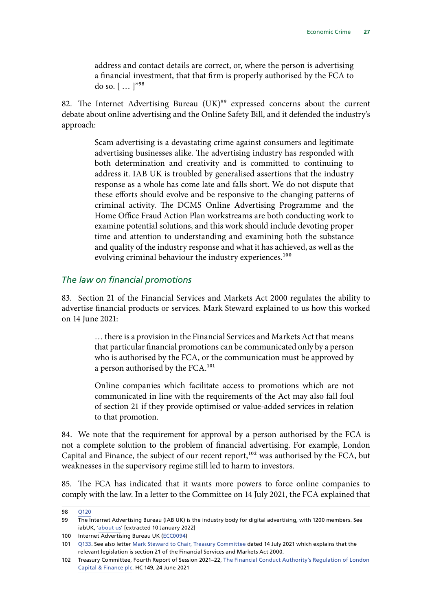address and contact details are correct, or, where the person is advertising a financial investment, that that firm is properly authorised by the FCA to do so. [ … ]"98

82. The Internet Advertising Bureau (UK)<sup>99</sup> expressed concerns about the current debate about online advertising and the Online Safety Bill, and it defended the industry's approach:

> Scam advertising is a devastating crime against consumers and legitimate advertising businesses alike. The advertising industry has responded with both determination and creativity and is committed to continuing to address it. IAB UK is troubled by generalised assertions that the industry response as a whole has come late and falls short. We do not dispute that these efforts should evolve and be responsive to the changing patterns of criminal activity. The DCMS Online Advertising Programme and the Home Office Fraud Action Plan workstreams are both conducting work to examine potential solutions, and this work should include devoting proper time and attention to understanding and examining both the substance and quality of the industry response and what it has achieved, as well as the evolving criminal behaviour the industry experiences.<sup>100</sup>

#### *The law on financial promotions*

83. Section 21 of the Financial Services and Markets Act 2000 regulates the ability to advertise financial products or services. Mark Steward explained to us how this worked on 14 June 2021:

> … there is a provision in the Financial Services and Markets Act that means that particular financial promotions can be communicated only by a person who is authorised by the FCA, or the communication must be approved by a person authorised by the FCA.101

> Online companies which facilitate access to promotions which are not communicated in line with the requirements of the Act may also fall foul of section 21 if they provide optimised or value-added services in relation to that promotion.

84. We note that the requirement for approval by a person authorised by the FCA is not a complete solution to the problem of financial advertising. For example, London Capital and Finance, the subject of our recent report,<sup>102</sup> was authorised by the FCA, but weaknesses in the supervisory regime still led to harm to investors.

85. The FCA has indicated that it wants more powers to force online companies to comply with the law. In a letter to the Committee on 14 July 2021, the FCA explained that

<sup>98</sup> [Q120](https://committees.parliament.uk/oralevidence/2349/pdf/)

<sup>99</sup> The Internet Advertising Bureau (IAB UK) is the industry body for digital advertising, with 1200 members. See iabUK, '[about us'](https://www.iabuk.com/about-us) [extracted 10 January 2022]

<sup>100</sup> Internet Advertising Bureau UK ([ECC0094\)](https://committees.parliament.uk/writtenevidence/41146/pdf/)

<sup>101</sup> [Q133.](https://committees.parliament.uk/oralevidence/2349/pdf/) See also letter [Mark Steward to Chair, Treasury Committee](https://committees.parliament.uk/publications/6817/documents/72272/default/) dated 14 July 2021 which explains that the relevant legislation is section 21 of the Financial Services and Markets Act 2000.

<sup>102</sup> Treasury Committee, Fourth Report of Session 2021–22, [The Financial Conduct Authority's Regulation of London](https://committees.parliament.uk/publications/6397/documents/70132/default/)  [Capital & Finance plc](https://committees.parliament.uk/publications/6397/documents/70132/default/). HC 149, 24 June 2021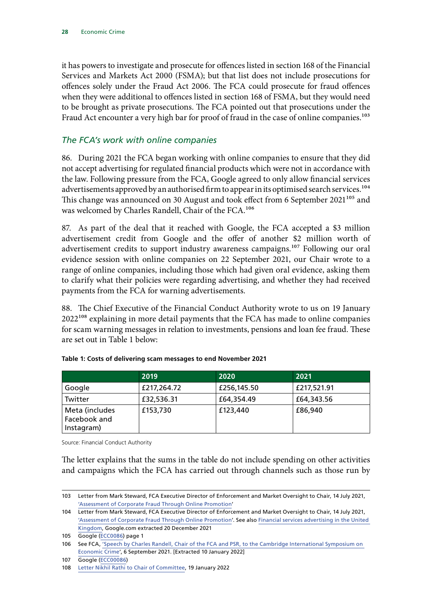it has powers to investigate and prosecute for offences listed in section 168 of the Financial Services and Markets Act 2000 (FSMA); but that list does not include prosecutions for offences solely under the Fraud Act 2006. The FCA could prosecute for fraud offences when they were additional to offences listed in section 168 of FSMA, but they would need to be brought as private prosecutions. The FCA pointed out that prosecutions under the Fraud Act encounter a very high bar for proof of fraud in the case of online companies.<sup>103</sup>

#### *The FCA's work with online companies*

86. During 2021 the FCA began working with online companies to ensure that they did not accept advertising for regulated financial products which were not in accordance with the law. Following pressure from the FCA, Google agreed to only allow financial services advertisements approved by an authorised firm to appear in its optimised search services.<sup>104</sup> This change was announced on 30 August and took effect from 6 September 2021<sup>105</sup> and was welcomed by Charles Randell, Chair of the FCA.106

87. As part of the deal that it reached with Google, the FCA accepted a \$3 million advertisement credit from Google and the offer of another \$2 million worth of advertisement credits to support industry awareness campaigns.<sup>107</sup> Following our oral evidence session with online companies on 22 September 2021, our Chair wrote to a range of online companies, including those which had given oral evidence, asking them to clarify what their policies were regarding advertising, and whether they had received payments from the FCA for warning advertisements.

88. The Chief Executive of the Financial Conduct Authority wrote to us on 19 January 2022<sup>108</sup> explaining in more detail payments that the FCA has made to online companies for scam warning messages in relation to investments, pensions and loan fee fraud. These are set out in Table 1 below:

|                                              | 2019        | 2020        | 2021        |
|----------------------------------------------|-------------|-------------|-------------|
| Google                                       | £217,264.72 | £256,145.50 | £217,521.91 |
| Twitter                                      | £32,536.31  | £64,354.49  | £64,343.56  |
| Meta (includes<br>Facebook and<br>Instagram) | £153,730    | £123,440    | £86,940     |

|  |  | Table 1: Costs of delivering scam messages to end November 2021 |
|--|--|-----------------------------------------------------------------|
|--|--|-----------------------------------------------------------------|

Source: Financial Conduct Authority

The letter explains that the sums in the table do not include spending on other activities and campaigns which the FCA has carried out through channels such as those run by

<sup>103</sup> Letter from Mark Steward, FCA Executive Director of Enforcement and Market Oversight to Chair, 14 July 2021, ['Assessment of Corporate Fraud Through Online Promotion'](https://committees.parliament.uk/publications/6817/documents/72272/default/)

<sup>104</sup> Letter from Mark Steward, FCA Executive Director of Enforcement and Market Oversight to Chair, 14 July 2021, ['Assessment of Corporate Fraud Through Online Promotion'](https://committees.parliament.uk/publications/6817/documents/72272/default/). See also [Financial services advertising in the United](https://support.google.com/adspolicy/answer/2464998)  [Kingdom,](https://support.google.com/adspolicy/answer/2464998) Google.com extracted 20 December 2021

<sup>105</sup> Google [\(ECC0086](https://committees.parliament.uk/writtenevidence/40330/pdf/)) page 1

<sup>106</sup> See FCA, 'Speech by Charles Randell, Chair of the FCA and PSR, to the Cambridge International Symposium on [Economic Crime'](https://www.fca.org.uk/news/speeches/risks-token-regulation), 6 September 2021. [Extracted 10 January 2022]

<sup>107</sup> Google [\(ECC00086\)](https://committees.parliament.uk/writtenevidence/40330/pdf/)

<sup>108</sup> [Letter Nikhil Rathi to Chair of Committee](https://committees.parliament.uk/publications/8619/documents/87197/default/), 19 January 2022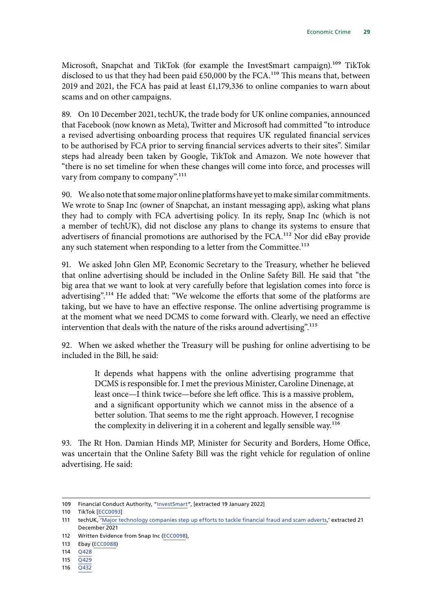Microsoft, Snapchat and TikTok (for example the InvestSmart campaign).<sup>109</sup> TikTok disclosed to us that they had been paid  $£50,000$  by the FCA.<sup>110</sup> This means that, between 2019 and 2021, the FCA has paid at least £1,179,336 to online companies to warn about scams and on other campaigns.

89. On 10 December 2021, techUK, the trade body for UK online companies, announced that Facebook (now known as Meta), Twitter and Microsoft had committed "to introduce a revised advertising onboarding process that requires UK regulated financial services to be authorised by FCA prior to serving financial services adverts to their sites". Similar steps had already been taken by Google, TikTok and Amazon. We note however that "there is no set timeline for when these changes will come into force, and processes will vary from company to company".<sup>111</sup>

90. We also note that some major online platforms have yet to make similar commitments. We wrote to Snap Inc (owner of Snapchat, an instant messaging app), asking what plans they had to comply with FCA advertising policy. In its reply, Snap Inc (which is not a member of techUK), did not disclose any plans to change its systems to ensure that advertisers of financial promotions are authorised by the FCA.<sup>112</sup> Nor did eBay provide any such statement when responding to a letter from the Committee.<sup>113</sup>

91. We asked John Glen MP, Economic Secretary to the Treasury, whether he believed that online advertising should be included in the Online Safety Bill. He said that "the big area that we want to look at very carefully before that legislation comes into force is advertising".114 He added that: "We welcome the efforts that some of the platforms are taking, but we have to have an effective response. The online advertising programme is at the moment what we need DCMS to come forward with. Clearly, we need an effective intervention that deals with the nature of the risks around advertising".<sup>115</sup>

92. When we asked whether the Treasury will be pushing for online advertising to be included in the Bill, he said:

> It depends what happens with the online advertising programme that DCMS is responsible for. I met the previous Minister, Caroline Dinenage, at least once—I think twice—before she left office. This is a massive problem, and a significant opportunity which we cannot miss in the absence of a better solution. That seems to me the right approach. However, I recognise the complexity in delivering it in a coherent and legally sensible way.116

93. The Rt Hon. Damian Hinds MP, Minister for Security and Borders, Home Office, was uncertain that the Online Safety Bill was the right vehicle for regulation of online advertising. He said:

<sup>109</sup> Financial Conduct Authority, ["InvestSmart"](https://www.fca.org.uk/investsmart), [extracted 19 January 2022]

<sup>110</sup> TikTok [[ECC0093](https://committees.parliament.uk/writtenevidence/41144/pdf/)]

<sup>111</sup> techUK, ['Major technology companies step up efforts to tackle financial fraud and scam adverts,](https://www.techuk.org/resource/major-technology-companies-step-up-efforts-to-tackle-financial-fraud-and-scam-adverts.html)' extracted 21 December 2021

<sup>112</sup> Written Evidence from Snap Inc [\(ECC0098](https://committees.parliament.uk/writtenevidence/41363/pdf/)),

<sup>113</sup> Ebay [\(ECC0088](https://committees.parliament.uk/writtenevidence/40336/pdf/))

<sup>114</sup> [Q428](https://committees.parliament.uk/oralevidence/3088/pdf/)

<sup>115</sup> [Q429](https://committees.parliament.uk/oralevidence/3088/pdf/)

<sup>116</sup> [Q432](https://committees.parliament.uk/oralevidence/3088/pdf/)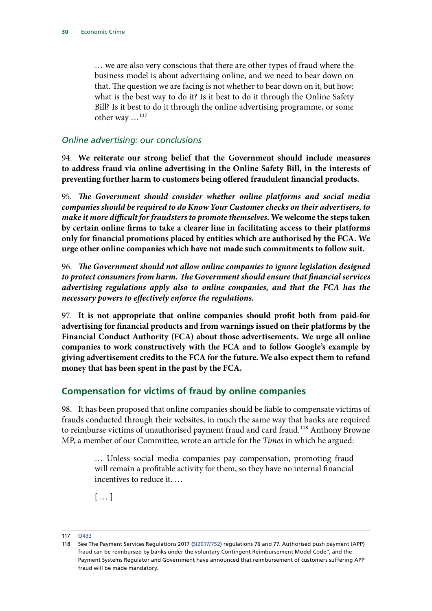<span id="page-31-0"></span>… we are also very conscious that there are other types of fraud where the business model is about advertising online, and we need to bear down on that. The question we are facing is not whether to bear down on it, but how: what is the best way to do it? Is it best to do it through the Online Safety Bill? Is it best to do it through the online advertising programme, or some other way ...<sup>117</sup>

#### *Online advertising: our conclusions*

94. **We reiterate our strong belief that the Government should include measures to address fraud via online advertising in the Online Safety Bill, in the interests of preventing further harm to customers being offered fraudulent financial products.**

95. *The Government should consider whether online platforms and social media companies should be required to do Know Your Customer checks on their advertisers, to make it more difficult for fraudsters to promote themselves.* **We welcome the steps taken by certain online firms to take a clearer line in facilitating access to their platforms only for financial promotions placed by entities which are authorised by the FCA. We urge other online companies which have not made such commitments to follow suit.**

96. *The Government should not allow online companies to ignore legislation designed to protect consumers from harm. The Government should ensure that financial services advertising regulations apply also to online companies, and that the FCA has the necessary powers to effectively enforce the regulations.*

97. **It is not appropriate that online companies should profit both from paid-for advertising for financial products and from warnings issued on their platforms by the Financial Conduct Authority (FCA) about those advertisements. We urge all online companies to work constructively with the FCA and to follow Google's example by giving advertisement credits to the FCA for the future. We also expect them to refund money that has been spent in the past by the FCA.**

### **Compensation for victims of fraud by online companies**

98. It has been proposed that online companies should be liable to compensate victims of frauds conducted through their websites, in much the same way that banks are required to reimburse victims of unauthorised payment fraud and card fraud.<sup>118</sup> Anthony Browne MP, a member of our Committee, wrote an article for the *Times* in which he argued:

> … Unless social media companies pay compensation, promoting fraud will remain a profitable activity for them, so they have no internal financial incentives to reduce it. …

 $[$  …  $]$ 

<sup>117</sup> [Q433](https://committees.parliament.uk/oralevidence/3088/pdf/)

<sup>118</sup> See The Payment Services Regulations 2017 [\(SI2017/752](https://www.legislation.gov.uk/uksi/2017/752/pdfs/uksi_20170752_en.pdf)) regulations 76 and 77. Authorised push payment (APP) fraud can be reimbursed by banks under the voluntary Contingent Reimbursement Model Code", and the Payment Systems Regulator and Government have announced that reimbursement of customers suffering APP fraud will be made mandatory.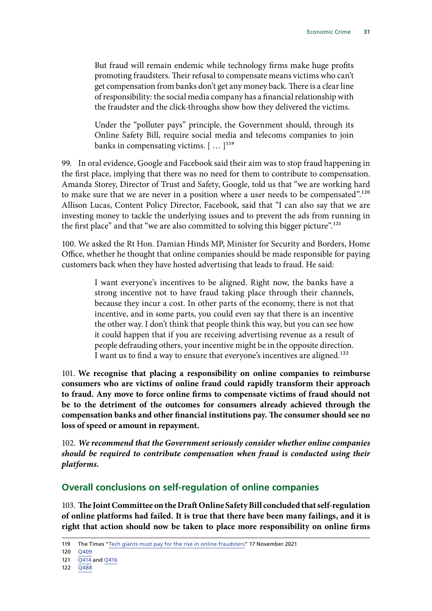<span id="page-32-0"></span>But fraud will remain endemic while technology firms make huge profits promoting fraudsters. Their refusal to compensate means victims who can't get compensation from banks don't get any money back. There is a clear line of responsibility: the social media company has a financial relationship with the fraudster and the click-throughs show how they delivered the victims.

Under the "polluter pays" principle, the Government should, through its Online Safety Bill, require social media and telecoms companies to join banks in compensating victims.  $[$  ...  $]$ <sup>119</sup>

99. In oral evidence, Google and Facebook said their aim was to stop fraud happening in the first place, implying that there was no need for them to contribute to compensation. Amanda Storey, Director of Trust and Safety, Google, told us that "we are working hard to make sure that we are never in a position where a user needs to be compensated".<sup>120</sup> Allison Lucas, Content Policy Director, Facebook, said that "I can also say that we are investing money to tackle the underlying issues and to prevent the ads from running in the first place" and that "we are also committed to solving this bigger picture".121

100. We asked the Rt Hon. Damian Hinds MP, Minister for Security and Borders, Home Office, whether he thought that online companies should be made responsible for paying customers back when they have hosted advertising that leads to fraud. He said:

> I want everyone's incentives to be aligned. Right now, the banks have a strong incentive not to have fraud taking place through their channels, because they incur a cost. In other parts of the economy, there is not that incentive, and in some parts, you could even say that there is an incentive the other way. I don't think that people think this way, but you can see how it could happen that if you are receiving advertising revenue as a result of people defrauding others, your incentive might be in the opposite direction. I want us to find a way to ensure that everyone's incentives are aligned.<sup>122</sup>

101. **We recognise that placing a responsibility on online companies to reimburse consumers who are victims of online fraud could rapidly transform their approach to fraud. Any move to force online firms to compensate victims of fraud should not be to the detriment of the outcomes for consumers already achieved through the compensation banks and other financial institutions pay. The consumer should see no loss of speed or amount in repayment.**

102. *We recommend that the Government seriously consider whether online companies should be required to contribute compensation when fraud is conducted using their platforms.*

### **Overall conclusions on self-regulation of online companies**

103. **The Joint Committee on the Draft Online Safety Bill concluded that self-regulation of online platforms had failed. It is true that there have been many failings, and it is right that action should now be taken to place more responsibility on online firms** 

<sup>119</sup> The Times "[Tech giants must pay for the rise in online fraudsters](https://www.thetimes.co.uk/article/tech-giants-must-pay-for-the-rise-in-online-fraudsters-n7n9zkrjf)" 17 November 2021

<sup>120</sup> [Q409](https://committees.parliament.uk/oralevidence/2779/pdf/)

<sup>121</sup> [Q414](https://committees.parliament.uk/oralevidence/2779/pdf/) and [Q416](https://committees.parliament.uk/oralevidence/2779/pdf/)

<sup>122</sup> [Q488](https://committees.parliament.uk/oralevidence/3088/pdf/)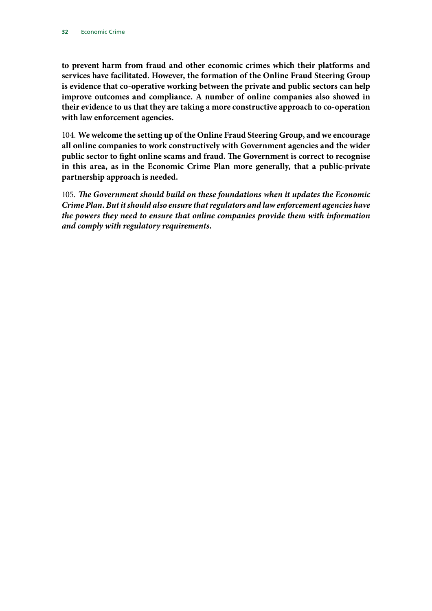**to prevent harm from fraud and other economic crimes which their platforms and services have facilitated. However, the formation of the Online Fraud Steering Group is evidence that co-operative working between the private and public sectors can help improve outcomes and compliance. A number of online companies also showed in their evidence to us that they are taking a more constructive approach to co-operation with law enforcement agencies.**

104. **We welcome the setting up of the Online Fraud Steering Group, and we encourage all online companies to work constructively with Government agencies and the wider public sector to fight online scams and fraud. The Government is correct to recognise in this area, as in the Economic Crime Plan more generally, that a public-private partnership approach is needed.**

105. *The Government should build on these foundations when it updates the Economic Crime Plan. But it should also ensure that regulators and law enforcement agencies have the powers they need to ensure that online companies provide them with information and comply with regulatory requirements.*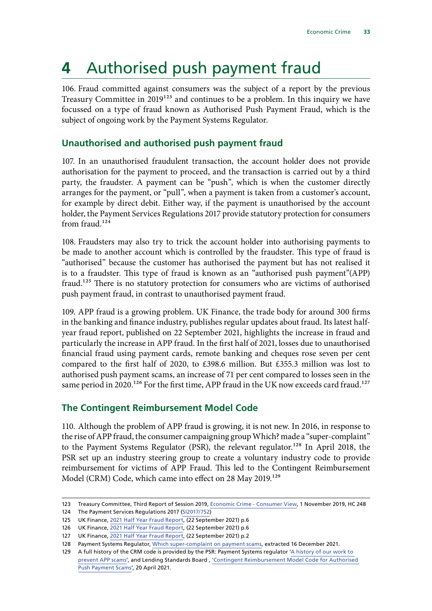## <span id="page-34-0"></span>**4** Authorised push payment fraud

106. Fraud committed against consumers was the subject of a report by the previous Treasury Committee in  $2019^{123}$  and continues to be a problem. In this inquiry we have focussed on a type of fraud known as Authorised Push Payment Fraud, which is the subject of ongoing work by the Payment Systems Regulator.

### **Unauthorised and authorised push payment fraud**

107. In an unauthorised fraudulent transaction, the account holder does not provide authorisation for the payment to proceed, and the transaction is carried out by a third party, the fraudster. A payment can be "push", which is when the customer directly arranges for the payment, or "pull", when a payment is taken from a customer's account, for example by direct debit. Either way, if the payment is unauthorised by the account holder, the Payment Services Regulations 2017 provide statutory protection for consumers from fraud.<sup>124</sup>

108. Fraudsters may also try to trick the account holder into authorising payments to be made to another account which is controlled by the fraudster. This type of fraud is "authorised" because the customer has authorised the payment but has not realised it is to a fraudster. This type of fraud is known as an "authorised push payment"(APP) fraud.125 There is no statutory protection for consumers who are victims of authorised push payment fraud, in contrast to unauthorised payment fraud.

109. APP fraud is a growing problem. UK Finance, the trade body for around 300 firms in the banking and finance industry, publishes regular updates about fraud. Its latest halfyear fraud report, published on 22 September 2021, highlights the increase in fraud and particularly the increase in APP fraud. In the first half of 2021, losses due to unauthorised financial fraud using payment cards, remote banking and cheques rose seven per cent compared to the first half of 2020, to £398.6 million. But £355.3 million was lost to authorised push payment scams, an increase of 71 per cent compared to losses seen in the same period in 2020.<sup>126</sup> For the first time, APP fraud in the UK now exceeds card fraud.<sup>127</sup>

### **The Contingent Reimbursement Model Code**

110. Although the problem of APP fraud is growing, it is not new. In 2016, in response to the rise of APP fraud, the consumer campaigning group Which? made a "super-complaint" to the Payment Systems Regulator (PSR), the relevant regulator.<sup>128</sup> In April 2018, the PSR set up an industry steering group to create a voluntary industry code to provide reimbursement for victims of APP Fraud. This led to the Contingent Reimbursement Model (CRM) Code, which came into effect on 28 May 2019.<sup>129</sup>

<sup>123</sup> Treasury Committee, Third Report of Session 2019, [Economic Crime - Consumer View](https://publications.parliament.uk/pa/cm201919/cmselect/cmtreasy/246/246.pdf), 1 November 2019, HC 248

<sup>124</sup> The Payment Services Regulations 2017 ([SI2017/752\)](https://www.legislation.gov.uk/uksi/2017/752/pdfs/uksi_20170752_en.pdf)

<sup>125</sup> UK Finance, [2021 Half Year Fraud Report,](https://www.ukfinance.org.uk/system/files/Half-year-fraud-update-2021-FINAL.pdf) (22 September 2021) p.6

<sup>126</sup> UK Finance, [2021 Half Year Fraud Report,](https://www.ukfinance.org.uk/system/files/Half-year-fraud-update-2021-FINAL.pdf) (22 September 2021) p.6

<sup>127</sup> UK Finance, [2021 Half Year Fraud Report,](https://www.ukfinance.org.uk/system/files/Half-year-fraud-update-2021-FINAL.pdf) (22 September 2021) p.2

<sup>128</sup> Payment Systems Regulator, [Which super-complaint on payment scams,](https://www.psr.org.uk/how-we-regulate/complaints-and-disputes/which-super-complaint-on-payment-scams/) extracted 16 December 2021.

<sup>129</sup> A full history of the CRM code is provided by the PSR: Payment Systems regulator ['A history of our work to](https://www.psr.org.uk/media/ulse0vqm/webpage-history-of-app-scams-work.pdf)  [prevent APP scams](https://www.psr.org.uk/media/ulse0vqm/webpage-history-of-app-scams-work.pdf)', and Lending Standards Board , ['Contingent Reimbursement Model Code for Authorised](https://www.lendingstandardsboard.org.uk/wp-content/uploads/2021/04/CRM-Code-LSB-Final-April-2021.pdf)  [Push Payment Scams](https://www.lendingstandardsboard.org.uk/wp-content/uploads/2021/04/CRM-Code-LSB-Final-April-2021.pdf)', 20 April 2021.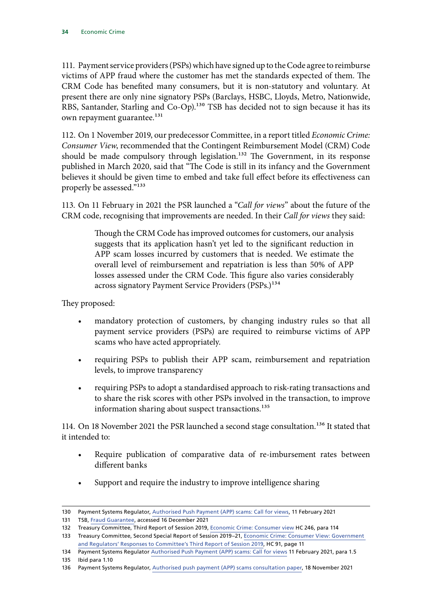111. Payment service providers (PSPs) which have signed up to the Code agree to reimburse victims of APP fraud where the customer has met the standards expected of them. The CRM Code has benefited many consumers, but it is non-statutory and voluntary. At present there are only nine signatory PSPs (Barclays, HSBC, Lloyds, Metro, Nationwide, RBS, Santander, Starling and Co-Op).<sup>130</sup> TSB has decided not to sign because it has its own repayment guarantee.<sup>131</sup>

112. On 1 November 2019, our predecessor Committee, in a report titled *Economic Crime: Consumer View*, recommended that the Contingent Reimbursement Model (CRM) Code should be made compulsory through legislation.<sup>132</sup> The Government, in its response published in March 2020, said that "The Code is still in its infancy and the Government believes it should be given time to embed and take full effect before its effectiveness can properly be assessed."<sup>133</sup>

113. On 11 February in 2021 the PSR launched a "*Call for views*" about the future of the CRM code, recognising that improvements are needed. In their *Call for views* they said:

> Though the CRM Code has improved outcomes for customers, our analysis suggests that its application hasn't yet led to the significant reduction in APP scam losses incurred by customers that is needed. We estimate the overall level of reimbursement and repatriation is less than 50% of APP losses assessed under the CRM Code. This figure also varies considerably across signatory Payment Service Providers (PSPs.)<sup>134</sup>

They proposed:

- mandatory protection of customers, by changing industry rules so that all payment service providers (PSPs) are required to reimburse victims of APP scams who have acted appropriately.
- requiring PSPs to publish their APP scam, reimbursement and repatriation levels, to improve transparency
- requiring PSPs to adopt a standardised approach to risk-rating transactions and to share the risk scores with other PSPs involved in the transaction, to improve information sharing about suspect transactions.<sup>135</sup>

114. On 18 November 2021 the PSR launched a second stage consultation.<sup>136</sup> It stated that it intended to:

- Require publication of comparative data of re-imbursement rates between different banks
- Support and require the industry to improve intelligence sharing

135 Ibid para 1.10

<sup>130</sup> Payment Systems Regulator, [Authorised Push Payment \(APP\) scams: Call for views,](https://www.psr.org.uk/media/5yvpidyc/psr_cp21-3_app_scams_call_for_views_feb-2021.pdf) 11 February 2021

<sup>131</sup> TSB, [Fraud Guarantee](https://www.tsb.co.uk/fraud-prevention-centre/fraud-refund-guarantee/), accessed 16 December 2021

<sup>132</sup> Treasury Committee, Third Report of Session 2019, [Economic Crime: Consumer view](https://publications.parliament.uk/pa/cm201919/cmselect/cmtreasy/246/246.pdf) HC 246, para 114

<sup>133</sup> Treasury Committee, Second Special Report of Session 2019–21, [Economic Crime: Consumer View: Government](https://committees.parliament.uk/publications/316/documents/1303/default/) [and Regulators' Responses to Committee's Third Report of Session 2019](https://committees.parliament.uk/publications/316/documents/1303/default/), HC 91, page 11

<sup>134</sup> Payment Systems Regulator [Authorised Push Payment \(APP\) scams: Call for views](https://www.psr.org.uk/media/5yvpidyc/psr_cp21-3_app_scams_call_for_views_feb-2021.pdf) 11 February 2021, para 1.5

<sup>136</sup> Payment Systems Regulator, [Authorised push payment \(APP\) scams consultation paper](https://www.psr.org.uk/publications/consultations/cp21-10-authorised-push-payment-app-scams-consultation-paper/), 18 November 2021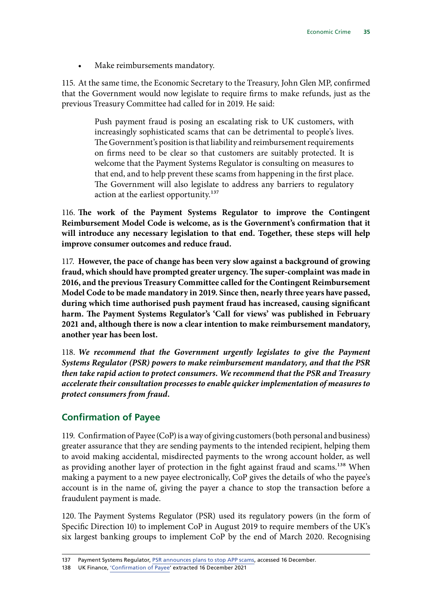Make reimbursements mandatory.

115. At the same time, the Economic Secretary to the Treasury, John Glen MP, confirmed that the Government would now legislate to require firms to make refunds, just as the previous Treasury Committee had called for in 2019. He said:

> Push payment fraud is posing an escalating risk to UK customers, with increasingly sophisticated scams that can be detrimental to people's lives. The Government's position is that liability and reimbursement requirements on firms need to be clear so that customers are suitably protected. It is welcome that the Payment Systems Regulator is consulting on measures to that end, and to help prevent these scams from happening in the first place. The Government will also legislate to address any barriers to regulatory action at the earliest opportunity.<sup>137</sup>

116. **The work of the Payment Systems Regulator to improve the Contingent Reimbursement Model Code is welcome, as is the Government's confirmation that it will introduce any necessary legislation to that end. Together, these steps will help improve consumer outcomes and reduce fraud.**

117. **However, the pace of change has been very slow against a background of growing fraud, which should have prompted greater urgency. The super-complaint was made in 2016, and the previous Treasury Committee called for the Contingent Reimbursement Model Code to be made mandatory in 2019. Since then, nearly three years have passed, during which time authorised push payment fraud has increased, causing significant harm. The Payment Systems Regulator's 'Call for views' was published in February 2021 and, although there is now a clear intention to make reimbursement mandatory, another year has been lost.**

118. *We recommend that the Government urgently legislates to give the Payment Systems Regulator (PSR) powers to make reimbursement mandatory, and that the PSR then take rapid action to protect consumers. We recommend that the PSR and Treasury accelerate their consultation processes to enable quicker implementation of measures to protect consumers from fraud.*

# **Confirmation of Payee**

119. Confirmation of Payee (CoP) is a way of giving customers (both personal and business) greater assurance that they are sending payments to the intended recipient, helping them to avoid making accidental, misdirected payments to the wrong account holder, as well as providing another layer of protection in the fight against fraud and scams.<sup>138</sup> When making a payment to a new payee electronically, CoP gives the details of who the payee's account is in the name of, giving the payer a chance to stop the transaction before a fraudulent payment is made.

120. The Payment Systems Regulator (PSR) used its regulatory powers (in the form of Specific Direction 10) to implement CoP in August 2019 to require members of the UK's six largest banking groups to implement CoP by the end of March 2020. Recognising

<sup>137</sup> Payment Systems Regulator, [PSR announces plans to stop APP scams,](https://www.psr.org.uk/news-updates/latest-news/news/psr-announces-plans-to-stop-app-scams/) accessed 16 December.

<sup>138</sup> UK Finance, ['Confirmation of Payee](https://www.ukfinance.org.uk/confirmation-of-payee)' extracted 16 December 2021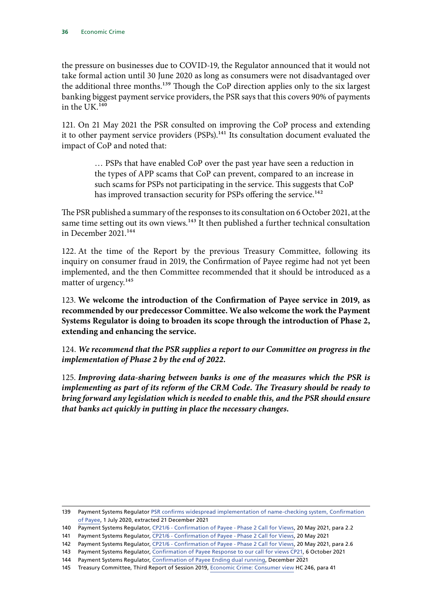the pressure on businesses due to COVID-19, the Regulator announced that it would not take formal action until 30 June 2020 as long as consumers were not disadvantaged over the additional three months.<sup>139</sup> Though the CoP direction applies only to the six largest banking biggest payment service providers, the PSR says that this covers 90% of payments in the UK.140

121. On 21 May 2021 the PSR consulted on improving the CoP process and extending it to other payment service providers (PSPs).<sup>141</sup> Its consultation document evaluated the impact of CoP and noted that:

> … PSPs that have enabled CoP over the past year have seen a reduction in the types of APP scams that CoP can prevent, compared to an increase in such scams for PSPs not participating in the service. This suggests that CoP has improved transaction security for PSPs offering the service.<sup>142</sup>

The PSR published a summary of the responses to its consultation on 6 October 2021, at the same time setting out its own views.<sup>143</sup> It then published a further technical consultation in December 2021.<sup>144</sup>

122. At the time of the Report by the previous Treasury Committee, following its inquiry on consumer fraud in 2019, the Confirmation of Payee regime had not yet been implemented, and the then Committee recommended that it should be introduced as a matter of urgency.<sup>145</sup>

123. **We welcome the introduction of the Confirmation of Payee service in 2019, as recommended by our predecessor Committee. We also welcome the work the Payment Systems Regulator is doing to broaden its scope through the introduction of Phase 2, extending and enhancing the service.**

124. *We recommend that the PSR supplies a report to our Committee on progress in the implementation of Phase 2 by the end of 2022.*

125. *Improving data-sharing between banks is one of the measures which the PSR is implementing as part of its reform of the CRM Code. The Treasury should be ready to bring forward any legislation which is needed to enable this, and the PSR should ensure that banks act quickly in putting in place the necessary changes.*

<sup>139</sup> Payment Systems Regulator [PSR confirms widespread implementation of name-checking system, Confirmation](https://www.psr.org.uk/news-updates/latest-news/announcements/psr-confirms-widespread-implementation-of-name-checking-system-confirmation-of-payee/)  [of Payee](https://www.psr.org.uk/news-updates/latest-news/announcements/psr-confirms-widespread-implementation-of-name-checking-system-confirmation-of-payee/), 1 July 2020, extracted 21 December 2021

<sup>140</sup> Payment Systems Regulator, [CP21/6 - Confirmation of Payee - Phase 2 Call for Views](https://psr.org.uk/publications/consultations/cp21-6-confirmation-of-payee-phase-2-call-for-views/), 20 May 2021, para 2.2

<sup>141</sup> Payment Systems Regulator, [CP21/6 - Confirmation of Payee - Phase 2 Call for Views](https://psr.org.uk/publications/consultations/cp21-6-confirmation-of-payee-phase-2-call-for-views/), 20 May 2021

<sup>142</sup> Payment Systems Regulator, [CP21/6 - Confirmation of Payee - Phase 2 Call for Views](https://psr.org.uk/publications/consultations/cp21-6-confirmation-of-payee-phase-2-call-for-views/), 20 May 2021, para 2.6

<sup>143</sup> Payment Systems Regulator, [Confirmation of Payee Response to our call for views CP21](https://www.psr.org.uk/media/ktonkca3/psr-rp21-1-confirmation-of-payee-response-paper-oct-2021.pdf), 6 October 2021

<sup>144</sup> Payment Systems Regulator, [Confirmation of Payee Ending dual running,](https://www.psr.org.uk/media/a41lz5ol/psr-cp-21-11-cop-dual-running-december-2021.pdf) December 2021

<sup>145</sup> Treasury Committee, Third Report of Session 2019, [Economic Crime: Consumer view](https://publications.parliament.uk/pa/cm201919/cmselect/cmtreasy/246/246.pdf) HC 246, para 41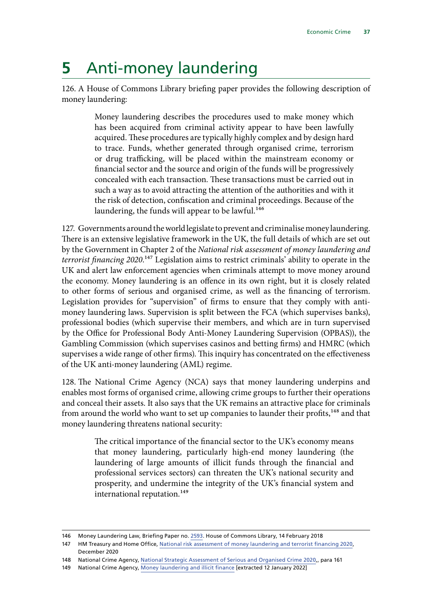# **5** Anti-money laundering

126. A House of Commons Library briefing paper provides the following description of money laundering:

> Money laundering describes the procedures used to make money which has been acquired from criminal activity appear to have been lawfully acquired. These procedures are typically highly complex and by design hard to trace. Funds, whether generated through organised crime, terrorism or drug trafficking, will be placed within the mainstream economy or financial sector and the source and origin of the funds will be progressively concealed with each transaction. These transactions must be carried out in such a way as to avoid attracting the attention of the authorities and with it the risk of detection, confiscation and criminal proceedings. Because of the laundering, the funds will appear to be lawful.<sup>146</sup>

127. Governments around the world legislate to prevent and criminalise money laundering. There is an extensive legislative framework in the UK, the full details of which are set out by the Government in Chapter 2 of the *National risk assessment of money laundering and terrorist financing 2020*.147 Legislation aims to restrict criminals' ability to operate in the UK and alert law enforcement agencies when criminals attempt to move money around the economy. Money laundering is an offence in its own right, but it is closely related to other forms of serious and organised crime, as well as the financing of terrorism. Legislation provides for "supervision" of firms to ensure that they comply with antimoney laundering laws. Supervision is split between the FCA (which supervises banks), professional bodies (which supervise their members, and which are in turn supervised by the Office for Professional Body Anti-Money Laundering Supervision (OPBAS)), the Gambling Commission (which supervises casinos and betting firms) and HMRC (which supervises a wide range of other firms). This inquiry has concentrated on the effectiveness of the UK anti-money laundering (AML) regime.

128. The National Crime Agency (NCA) says that money laundering underpins and enables most forms of organised crime, allowing crime groups to further their operations and conceal their assets. It also says that the UK remains an attractive place for criminals from around the world who want to set up companies to launder their profits,<sup>148</sup> and that money laundering threatens national security:

> The critical importance of the financial sector to the UK's economy means that money laundering, particularly high-end money laundering (the laundering of large amounts of illicit funds through the financial and professional services sectors) can threaten the UK's national security and prosperity, and undermine the integrity of the UK's financial system and international reputation.<sup>149</sup>

<sup>146</sup> Money Laundering Law, Briefing Paper no. [2593.](https://researchbriefings.files.parliament.uk/documents/SN02592/SN02592.pdf) House of Commons Library, 14 February 2018

<sup>147</sup> HM Treasury and Home Office, [National risk assessment of money laundering and terrorist financing 2020](https://assets.publishing.service.gov.uk/government/uploads/system/uploads/attachment_data/file/945411/NRA_2020_v1.2_FOR_PUBLICATION.pdf), December 2020

<sup>148</sup> National Crime Agency, [National Strategic Assessment of Serious and Organised Crime 2020,](https://www.nationalcrimeagency.gov.uk/who-we-are/publications/437-national-strategic-assessment-of-serious-and-organised-crime-2020/file), para 161

<sup>149</sup> National Crime Agency, [Money laundering and illicit finance](https://nationalcrimeagency.gov.uk/what-we-do/crime-threats/money-laundering-and-illicit-finance) [extracted 12 January 2022]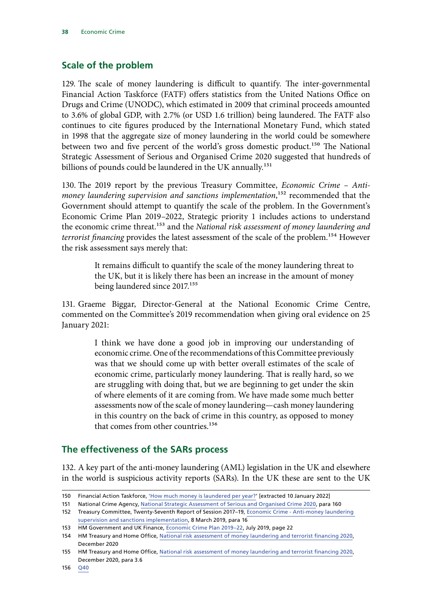# **Scale of the problem**

129. The scale of money laundering is difficult to quantify. The inter-governmental Financial Action Taskforce (FATF) offers statistics from the United Nations Office on Drugs and Crime (UNODC), which estimated in 2009 that criminal proceeds amounted to 3.6% of global GDP, with 2.7% (or USD 1.6 trillion) being laundered. The FATF also continues to cite figures produced by the International Monetary Fund, which stated in 1998 that the aggregate size of money laundering in the world could be somewhere between two and five percent of the world's gross domestic product.<sup>150</sup> The National Strategic Assessment of Serious and Organised Crime 2020 suggested that hundreds of billions of pounds could be laundered in the UK annually.<sup>151</sup>

130. The 2019 report by the previous Treasury Committee, *Economic Crime – Antimoney laundering supervision and sanctions implementation*,<sup>152</sup> recommended that the Government should attempt to quantify the scale of the problem. In the Government's Economic Crime Plan 2019–2022, Strategic priority 1 includes actions to understand the economic crime threat.153 and the *National risk assessment of money laundering and terrorist financing* provides the latest assessment of the scale of the problem.<sup>154</sup> However the risk assessment says merely that:

> It remains difficult to quantify the scale of the money laundering threat to the UK, but it is likely there has been an increase in the amount of money being laundered since 2017.<sup>155</sup>

131. Graeme Biggar, Director-General at the National Economic Crime Centre, commented on the Committee's 2019 recommendation when giving oral evidence on 25 January 2021:

> I think we have done a good job in improving our understanding of economic crime. One of the recommendations of this Committee previously was that we should come up with better overall estimates of the scale of economic crime, particularly money laundering. That is really hard, so we are struggling with doing that, but we are beginning to get under the skin of where elements of it are coming from. We have made some much better assessments now of the scale of money laundering—cash money laundering in this country on the back of crime in this country, as opposed to money that comes from other countries.<sup>156</sup>

# **The effectiveness of the SARs process**

132. A key part of the anti-money laundering (AML) legislation in the UK and elsewhere in the world is suspicious activity reports (SARs). In the UK these are sent to the UK

151 National Crime Agency, [National Strategic Assessment of Serious and Organised Crime 2020,](https://www.nationalcrimeagency.gov.uk/who-we-are/publications/437-national-strategic-assessment-of-serious-and-organised-crime-2020/file) para 160

152 Treasury Committee, Twenty-Seventh Report of Session 2017–19, [Economic Crime - Anti-money laundering](https://publications.parliament.uk/pa/cm201719/cmselect/cmtreasy/2010/2010.pdf)  [supervision and sanctions implementation](https://publications.parliament.uk/pa/cm201719/cmselect/cmtreasy/2010/2010.pdf), 8 March 2019, para 16

<sup>150</sup> Financial Action Taskforce, 'How much money is laundered per year?' [extracted 10 January 2022]

<sup>153</sup> HM Government and UK Finance, [Economic Crime Plan 2019–22,](https://assets.publishing.service.gov.uk/government/uploads/system/uploads/attachment_data/file/816215/2019-22_Economic_Crime_Plan.pdf) July 2019, page 22

<sup>154</sup> HM Treasury and Home Office, [National risk assessment of money laundering and terrorist financing 2020](https://assets.publishing.service.gov.uk/government/uploads/system/uploads/attachment_data/file/945411/NRA_2020_v1.2_FOR_PUBLICATION.pdf), December 2020

<sup>155</sup> HM Treasury and Home Office, [National risk assessment of money laundering and terrorist financing 2020](https://assets.publishing.service.gov.uk/government/uploads/system/uploads/attachment_data/file/945411/NRA_2020_v1.2_FOR_PUBLICATION.pdf), December 2020, para 3.6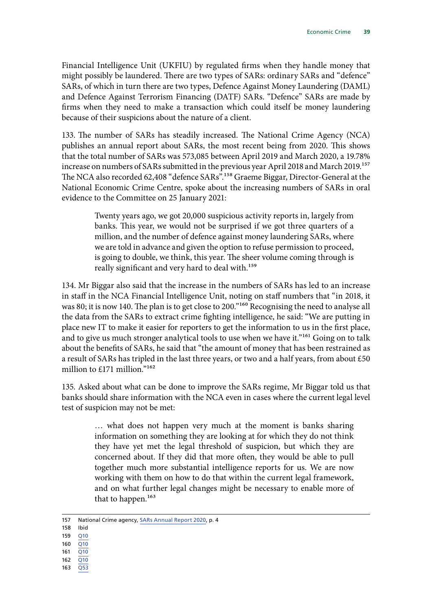Financial Intelligence Unit (UKFIU) by regulated firms when they handle money that might possibly be laundered. There are two types of SARs: ordinary SARs and "defence" SARs, of which in turn there are two types, Defence Against Money Laundering (DAML) and Defence Against Terrorism Financing (DATF) SARs. "Defence" SARs are made by firms when they need to make a transaction which could itself be money laundering because of their suspicions about the nature of a client.

133. The number of SARs has steadily increased. The National Crime Agency (NCA) publishes an annual report about SARs, the most recent being from 2020. This shows that the total number of SARs was 573,085 between April 2019 and March 2020, a 19.78% increase on numbers of SARs submitted in the previous year April 2018 and March 2019.<sup>157</sup> The NCA also recorded 62,408 "defence SARs".<sup>158</sup> Graeme Biggar, Director-General at the National Economic Crime Centre, spoke about the increasing numbers of SARs in oral evidence to the Committee on 25 January 2021:

> Twenty years ago, we got 20,000 suspicious activity reports in, largely from banks. This year, we would not be surprised if we got three quarters of a million, and the number of defence against money laundering SARs, where we are told in advance and given the option to refuse permission to proceed, is going to double, we think, this year. The sheer volume coming through is really significant and very hard to deal with.<sup>159</sup>

134. Mr Biggar also said that the increase in the numbers of SARs has led to an increase in staff in the NCA Financial Intelligence Unit, noting on staff numbers that "in 2018, it was 80; it is now 140. The plan is to get close to 200."160 Recognising the need to analyse all the data from the SARs to extract crime fighting intelligence, he said: "We are putting in place new IT to make it easier for reporters to get the information to us in the first place, and to give us much stronger analytical tools to use when we have it."<sup>161</sup> Going on to talk about the benefits of SARs, he said that "the amount of money that has been restrained as a result of SARs has tripled in the last three years, or two and a half years, from about £50 million to £171 million."162

135. Asked about what can be done to improve the SARs regime, Mr Biggar told us that banks should share information with the NCA even in cases where the current legal level test of suspicion may not be met:

> … what does not happen very much at the moment is banks sharing information on something they are looking at for which they do not think they have yet met the legal threshold of suspicion, but which they are concerned about. If they did that more often, they would be able to pull together much more substantial intelligence reports for us. We are now working with them on how to do that within the current legal framework, and on what further legal changes might be necessary to enable more of that to happen.<sup>163</sup>

- 159 [Q10](https://committees.parliament.uk/oralevidence/1571/pdf/)
- $160$  Q $10$
- 161 [Q10](https://committees.parliament.uk/oralevidence/1571/pdf/)
- 162 [Q10](https://committees.parliament.uk/oralevidence/1571/pdf/)
- 163 [Q53](https://committees.parliament.uk/oralevidence/1571/pdf/)

<sup>157</sup> National Crime agency, [SARs Annual Report 2020,](https://www.nationalcrimeagency.gov.uk/who-we-are/publications/480-sars-annual-report-2020/file) p. 4

<sup>158</sup> Ibid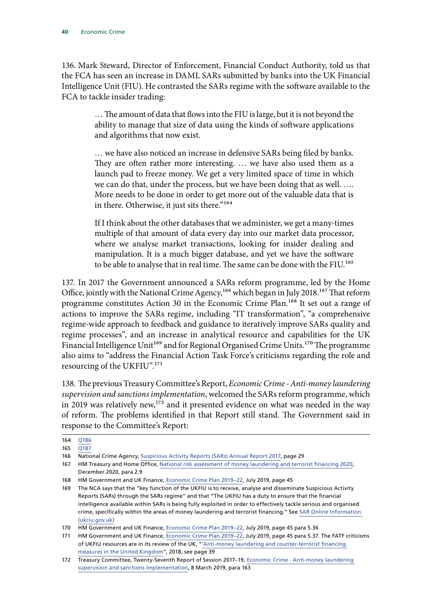136. Mark Steward, Director of Enforcement, Financial Conduct Authority, told us that the FCA has seen an increase in DAML SARs submitted by banks into the UK Financial Intelligence Unit (FIU). He contrasted the SARs regime with the software available to the FCA to tackle insider trading:

> … The amount of data that flows into the FIU is large, but it is not beyond the ability to manage that size of data using the kinds of software applications and algorithms that now exist.

> … we have also noticed an increase in defensive SARs being filed by banks. They are often rather more interesting. … we have also used them as a launch pad to freeze money. We get a very limited space of time in which we can do that, under the process, but we have been doing that as well. …. More needs to be done in order to get more out of the valuable data that is in there. Otherwise, it just sits there."<sup>164</sup>

> If I think about the other databases that we administer, we get a many-times multiple of that amount of data every day into our market data processor, where we analyse market transactions, looking for insider dealing and manipulation. It is a much bigger database, and yet we have the software to be able to analyse that in real time. The same can be done with the FIU.165

137. In 2017 the Government announced a SARs reform programme, led by the Home Office, jointly with the National Crime Agency,<sup>166</sup> which began in July 2018.<sup>167</sup> That reform programme constitutes Action 30 in the Economic Crime Plan.168 It set out a range of actions to improve the SARs regime, including "IT transformation", "a comprehensive regime-wide approach to feedback and guidance to iteratively improve SARs quality and regime processes", and an increase in analytical resource and capabilities for the UK Financial Intelligence Unit<sup>169</sup> and for Regional Organised Crime Units.<sup>170</sup> The programme also aims to "address the Financial Action Task Force's criticisms regarding the role and resourcing of the UKFIU".<sup>171</sup>

138. The previous Treasury Committee's Report, *Economic Crime - Anti-money laundering supervision and sanctions implementation*, welcomed the SARs reform programme, which in 2019 was relatively new,<sup>172</sup> and it presented evidence on what was needed in the way of reform. The problems identified in that Report still stand. The Government said in response to the Committee's Report:

<sup>164</sup> [Q186](https://committees.parliament.uk/oralevidence/2349/pdf/)

<sup>165</sup> O187

<sup>166</sup> National Crime Agency, [Suspicious Activity Reports \(SARs\) Annual Report 2017,](https://nationalcrimeagency.gov.uk/who-we-are/publications/112-suspicious-activity-reports-annual-report-2017/file) page 29

<sup>167</sup> HM Treasury and Home Office, [National risk assessment of money laundering and terrorist financing 2020](https://assets.publishing.service.gov.uk/government/uploads/system/uploads/attachment_data/file/945411/NRA_2020_v1.2_FOR_PUBLICATION.pdf), December 2020, para 2.9

<sup>168</sup> HM Government and UK Finance, [Economic Crime Plan 2019–22,](https://assets.publishing.service.gov.uk/government/uploads/system/uploads/attachment_data/file/816215/2019-22_Economic_Crime_Plan.pdf) July 2019, page 45

<sup>169</sup> The NCA says that the "key function of the UKFIU is to receive, analyse and disseminate Suspicious Activity Reports (SARs) through the SARs regime" and that "The UKFIU has a duty to ensure that the financial intelligence available within SARs is being fully exploited in order to effectively tackle serious and organised crime, specifically within the areas of money laundering and terrorist financing." See [SAR Online Information](https://www.ukciu.gov.uk/(srsuvdbayik1y155bze4ux55)/Information/Info.aspx)  [\(ukciu.gov.uk\)](https://www.ukciu.gov.uk/(srsuvdbayik1y155bze4ux55)/Information/Info.aspx)

<sup>170</sup> HM Government and UK Finance, [Economic Crime Plan 2019–22,](https://assets.publishing.service.gov.uk/government/uploads/system/uploads/attachment_data/file/816215/2019-22_Economic_Crime_Plan.pdf) July 2019, page 45 para 5.36

<sup>171</sup> HM Government and UK Finance, [Economic Crime Plan 2019–22,](https://assets.publishing.service.gov.uk/government/uploads/system/uploads/attachment_data/file/816215/2019-22_Economic_Crime_Plan.pdf) July 2019, page 45 para 5.37. The FATF criticisms of UKFIU resources are in its review of the UK, ["'Anti-money laundering and counter-terrorist financing](https://www.fatf-gafi.org/media/fatf/documents/reports/mer4/MER-United-Kingdom-2018.pdf)  [measures in the United Kingdom](https://www.fatf-gafi.org/media/fatf/documents/reports/mer4/MER-United-Kingdom-2018.pdf)", 2018, see page 39

<sup>172</sup> Treasury Committee, Twenty-Seventh Report of Session 2017–19, [Economic Crime - Anti-money laundering](https://publications.parliament.uk/pa/cm201719/cmselect/cmtreasy/2010/2010.pdf)  [supervision and sanctions implementation](https://publications.parliament.uk/pa/cm201719/cmselect/cmtreasy/2010/2010.pdf), 8 March 2019, para 163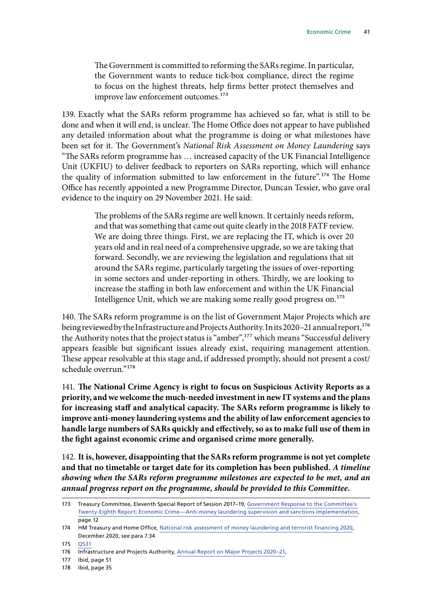The Government is committed to reforming the SARs regime. In particular, the Government wants to reduce tick-box compliance, direct the regime to focus on the highest threats, help firms better protect themselves and improve law enforcement outcomes.<sup>173</sup>

139. Exactly what the SARs reform programme has achieved so far, what is still to be done and when it will end, is unclear. The Home Office does not appear to have published any detailed information about what the programme is doing or what milestones have been set for it. The Government's *National Risk Assessment on Money Laundering* says "The SARs reform programme has … increased capacity of the UK Financial Intelligence Unit (UKFIU) to deliver feedback to reporters on SARs reporting, which will enhance the quality of information submitted to law enforcement in the future".<sup>174</sup> The Home Office has recently appointed a new Programme Director, Duncan Tessier, who gave oral evidence to the inquiry on 29 November 2021. He said:

> The problems of the SARs regime are well known. It certainly needs reform, and that was something that came out quite clearly in the 2018 FATF review. We are doing three things. First, we are replacing the IT, which is over 20 years old and in real need of a comprehensive upgrade, so we are taking that forward. Secondly, we are reviewing the legislation and regulations that sit around the SARs regime, particularly targeting the issues of over-reporting in some sectors and under-reporting in others. Thirdly, we are looking to increase the staffing in both law enforcement and within the UK Financial Intelligence Unit, which we are making some really good progress on.175

140. The SARs reform programme is on the list of Government Major Projects which are being reviewed by the Infrastructure and Projects Authority. In its 2020–21 annual report,<sup>176</sup> the Authority notes that the project status is "amber",<sup>177</sup> which means "Successful delivery appears feasible but significant issues already exist, requiring management attention. These appear resolvable at this stage and, if addressed promptly, should not present a cost/ schedule overrun."178

141. **The National Crime Agency is right to focus on Suspicious Activity Reports as a priority, and we welcome the much-needed investment in new IT systems and the plans for increasing staff and analytical capacity. The SARs reform programme is likely to improve anti-money laundering systems and the ability of law enforcement agencies to handle large numbers of SARs quickly and effectively, so as to make full use of them in the fight against economic crime and organised crime more generally.**

142. **It is, however, disappointing that the SARs reform programme is not yet complete and that no timetable or target date for its completion has been published.** *A timeline showing when the SARs reform programme milestones are expected to be met, and an annual progress report on the programme, should be provided to this Committee.*

<sup>173</sup> Treasury Committee, Eleventh Special Report of Session 2017–19, [Government Response to the Committee's](https://publications.parliament.uk/pa/cm201719/cmselect/cmtreasy/2187/2187.pdf) [Twenty-Eighth Report: Economic Crime—Anti-money laundering supervision and sanctions implementation,](https://publications.parliament.uk/pa/cm201719/cmselect/cmtreasy/2187/2187.pdf) page 12

<sup>174</sup> HM Treasury and Home Office, [National risk assessment of money laundering and terrorist financing 2020](https://assets.publishing.service.gov.uk/government/uploads/system/uploads/attachment_data/file/945411/NRA_2020_v1.2_FOR_PUBLICATION.pdf), December 2020, see para 7.34

<sup>175</sup> [Q531](https://committees.parliament.uk/oralevidence/3088/pdf/)

<sup>176</sup> Infrastructure and Projects Authority, [Annual Report on Major Projects 2020–21](https://assets.publishing.service.gov.uk/government/uploads/system/uploads/attachment_data/file/1002310/IPA_AR2021_final_14Jul.pdf),

<sup>177</sup> Ibid, page 51

<sup>178</sup> Ibid, page 35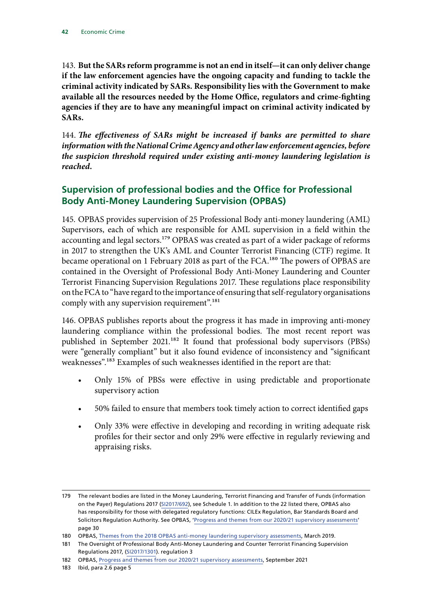143. **But the SARs reform programme is not an end in itself—it can only deliver change if the law enforcement agencies have the ongoing capacity and funding to tackle the criminal activity indicated by SARs. Responsibility lies with the Government to make available all the resources needed by the Home Office, regulators and crime-fighting agencies if they are to have any meaningful impact on criminal activity indicated by SARs.**

144. *The effectiveness of SARs might be increased if banks are permitted to share information with the National Crime Agency and other law enforcement agencies, before the suspicion threshold required under existing anti-money laundering legislation is reached.*

# **Supervision of professional bodies and the Office for Professional Body Anti-Money Laundering Supervision (OPBAS)**

145. OPBAS provides supervision of 25 Professional Body anti-money laundering (AML) Supervisors, each of which are responsible for AML supervision in a field within the accounting and legal sectors.<sup>179</sup> OPBAS was created as part of a wider package of reforms in 2017 to strengthen the UK's AML and Counter Terrorist Financing (CTF) regime. It became operational on 1 February 2018 as part of the FCA.<sup>180</sup> The powers of OPBAS are contained in the Oversight of Professional Body Anti-Money Laundering and Counter Terrorist Financing Supervision Regulations 2017. These regulations place responsibility on the FCA to "have regard to the importance of ensuring that self-regulatory organisations comply with any supervision requirement".<sup>181</sup>

146. OPBAS publishes reports about the progress it has made in improving anti-money laundering compliance within the professional bodies. The most recent report was published in September 2021.<sup>182</sup> It found that professional body supervisors (PBSs) were "generally compliant" but it also found evidence of inconsistency and "significant weaknesses".183 Examples of such weaknesses identified in the report are that:

- Only 15% of PBSs were effective in using predictable and proportionate supervisory action
- 50% failed to ensure that members took timely action to correct identified gaps
- Only 33% were effective in developing and recording in writing adequate risk profiles for their sector and only 29% were effective in regularly reviewing and appraising risks.

<sup>179</sup> The relevant bodies are listed in the Money Laundering, Terrorist Financing and Transfer of Funds (information on the Payer) Regulations 2017 [\(SI2017/692](https://www.legislation.gov.uk/uksi/2017/692/schedule/1/made)), see Schedule 1. In addition to the 22 listed there, OPBAS also has responsibility for those with delegated regulatory functions: CILEx Regulation, Bar Standards Board and Solicitors Regulation Authority. See OPBAS, '[Progress and themes from our 2020/21 supervisory assessments](https://www.fca.org.uk/publication/opbas/supervisory-assessments-progress-themes-2020-21.pdf)' page 30

<sup>180</sup> OPBAS, [Themes from the 2018 OPBAS anti-money laundering supervisory assessments](https://www.fca.org.uk/publication/opbas/themes-2018-opbas-anti-money-laundering-supervisory-assessments.pdf), March 2019.

<sup>181</sup> The Oversight of Professional Body Anti-Money Laundering and Counter Terrorist Financing Supervision Regulations 2017, ([SI2017/1301](https://www.legislation.gov.uk/uksi/2017/1301)). regulation 3

<sup>182</sup> OPBAS, [Progress and themes from our 2020/21 supervisory assessments](https://www.fca.org.uk/publication/opbas/supervisory-assessments-progress-themes-2020-21.pdf), September 2021

<sup>183</sup> Ibid, para 2.6 page 5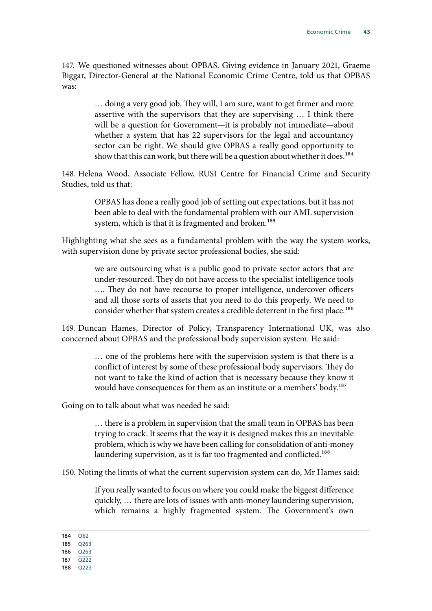147. We questioned witnesses about OPBAS. Giving evidence in January 2021, Graeme Biggar, Director-General at the National Economic Crime Centre, told us that OPBAS was:

> … doing a very good job. They will, I am sure, want to get firmer and more assertive with the supervisors that they are supervising … I think there will be a question for Government—it is probably not immediate—about whether a system that has 22 supervisors for the legal and accountancy sector can be right. We should give OPBAS a really good opportunity to show that this can work, but there will be a question about whether it does.<sup>184</sup>

148. Helena Wood, Associate Fellow, RUSI Centre for Financial Crime and Security Studies, told us that:

> OPBAS has done a really good job of setting out expectations, but it has not been able to deal with the fundamental problem with our AML supervision system, which is that it is fragmented and broken.<sup>185</sup>

Highlighting what she sees as a fundamental problem with the way the system works, with supervision done by private sector professional bodies, she said:

> we are outsourcing what is a public good to private sector actors that are under-resourced. They do not have access to the specialist intelligence tools …. They do not have recourse to proper intelligence, undercover officers and all those sorts of assets that you need to do this properly. We need to consider whether that system creates a credible deterrent in the first place.<sup>186</sup>

149. Duncan Hames, Director of Policy, Transparency International UK, was also concerned about OPBAS and the professional body supervision system. He said:

> … one of the problems here with the supervision system is that there is a conflict of interest by some of these professional body supervisors. They do not want to take the kind of action that is necessary because they know it would have consequences for them as an institute or a members' body.<sup>187</sup>

Going on to talk about what was needed he said:

… there is a problem in supervision that the small team in OPBAS has been trying to crack. It seems that the way it is designed makes this an inevitable problem, which is why we have been calling for consolidation of anti-money laundering supervision, as it is far too fragmented and conflicted.<sup>188</sup>

150. Noting the limits of what the current supervision system can do, Mr Hames said:

If you really wanted to focus on where you could make the biggest difference quickly, … there are lots of issues with anti-money laundering supervision, which remains a highly fragmented system. The Government's own

184 [Q62](https://committees.parliament.uk/oralevidence/1571/pdf/)

188 [Q223](https://committees.parliament.uk/oralevidence/2532/pdf/)

<sup>185</sup> [Q263](https://committees.parliament.uk/oralevidence/2532/pdf/)

<sup>186</sup> [Q263](https://committees.parliament.uk/oralevidence/2532/pdf/)

<sup>187</sup> [Q222](https://committees.parliament.uk/oralevidence/2532/pdf/)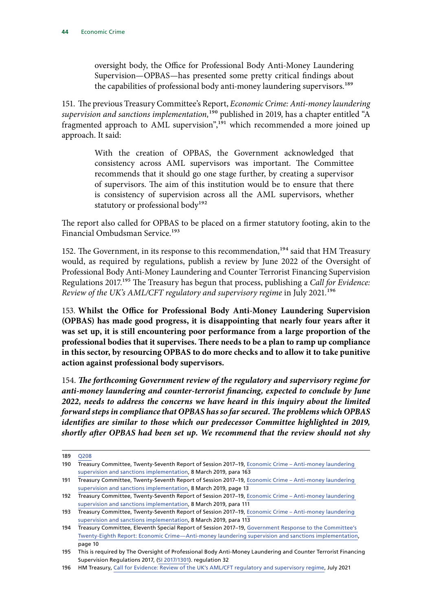oversight body, the Office for Professional Body Anti-Money Laundering Supervision—OPBAS—has presented some pretty critical findings about the capabilities of professional body anti-money laundering supervisors.<sup>189</sup>

151. The previous Treasury Committee's Report, *Economic Crime: Anti-money laundering supervision and sanctions implementation,*190 published in 2019, has a chapter entitled "A fragmented approach to AML supervision",<sup>191</sup> which recommended a more joined up approach. It said:

> With the creation of OPBAS, the Government acknowledged that consistency across AML supervisors was important. The Committee recommends that it should go one stage further, by creating a supervisor of supervisors. The aim of this institution would be to ensure that there is consistency of supervision across all the AML supervisors, whether statutory or professional body<sup>192</sup>

The report also called for OPBAS to be placed on a firmer statutory footing, akin to the Financial Ombudsman Service.<sup>193</sup>

152. The Government, in its response to this recommendation,<sup>194</sup> said that HM Treasury would, as required by regulations, publish a review by June 2022 of the Oversight of Professional Body Anti-Money Laundering and Counter Terrorist Financing Supervision Regulations 2017.195 The Treasury has begun that process, publishing a *Call for Evidence: Review of the UK's AML/CFT regulatory and supervisory regime in July 2021.*<sup>196</sup>

153. **Whilst the Office for Professional Body Anti-Money Laundering Supervision (OPBAS) has made good progress, it is disappointing that nearly four years after it was set up, it is still encountering poor performance from a large proportion of the professional bodies that it supervises. There needs to be a plan to ramp up compliance in this sector, by resourcing OPBAS to do more checks and to allow it to take punitive action against professional body supervisors.**

154. *The forthcoming Government review of the regulatory and supervisory regime for anti-money laundering and counter-terrorist financing, expected to conclude by June 2022, needs to address the concerns we have heard in this inquiry about the limited forward steps in compliance that OPBAS has so far secured. The problems which OPBAS identifies are similar to those which our predecessor Committee highlighted in 2019, shortly after OPBAS had been set up. We recommend that the review should not shy* 

<sup>189</sup> [Q208](https://committees.parliament.uk/oralevidence/2532/pdf/)

<sup>190</sup> Treasury Committee, Twenty-Seventh Report of Session 2017–19, [Economic Crime – Anti-money laundering](https://publications.parliament.uk/pa/cm201719/cmselect/cmtreasy/2010/2010.pdf)  [supervision and sanctions implementation](https://publications.parliament.uk/pa/cm201719/cmselect/cmtreasy/2010/2010.pdf), 8 March 2019, para 163

<sup>191</sup> Treasury Committee, Twenty-Seventh Report of Session 2017–19, [Economic Crime – Anti-money laundering](https://publications.parliament.uk/pa/cm201719/cmselect/cmtreasy/2010/2010.pdf)  [supervision and sanctions implementation](https://publications.parliament.uk/pa/cm201719/cmselect/cmtreasy/2010/2010.pdf), 8 March 2019, page 13

<sup>192</sup> Treasury Committee, Twenty-Seventh Report of Session 2017–19, [Economic Crime – Anti-money laundering](https://publications.parliament.uk/pa/cm201719/cmselect/cmtreasy/2010/2010.pdf)  [supervision and sanctions implementation](https://publications.parliament.uk/pa/cm201719/cmselect/cmtreasy/2010/2010.pdf), 8 March 2019, para 111

<sup>193</sup> Treasury Committee, Twenty-Seventh Report of Session 2017–19, [Economic Crime – Anti-money laundering](https://publications.parliament.uk/pa/cm201719/cmselect/cmtreasy/2010/2010.pdf)  [supervision and sanctions implementation](https://publications.parliament.uk/pa/cm201719/cmselect/cmtreasy/2010/2010.pdf), 8 March 2019, para 113

<sup>194</sup> Treasury Committee, Eleventh Special Report of Session 2017-19, Government Response to the Committee's [Twenty-Eighth Report: Economic Crime—Anti-money laundering supervision and sanctions implementation,](https://publications.parliament.uk/pa/cm201719/cmselect/cmtreasy/2187/2187.pdf) page 10

<sup>195</sup> This is required by The Oversight of Professional Body Anti-Money Laundering and Counter Terrorist Financing Supervision Regulations 2017, [\(SI 2017/1301\)](https://www.legislation.gov.uk/uksi/2017/1301). regulation 32

<sup>196</sup> HM Treasury, [Call for Evidence: Review of the UK's AML/CFT regulatory and supervisory regime](https://assets.publishing.service.gov.uk/government/uploads/system/uploads/attachment_data/file/1004602/210720_MLRs_Review_Call_for_Evidence_final.pdf), July 2021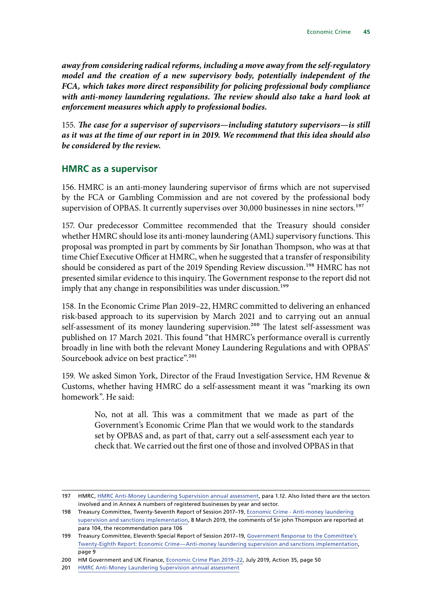*away from considering radical reforms, including a move away from the self-regulatory model and the creation of a new supervisory body, potentially independent of the FCA, which takes more direct responsibility for policing professional body compliance*  with anti-money laundering regulations. The review should also take a hard look at *enforcement measures which apply to professional bodies.*

155. *The case for a supervisor of supervisors—including statutory supervisors—is still as it was at the time of our report in in 2019. We recommend that this idea should also be considered by the review.*

#### **HMRC as a supervisor**

156. HMRC is an anti-money laundering supervisor of firms which are not supervised by the FCA or Gambling Commission and are not covered by the professional body supervision of OPBAS. It currently supervises over 30,000 businesses in nine sectors.<sup>197</sup>

157. Our predecessor Committee recommended that the Treasury should consider whether HMRC should lose its anti-money laundering (AML) supervisory functions. This proposal was prompted in part by comments by Sir Jonathan Thompson, who was at that time Chief Executive Officer at HMRC, when he suggested that a transfer of responsibility should be considered as part of the 2019 Spending Review discussion.<sup>198</sup> HMRC has not presented similar evidence to this inquiry. The Government response to the report did not imply that any change in responsibilities was under discussion.<sup>199</sup>

158. In the Economic Crime Plan 2019–22, HMRC committed to delivering an enhanced risk-based approach to its supervision by March 2021 and to carrying out an annual self-assessment of its money laundering supervision.<sup>200</sup> The latest self-assessment was published on 17 March 2021. This found "that HMRC's performance overall is currently broadly in line with both the relevant Money Laundering Regulations and with OPBAS' Sourcebook advice on best practice".<sup>201</sup>

159. We asked Simon York, Director of the Fraud Investigation Service, HM Revenue & Customs, whether having HMRC do a self-assessment meant it was "marking its own homework". He said:

> No, not at all. This was a commitment that we made as part of the Government's Economic Crime Plan that we would work to the standards set by OPBAS and, as part of that, carry out a self-assessment each year to check that. We carried out the first one of those and involved OPBAS in that

<sup>197</sup> HMRC, [HMRC Anti-Money Laundering Supervision annual assessment,](https://www.gov.uk/government/publications/hmrc-anti-money-laundering-supervision-performance-assessment/hmrc-anti-money-laundering-supervision-annual-assessment) para 1.12. Also listed there are the sectors involved and in Annex A numbers of registered businesses by year and sector.

<sup>198</sup> Treasury Committee, Twenty-Seventh Report of Session 2017–19, [Economic Crime - Anti-money laundering](https://publications.parliament.uk/pa/cm201719/cmselect/cmtreasy/2010/2010.pdf)  [supervision and sanctions implementation](https://publications.parliament.uk/pa/cm201719/cmselect/cmtreasy/2010/2010.pdf), 8 March 2019, the comments of Sir john Thompson are reported at para 104, the recommendation para 106

<sup>199</sup> Treasury Committee, Eleventh Special Report of Session 2017–19, [Government Response to the Committee's](https://publications.parliament.uk/pa/cm201719/cmselect/cmtreasy/2187/2187.pdf)  [Twenty-Eighth Report: Economic Crime—Anti-money laundering supervision and sanctions implementation,](https://publications.parliament.uk/pa/cm201719/cmselect/cmtreasy/2187/2187.pdf) page 9

<sup>200</sup> HM Government and UK Finance, [Economic Crime Plan 2019–22,](https://assets.publishing.service.gov.uk/government/uploads/system/uploads/attachment_data/file/816215/2019-22_Economic_Crime_Plan.pdf) July 2019, Action 35, page 50

<sup>201</sup> [HMRC Anti-Money Laundering Supervision annual assessment](https://www.gov.uk/government/publications/hmrc-anti-money-laundering-supervision-performance-assessment/hmrc-anti-money-laundering-supervision-annual-assessment)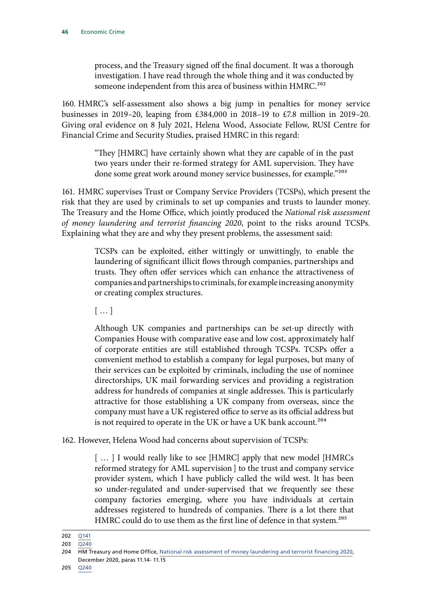process, and the Treasury signed off the final document. It was a thorough investigation. I have read through the whole thing and it was conducted by someone independent from this area of business within HMRC.<sup>202</sup>

160. HMRC's self-assessment also shows a big jump in penalties for money service businesses in 2019–20, leaping from £384,000 in 2018–19 to £7.8 million in 2019–20. Giving oral evidence on 8 July 2021, Helena Wood, Associate Fellow, RUSI Centre for Financial Crime and Security Studies, praised HMRC in this regard:

> "They [HMRC] have certainly shown what they are capable of in the past two years under their re-formed strategy for AML supervision. They have done some great work around money service businesses, for example."203

161. HMRC supervises Trust or Company Service Providers (TCSPs), which present the risk that they are used by criminals to set up companies and trusts to launder money. The Treasury and the Home Office, which jointly produced the *National risk assessment of money laundering and terrorist financing 2020*, point to the risks around TCSPs. Explaining what they are and why they present problems, the assessment said:

> TCSPs can be exploited, either wittingly or unwittingly, to enable the laundering of significant illicit flows through companies, partnerships and trusts. They often offer services which can enhance the attractiveness of companies and partnerships to criminals, for example increasing anonymity or creating complex structures.

[ … ]

Although UK companies and partnerships can be set-up directly with Companies House with comparative ease and low cost, approximately half of corporate entities are still established through TCSPs. TCSPs offer a convenient method to establish a company for legal purposes, but many of their services can be exploited by criminals, including the use of nominee directorships, UK mail forwarding services and providing a registration address for hundreds of companies at single addresses. This is particularly attractive for those establishing a UK company from overseas, since the company must have a UK registered office to serve as its official address but is not required to operate in the UK or have a UK bank account.<sup>204</sup>

162. However, Helena Wood had concerns about supervision of TCSPs:

[...] I would really like to see [HMRC] apply that new model [HMRCs] reformed strategy for AML supervision ] to the trust and company service provider system, which I have publicly called the wild west. It has been so under-regulated and under-supervised that we frequently see these company factories emerging, where you have individuals at certain addresses registered to hundreds of companies. There is a lot there that HMRC could do to use them as the first line of defence in that system.<sup>205</sup>

<sup>202</sup> [Q141](https://committees.parliament.uk/oralevidence/2349/pdf/)

 $203 \overline{0240}$ 

<sup>204</sup> HM Treasury and Home Office, [National risk assessment of money laundering and terrorist financing 2020](https://assets.publishing.service.gov.uk/government/uploads/system/uploads/attachment_data/file/945411/NRA_2020_v1.2_FOR_PUBLICATION.pdf), December 2020, paras 11.14- 11.15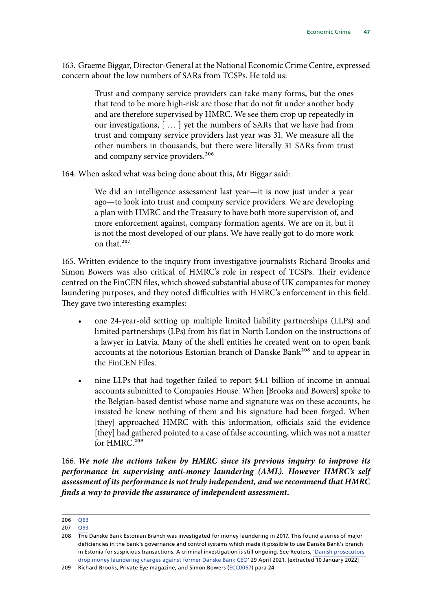163. Graeme Biggar, Director-General at the National Economic Crime Centre, expressed concern about the low numbers of SARs from TCSPs. He told us:

> Trust and company service providers can take many forms, but the ones that tend to be more high-risk are those that do not fit under another body and are therefore supervised by HMRC. We see them crop up repeatedly in our investigations, [ … ] yet the numbers of SARs that we have had from trust and company service providers last year was 31. We measure all the other numbers in thousands, but there were literally 31 SARs from trust and company service providers.<sup>206</sup>

164. When asked what was being done about this, Mr Biggar said:

We did an intelligence assessment last year—it is now just under a year ago—to look into trust and company service providers. We are developing a plan with HMRC and the Treasury to have both more supervision of, and more enforcement against, company formation agents. We are on it, but it is not the most developed of our plans. We have really got to do more work on that.207

165. Written evidence to the inquiry from investigative journalists Richard Brooks and Simon Bowers was also critical of HMRC's role in respect of TCSPs. Their evidence centred on the FinCEN files, which showed substantial abuse of UK companies for money laundering purposes, and they noted difficulties with HMRC's enforcement in this field. They gave two interesting examples:

- one 24-year-old setting up multiple limited liability partnerships (LLPs) and limited partnerships (LPs) from his flat in North London on the instructions of a lawyer in Latvia. Many of the shell entities he created went on to open bank accounts at the notorious Estonian branch of Danske Bank<sup>208</sup> and to appear in the FinCEN Files.
- nine LLPs that had together failed to report \$4.1 billion of income in annual accounts submitted to Companies House. When [Brooks and Bowers] spoke to the Belgian-based dentist whose name and signature was on these accounts, he insisted he knew nothing of them and his signature had been forged. When [they] approached HMRC with this information, officials said the evidence [they] had gathered pointed to a case of false accounting, which was not a matter for HMRC.<sup>209</sup>

166. *We note the actions taken by HMRC since its previous inquiry to improve its performance in supervising anti-money laundering (AML). However HMRC's self assessment of its performance is not truly independent, and we recommend that HMRC finds a way to provide the assurance of independent assessment.*

<sup>206</sup> [Q63](https://committees.parliament.uk/oralevidence/1571/pdf/)

<sup>207</sup> [Q93](https://committees.parliament.uk/oralevidence/1571/pdf/)

<sup>208</sup> The Danske Bank Estonian Branch was investigated for money laundering in 2017. This found a series of major deficiencies in the bank´s governance and control systems which made it possible to use Danske Bank's branch in Estonia for suspicious transactions. A criminal investigation is still ongoing. See Reuters, ['Danish prosecutors](https://www.reuters.com/article/us-danske-bk-moneylaundering-idUSKBN2CG2J5) [drop money laundering charges against former Danske Bank CEO](https://www.reuters.com/article/us-danske-bk-moneylaundering-idUSKBN2CG2J5)' 29 April 2021, [extracted 10 January 2022]

<sup>209</sup> Richard Brooks, Private Eye magazine, and Simon Bowers ([ECC0067\)](https://committees.parliament.uk/writtenevidence/18567/pdf/) para 24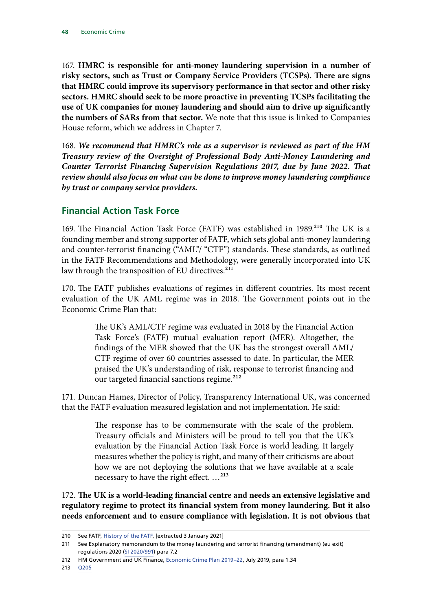167. **HMRC is responsible for anti-money laundering supervision in a number of risky sectors, such as Trust or Company Service Providers (TCSPs). There are signs that HMRC could improve its supervisory performance in that sector and other risky sectors. HMRC should seek to be more proactive in preventing TCSPs facilitating the use of UK companies for money laundering and should aim to drive up significantly the numbers of SARs from that sector.** We note that this issue is linked to Companies House reform, which we address in Chapter 7.

168. *We recommend that HMRC's role as a supervisor is reviewed as part of the HM Treasury review of the Oversight of Professional Body Anti-Money Laundering and Counter Terrorist Financing Supervision Regulations 2017, due by June 2022. That review should also focus on what can be done to improve money laundering compliance by trust or company service providers.*

#### **Financial Action Task Force**

169. The Financial Action Task Force (FATF) was established in 1989.<sup>210</sup> The UK is a founding member and strong supporter of FATF, which sets global anti-money laundering and counter-terrorist financing ("AML"/ "CTF") standards. These standards, as outlined in the FATF Recommendations and Methodology, were generally incorporated into UK law through the transposition of EU directives.<sup>211</sup>

170. The FATF publishes evaluations of regimes in different countries. Its most recent evaluation of the UK AML regime was in 2018. The Government points out in the Economic Crime Plan that:

> The UK's AML/CTF regime was evaluated in 2018 by the Financial Action Task Force's (FATF) mutual evaluation report (MER). Altogether, the findings of the MER showed that the UK has the strongest overall AML/ CTF regime of over 60 countries assessed to date. In particular, the MER praised the UK's understanding of risk, response to terrorist financing and our targeted financial sanctions regime.<sup>212</sup>

171. Duncan Hames, Director of Policy, Transparency International UK, was concerned that the FATF evaluation measured legislation and not implementation. He said:

> The response has to be commensurate with the scale of the problem. Treasury officials and Ministers will be proud to tell you that the UK's evaluation by the Financial Action Task Force is world leading. It largely measures whether the policy is right, and many of their criticisms are about how we are not deploying the solutions that we have available at a scale necessary to have the right effect. …213

172. **The UK is a world-leading financial centre and needs an extensive legislative and regulatory regime to protect its financial system from money laundering. But it also needs enforcement and to ensure compliance with legislation. It is not obvious that** 

<sup>210</sup> See FATF, [History of the FATF](https://www.fatf-gafi.org/about/historyofthefatf/), [extracted 3 January 2021]

<sup>211</sup> See Explanatory memorandum to the money laundering and terrorist financing (amendment) (eu exit) regulations 2020 (SI 2020/991) para 7.2

<sup>212</sup> HM Government and UK Finance, [Economic Crime Plan 2019–22,](https://assets.publishing.service.gov.uk/government/uploads/system/uploads/attachment_data/file/816215/2019-22_Economic_Crime_Plan.pdf) July 2019, para 1.34

<sup>213</sup> [Q205](https://committees.parliament.uk/oralevidence/2532/pdf/)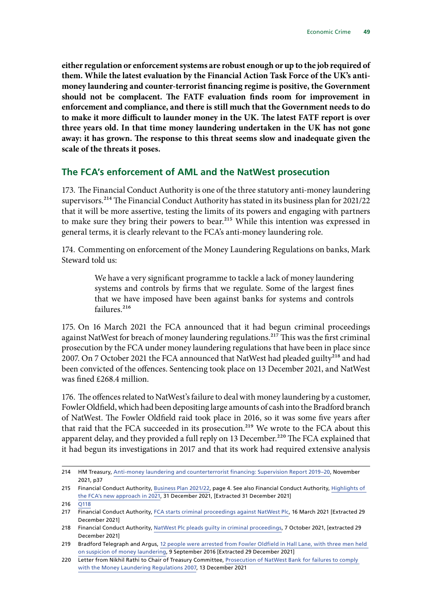**either regulation or enforcement systems are robust enough or up to the job required of them. While the latest evaluation by the Financial Action Task Force of the UK's antimoney laundering and counter-terrorist financing regime is positive, the Government should not be complacent. The FATF evaluation finds room for improvement in enforcement and compliance, and there is still much that the Government needs to do to make it more difficult to launder money in the UK. The latest FATF report is over three years old. In that time money laundering undertaken in the UK has not gone away: it has grown. The response to this threat seems slow and inadequate given the scale of the threats it poses.**

#### **The FCA's enforcement of AML and the NatWest prosecution**

173. The Financial Conduct Authority is one of the three statutory anti-money laundering supervisors.214 The Financial Conduct Authority has stated in its business plan for 2021/22 that it will be more assertive, testing the limits of its powers and engaging with partners to make sure they bring their powers to bear.<sup>215</sup> While this intention was expressed in general terms, it is clearly relevant to the FCA's anti-money laundering role.

174. Commenting on enforcement of the Money Laundering Regulations on banks, Mark Steward told us:

> We have a very significant programme to tackle a lack of money laundering systems and controls by firms that we regulate. Some of the largest fines that we have imposed have been against banks for systems and controls failures.<sup>216</sup>

175. On 16 March 2021 the FCA announced that it had begun criminal proceedings against NatWest for breach of money laundering regulations.<sup>217</sup> This was the first criminal prosecution by the FCA under money laundering regulations that have been in place since 2007. On 7 October 2021 the FCA announced that NatWest had pleaded guilty<sup>218</sup> and had been convicted of the offences. Sentencing took place on 13 December 2021, and NatWest was fined £268.4 million.

176. The offences related to NatWest's failure to deal with money laundering by a customer, Fowler Oldfield, which had been depositing large amounts of cash into the Bradford branch of NatWest. The Fowler Oldfield raid took place in 2016, so it was some five years after that raid that the FCA succeeded in its prosecution.<sup>219</sup> We wrote to the FCA about this apparent delay, and they provided a full reply on 13 December.<sup>220</sup> The FCA explained that it had begun its investigations in 2017 and that its work had required extensive analysis

<sup>214</sup> HM Treasury, [Anti-money laundering and counterterrorist financing: Supervision Report 2019–20,](https://www.gov.uk/government/publications/anti-money-laundering-and-counter-terrorist-financing-supervision-report-2019-20) November 2021, p37

<sup>215</sup> Financial Conduct Authority, [Business Plan 2021/22,](https://www.fca.org.uk/publication/business-plans/business-plan-2021-22.pdf) page 4. See also Financial Conduct Authority, [Highlights of](https://www.fca.org.uk/news/press-releases/highlights-fca-new-approach-2021)  [the FCA's new approach in 2021](https://www.fca.org.uk/news/press-releases/highlights-fca-new-approach-2021), 31 December 2021, [Extracted 31 December 2021]

<sup>216</sup> [Q118](https://committees.parliament.uk/oralevidence/2349/pdf/)

<sup>217</sup> Financial Conduct Authority, [FCA starts criminal proceedings against NatWest Plc,](https://www.fca.org.uk/news/press-releases/fca-starts-criminal-proceedings-against-natwest-plc) 16 March 2021 [Extracted 29 December 2021]

<sup>218</sup> Financial Conduct Authority, [NatWest Plc pleads guilty in criminal proceedings](https://www.fca.org.uk/news/press-releases/natwest-plc-pleads-guilty-criminal-proceedings), 7 October 2021, [extracted 29 December 2021]

<sup>219</sup> Bradford Telegraph and Argus, [12 people were arrested from Fowler Oldfield in Hall Lane, with three men held](https://www.thetelegraphandargus.co.uk/news/14733756.12-people-were-arrested-from-fowler-oldfield-in-hall-lane-with-three-men-held-on-suspicion-of-money-laundering/)  [on suspicion of money laundering](https://www.thetelegraphandargus.co.uk/news/14733756.12-people-were-arrested-from-fowler-oldfield-in-hall-lane-with-three-men-held-on-suspicion-of-money-laundering/), 9 September 2016 [Extracted 29 December 2021]

<sup>220</sup> Letter from Nikhil Rathi to Chair of Treasury Committee, [Prosecution of NatWest Bank for failures to comply](https://committees.parliament.uk/publications/8240/documents/84223/default/)  [with the Money Laundering Regulations 2007,](https://committees.parliament.uk/publications/8240/documents/84223/default/) 13 December 2021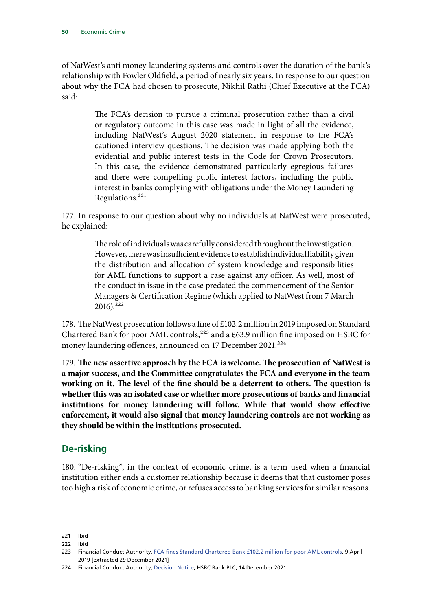of NatWest's anti money-laundering systems and controls over the duration of the bank's relationship with Fowler Oldfield, a period of nearly six years. In response to our question about why the FCA had chosen to prosecute, Nikhil Rathi (Chief Executive at the FCA) said:

> The FCA's decision to pursue a criminal prosecution rather than a civil or regulatory outcome in this case was made in light of all the evidence, including NatWest's August 2020 statement in response to the FCA's cautioned interview questions. The decision was made applying both the evidential and public interest tests in the Code for Crown Prosecutors. In this case, the evidence demonstrated particularly egregious failures and there were compelling public interest factors, including the public interest in banks complying with obligations under the Money Laundering Regulations.221

177. In response to our question about why no individuals at NatWest were prosecuted, he explained:

> The role of individuals was carefully considered throughout the investigation. However, there was insufficient evidence to establish individual liability given the distribution and allocation of system knowledge and responsibilities for AML functions to support a case against any officer. As well, most of the conduct in issue in the case predated the commencement of the Senior Managers & Certification Regime (which applied to NatWest from 7 March  $2016$ ).<sup>222</sup>

178. The NatWest prosecution follows a fine of £102.2 million in 2019 imposed on Standard Chartered Bank for poor AML controls,<sup>223</sup> and a £63.9 million fine imposed on HSBC for money laundering offences, announced on 17 December 2021.<sup>224</sup>

179. **The new assertive approach by the FCA is welcome. The prosecution of NatWest is a major success, and the Committee congratulates the FCA and everyone in the team working on it. The level of the fine should be a deterrent to others. The question is whether this was an isolated case or whether more prosecutions of banks and financial institutions for money laundering will follow. While that would show effective enforcement, it would also signal that money laundering controls are not working as they should be within the institutions prosecuted.**

# **De-risking**

180. "De-risking", in the context of economic crime, is a term used when a financial institution either ends a customer relationship because it deems that that customer poses too high a risk of economic crime, or refuses access to banking services for similar reasons.

221 Ibid

<sup>222</sup> Ibid

<sup>223</sup> Financial Conduct Authority, [FCA fines Standard Chartered Bank £102.2 million for poor AML controls,](https://www.fca.org.uk/news/press-releases/fca-fines-standard-chartered-bank-102-2-million-poor-aml-controls) 9 April 2019 [extracted 29 December 2021]

<sup>224</sup> Financial Conduct Authority, [Decision Notice](https://www.fca.org.uk/publication/decision-notices/hsbc-bank-plc.pdf), HSBC Bank PLC, 14 December 2021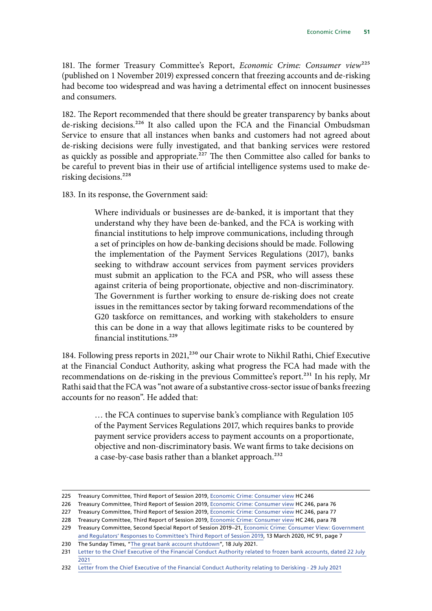181. The former Treasury Committee's Report, *Economic Crime: Consumer view*225 (published on 1 November 2019) expressed concern that freezing accounts and de-risking had become too widespread and was having a detrimental effect on innocent businesses and consumers.

182. The Report recommended that there should be greater transparency by banks about de-risking decisions.226 It also called upon the FCA and the Financial Ombudsman Service to ensure that all instances when banks and customers had not agreed about de-risking decisions were fully investigated, and that banking services were restored as quickly as possible and appropriate.<sup>227</sup> The then Committee also called for banks to be careful to prevent bias in their use of artificial intelligence systems used to make derisking decisions.<sup>228</sup>

183. In its response, the Government said:

Where individuals or businesses are de-banked, it is important that they understand why they have been de-banked, and the FCA is working with financial institutions to help improve communications, including through a set of principles on how de-banking decisions should be made. Following the implementation of the Payment Services Regulations (2017), banks seeking to withdraw account services from payment services providers must submit an application to the FCA and PSR, who will assess these against criteria of being proportionate, objective and non-discriminatory. The Government is further working to ensure de-risking does not create issues in the remittances sector by taking forward recommendations of the G20 taskforce on remittances, and working with stakeholders to ensure this can be done in a way that allows legitimate risks to be countered by financial institutions.<sup>229</sup>

184. Following press reports in 2021,<sup>230</sup> our Chair wrote to Nikhil Rathi, Chief Executive at the Financial Conduct Authority, asking what progress the FCA had made with the recommendations on de-risking in the previous Committee's report.<sup>231</sup> In his reply, Mr Rathi said that the FCA was "not aware of a substantive cross-sector issue of banks freezing accounts for no reason". He added that:

> … the FCA continues to supervise bank's compliance with Regulation 105 of the Payment Services Regulations 2017, which requires banks to provide payment service providers access to payment accounts on a proportionate, objective and non-discriminatory basis. We want firms to take decisions on a case-by-case basis rather than a blanket approach.<sup>232</sup>

<sup>225</sup> Treasury Committee, Third Report of Session 2019, [Economic Crime: Consumer view](https://publications.parliament.uk/pa/cm201919/cmselect/cmtreasy/246/246.pdf) HC 246

<sup>226</sup> Treasury Committee, Third Report of Session 2019, [Economic Crime: Consumer view](https://publications.parliament.uk/pa/cm201919/cmselect/cmtreasy/246/246.pdf) HC 246, para 76

<sup>227</sup> Treasury Committee, Third Report of Session 2019, [Economic Crime: Consumer view](https://publications.parliament.uk/pa/cm201919/cmselect/cmtreasy/246/246.pdf) HC 246, para 77

<sup>228</sup> Treasury Committee, Third Report of Session 2019, [Economic Crime: Consumer view](https://publications.parliament.uk/pa/cm201919/cmselect/cmtreasy/246/246.pdf) HC 246, para 78

<sup>229</sup> Treasury Committee, Second Special Report of Session 2019-21, Economic Crime: Consumer View: Government [and Regulators' Responses to Committee's Third Report of Session 2019](https://committees.parliament.uk/publications/316/documents/1303/default/), 13 March 2020, HC 91, page 7

<sup>230</sup> The Sunday Times, ["The great bank account shutdown"](https://www.thetimes.co.uk/article/the-great-bank-account-shutdown-7p7xwg55m), 18 July 2021.

<sup>231</sup> Letter to the Chief Executive of the Financial Conduct Authority related to frozen bank accounts, dated 22 July [2021](https://committees.parliament.uk/publications/6902/documents/72863/default/)

<sup>232</sup> [Letter from the Chief Executive of the Financial Conduct Authority relating to Derisking - 29 July 2021](https://committees.parliament.uk/publications/7053/documents/73307/default/)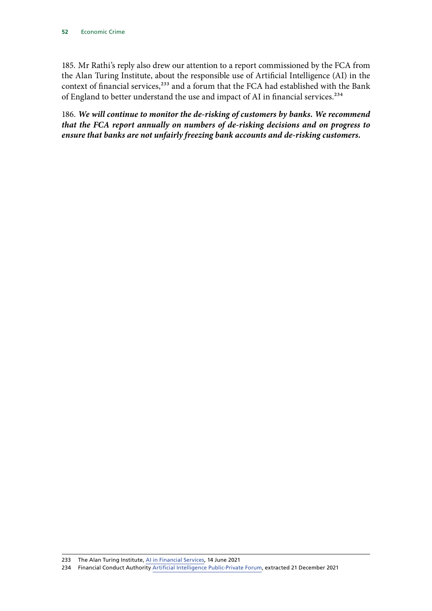185. Mr Rathi's reply also drew our attention to a report commissioned by the FCA from the Alan Turing Institute, about the responsible use of Artificial Intelligence (AI) in the context of financial services,<sup>233</sup> and a forum that the FCA had established with the Bank of England to better understand the use and impact of AI in financial services.<sup>234</sup>

186. *We will continue to monitor the de-risking of customers by banks. We recommend that the FCA report annually on numbers of de-risking decisions and on progress to ensure that banks are not unfairly freezing bank accounts and de-risking customers.*

<sup>233</sup> The Alan Turing Institute, [AI in Financial Services,](https://www.turing.ac.uk/sites/default/files/2021-06/ati_ai_in_financial_services_lores.pdf) 14 June 2021

<sup>234</sup> Financial Conduct Authority [Artificial Intelligence Public-Private Forum](https://www.fca.org.uk/news/news-stories/financial-services-ai-public-private-forum), extracted 21 December 2021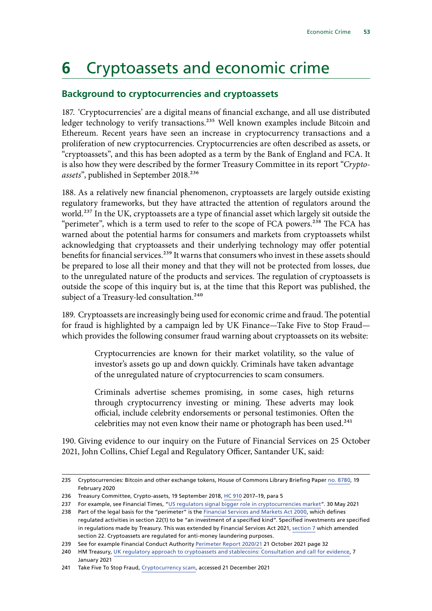# **6** Cryptoassets and economic crime

# **Background to cryptocurrencies and cryptoassets**

187. 'Cryptocurrencies' are a digital means of financial exchange, and all use distributed ledger technology to verify transactions.<sup>235</sup> Well known examples include Bitcoin and Ethereum. Recent years have seen an increase in cryptocurrency transactions and a proliferation of new cryptocurrencies. Cryptocurrencies are often described as assets, or "cryptoassets", and this has been adopted as a term by the Bank of England and FCA. It is also how they were described by the former Treasury Committee in its report "*Crypto*assets", published in September 2018.<sup>236</sup>

188. As a relatively new financial phenomenon, cryptoassets are largely outside existing regulatory frameworks, but they have attracted the attention of regulators around the world.237 In the UK, cryptoassets are a type of financial asset which largely sit outside the "perimeter", which is a term used to refer to the scope of FCA powers.<sup>238</sup> The FCA has warned about the potential harms for consumers and markets from cryptoassets whilst acknowledging that cryptoassets and their underlying technology may offer potential benefits for financial services.<sup>239</sup> It warns that consumers who invest in these assets should be prepared to lose all their money and that they will not be protected from losses, due to the unregulated nature of the products and services. The regulation of cryptoassets is outside the scope of this inquiry but is, at the time that this Report was published, the subject of a Treasury-led consultation.<sup>240</sup>

189. Cryptoassets are increasingly being used for economic crime and fraud. The potential for fraud is highlighted by a campaign led by UK Finance—Take Five to Stop Fraud which provides the following consumer fraud warning about cryptoassets on its website:

> Cryptocurrencies are known for their market volatility, so the value of investor's assets go up and down quickly. Criminals have taken advantage of the unregulated nature of cryptocurrencies to scam consumers.

> Criminals advertise schemes promising, in some cases, high returns through cryptocurrency investing or mining. These adverts may look official, include celebrity endorsements or personal testimonies. Often the celebrities may not even know their name or photograph has been used.<sup>241</sup>

190. Giving evidence to our inquiry on the Future of Financial Services on 25 October 2021, John Collins, Chief Legal and Regulatory Officer, Santander UK, said:

<sup>235</sup> Cryptocurrencies: Bitcoin and other exchange tokens, House of Commons Library Briefing Paper [no. 8780,](https://researchbriefings.files.parliament.uk/documents/CBP-8780/CBP-8780.pdf) 19 February 2020

<sup>236</sup> Treasury Committee, Crypto-assets, 19 September 2018, [HC 910](https://publications.parliament.uk/pa/cm201719/cmselect/cmtreasy/910/910.pdf) 2017–19, para 5

<sup>237</sup> For example, see Financial Times, ["US regulators signal bigger role in cryptocurrencies market"](https://www.ft.com/content/a2c13ce0-6e66-4751-aa65-6c668d303101). 30 May 2021

<sup>238</sup> Part of the legal basis for the "perimeter" is the [Financial Services and Markets Act 2000,](https://www.legislation.gov.uk/ukpga/2000/8/contents) which defines regulated activities in section 22(1) to be "an investment of a specified kind". Specified investments are specified in regulations made by Treasury. This was extended by Financial Services Act 2021, [section 7](https://www.legislation.gov.uk/ukpga/2021/22/contents) which amended section 22. Cryptoassets are regulated for anti-money laundering purposes.

<sup>239</sup> See for example Financial Conduct Authority [Perimeter Report 2020/21](https://www.fca.org.uk/publication/annual-reports/perimeter-report-2020-21.pdf) 21 October 2021 page 32

<sup>240</sup> HM Treasury, [UK regulatory approach to cryptoassets and stablecoins: Consultation and call for evidence,](https://assets.publishing.service.gov.uk/government/uploads/system/uploads/attachment_data/file/950206/HM_Treasury_Cryptoasset_and_Stablecoin_consultation.pdf) 7 January 2021

<sup>241</sup> Take Five To Stop Fraud, [Cryptocurrency scam,](https://takefive-stopfraud.org.uk/advice/general-advice/investment-scam/cryptocurrency-scam/) accessed 21 December 2021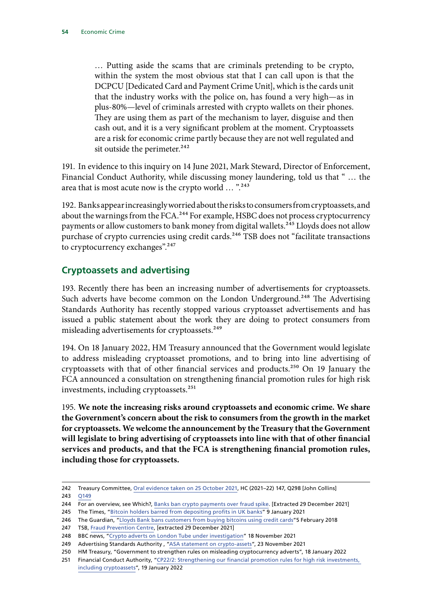… Putting aside the scams that are criminals pretending to be crypto, within the system the most obvious stat that I can call upon is that the DCPCU [Dedicated Card and Payment Crime Unit], which is the cards unit that the industry works with the police on, has found a very high—as in plus-80%—level of criminals arrested with crypto wallets on their phones. They are using them as part of the mechanism to layer, disguise and then cash out, and it is a very significant problem at the moment. Cryptoassets are a risk for economic crime partly because they are not well regulated and sit outside the perimeter.<sup>242</sup>

191. In evidence to this inquiry on 14 June 2021, Mark Steward, Director of Enforcement, Financial Conduct Authority, while discussing money laundering, told us that " … the area that is most acute now is the crypto world ... ".<sup>243</sup>

192. Banks appear increasingly worried about the risks to consumers from cryptoassets, and about the warnings from the FCA.<sup>244</sup> For example, HSBC does not process cryptocurrency payments or allow customers to bank money from digital wallets.<sup>245</sup> Lloyds does not allow purchase of crypto currencies using credit cards.<sup>246</sup> TSB does not "facilitate transactions to cryptocurrency exchanges".<sup>247</sup>

# **Cryptoassets and advertising**

193. Recently there has been an increasing number of advertisements for cryptoassets. Such adverts have become common on the London Underground.<sup>248</sup> The Advertising Standards Authority has recently stopped various cryptoasset advertisements and has issued a public statement about the work they are doing to protect consumers from misleading advertisements for cryptoassets.<sup>249</sup>

194. On 18 January 2022, HM Treasury announced that the Government would legislate to address misleading cryptoasset promotions, and to bring into line advertising of cryptoassets with that of other financial services and products.<sup>250</sup> On 19 January the FCA announced a consultation on strengthening financial promotion rules for high risk investments, including cryptoassets.<sup>251</sup>

195. **We note the increasing risks around cryptoassets and economic crime. We share the Government's concern about the risk to consumers from the growth in the market for cryptoassets. We welcome the announcement by the Treasury that the Government will legislate to bring advertising of cryptoassets into line with that of other financial services and products, and that the FCA is strengthening financial promotion rules, including those for cryptoassets.**

<sup>242</sup> Treasury Committee, [Oral evidence taken on 25 October 2021](https://committees.parliament.uk/oralevidence/2889/pdf/), HC (2021–22) 147, Q298 [John Collins]

<sup>243</sup> [Q149](https://committees.parliament.uk/oralevidence/2349/pdf/)

<sup>244</sup> For an overview, see Which?, [Banks ban crypto payments over fraud spike](https://www.which.co.uk/news/2021/07/banks-ban-crypto-payments-over-fraud-spike/). [Extracted 29 December 2021]

<sup>245</sup> The Times, ["Bitcoin holders barred from depositing profits in UK banks](https://www.thetimes.co.uk/article/bitcoin-holders-barred-from-depositing-profits-in-uk-banks-pgswbfrdz)" 9 January 2021

<sup>246</sup> The Guardian, "[Lloyds Bank bans customers from buying bitcoins using credit cards](https://www.theguardian.com/business/2018/feb/05/lloyds-bank-bans-buying-bitcoins-credit-cards)"5 February 2018

<sup>247</sup> TSB, [Fraud Prevention Centre](https://www.tsb.co.uk/fraud-prevention-centre/), [extracted 29 December 2021]

<sup>248</sup> BBC news, "[Crypto adverts on London Tube under investigation"](https://www.bbc.co.uk/news/technology-59309304) 18 November 2021

<sup>249</sup> Advertising Standards Authority , ["ASA statement on crypto-assets](https://www.asa.org.uk/news/asa-statement-on-crypto-assets.html)", 23 November 2021

<sup>250</sup> HM Treasury, "Government to strengthen rules on misleading cryptocurrency adverts", 18 January 2022

<sup>251</sup> Financial Conduct Authority, ["CP22/2: Strengthening our financial promotion rules for high risk investments,](https://www.fca.org.uk/publications/consultation-papers/cp22-2-strengthening-our-financial-promotion-rules-high-risk-investments-includingcryptoassets)  [including cryptoassets"](https://www.fca.org.uk/publications/consultation-papers/cp22-2-strengthening-our-financial-promotion-rules-high-risk-investments-includingcryptoassets), 19 January 2022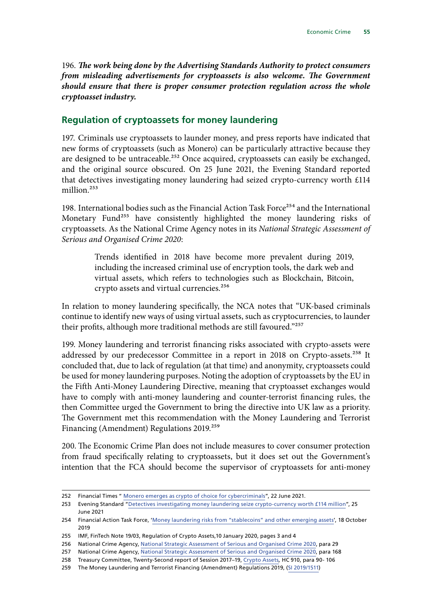196. *The work being done by the Advertising Standards Authority to protect consumers from misleading advertisements for cryptoassets is also welcome. The Government should ensure that there is proper consumer protection regulation across the whole cryptoasset industry.*

#### **Regulation of cryptoassets for money laundering**

197. Criminals use cryptoassets to launder money, and press reports have indicated that new forms of cryptoassets (such as Monero) can be particularly attractive because they are designed to be untraceable.<sup>252</sup> Once acquired, cryptoassets can easily be exchanged, and the original source obscured. On 25 June 2021, the Evening Standard reported that detectives investigating money laundering had seized crypto-currency worth £114 million.<sup>253</sup>

198. International bodies such as the Financial Action Task Force<sup>254</sup> and the International Monetary Fund<sup>255</sup> have consistently highlighted the money laundering risks of cryptoassets. As the National Crime Agency notes in its *National Strategic Assessment of Serious and Organised Crime 2020*:

> Trends identified in 2018 have become more prevalent during 2019, including the increased criminal use of encryption tools, the dark web and virtual assets, which refers to technologies such as Blockchain, Bitcoin, crypto assets and virtual currencies.<sup>256</sup>

In relation to money laundering specifically, the NCA notes that "UK-based criminals continue to identify new ways of using virtual assets, such as cryptocurrencies, to launder their profits, although more traditional methods are still favoured."257

199. Money laundering and terrorist financing risks associated with crypto-assets were addressed by our predecessor Committee in a report in 2018 on Crypto-assets.<sup>258</sup> It concluded that, due to lack of regulation (at that time) and anonymity, cryptoassets could be used for money laundering purposes. Noting the adoption of cryptoassets by the EU in the Fifth Anti-Money Laundering Directive, meaning that cryptoasset exchanges would have to comply with anti-money laundering and counter-terrorist financing rules, the then Committee urged the Government to bring the directive into UK law as a priority. The Government met this recommendation with the Money Laundering and Terrorist Financing (Amendment) Regulations 2019.<sup>259</sup>

200. The Economic Crime Plan does not include measures to cover consumer protection from fraud specifically relating to cryptoassets, but it does set out the Government's intention that the FCA should become the supervisor of cryptoassets for anti-money

<sup>252</sup> Financial Times " [Monero emerges as crypto of choice for cybercriminals"](https://www.ft.com/content/13fb66ed-b4e2-4f5f-926a-7d34dc40d8b6), 22 June 2021.

<sup>253</sup> Evening Standard "[Detectives investigating money laundering seize crypto-currency worth £114 million"](https://www.standard.co.uk/news/crime/detectives-money-laundering-cryptocurrency-ps114-million-b942555.html), 25 June 2021

<sup>254</sup> Financial Action Task Force, '[Money laundering risks from "stablecoins" and other emerging assets](http://www.fatf-gafi.org/publications/fatfgeneral/documents/statement-virtual-assets-global-stablecoins.html)', 18 October 2019

<sup>255</sup> IMF, FinTech Note 19/03, Regulation of Crypto Assets,10 January 2020, pages 3 and 4

<sup>256</sup> National Crime Agency, [National Strategic Assessment of Serious and Organised Crime 2020,](https://www.nationalcrimeagency.gov.uk/who-we-are/publications/437-national-strategic-assessment-of-serious-and-organised-crime-2020/file) para 29

<sup>257</sup> National Crime Agency, [National Strategic Assessment of Serious and Organised Crime 2020,](https://www.nationalcrimeagency.gov.uk/who-we-are/publications/437-national-strategic-assessment-of-serious-and-organised-crime-2020/file) para 168

<sup>258</sup> Treasury Committee, Twenty-Second report of Session 2017–19, [Crypto Assets](https://publications.parliament.uk/pa/cm201719/cmselect/cmtreasy/910/910.pdf)*,* HC 910, para 90- 106

<sup>259</sup> The Money Laundering and Terrorist Financing (Amendment) Regulations 2019, [\(SI 2019/1511](https://www.legislation.gov.uk/uksi/2019/1511/regulation/4/made))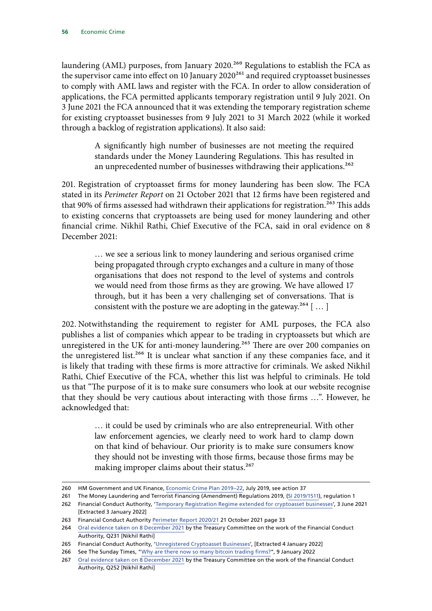laundering (AML) purposes, from January 2020.<sup>260</sup> Regulations to establish the FCA as the supervisor came into effect on 10 January  $2020^{261}$  and required cryptoasset businesses to comply with AML laws and register with the FCA. In order to allow consideration of applications, the FCA permitted applicants temporary registration until 9 July 2021. On 3 June 2021 the FCA announced that it was extending the temporary registration scheme for existing cryptoasset businesses from 9 July 2021 to 31 March 2022 (while it worked through a backlog of registration applications). It also said:

> A significantly high number of businesses are not meeting the required standards under the Money Laundering Regulations. This has resulted in an unprecedented number of businesses withdrawing their applications.<sup>262</sup>

201. Registration of cryptoasset firms for money laundering has been slow. The FCA stated in its *Perimeter Report* on 21 October 2021 that 12 firms have been registered and that 90% of firms assessed had withdrawn their applications for registration.<sup>263</sup> This adds to existing concerns that cryptoassets are being used for money laundering and other financial crime. Nikhil Rathi, Chief Executive of the FCA, said in oral evidence on 8 December 2021:

> … we see a serious link to money laundering and serious organised crime being propagated through crypto exchanges and a culture in many of those organisations that does not respond to the level of systems and controls we would need from those firms as they are growing. We have allowed 17 through, but it has been a very challenging set of conversations. That is consistent with the posture we are adopting in the gateway.<sup>264</sup> [...]

202. Notwithstanding the requirement to register for AML purposes, the FCA also publishes a list of companies which appear to be trading in cryptoassets but which are unregistered in the UK for anti-money laundering.<sup>265</sup> There are over 200 companies on the unregistered list.<sup>266</sup> It is unclear what sanction if any these companies face, and it is likely that trading with these firms is more attractive for criminals. We asked Nikhil Rathi, Chief Executive of the FCA, whether this list was helpful to criminals. He told us that "The purpose of it is to make sure consumers who look at our website recognise that they should be very cautious about interacting with those firms …". However, he acknowledged that:

> … it could be used by criminals who are also entrepreneurial. With other law enforcement agencies, we clearly need to work hard to clamp down on that kind of behaviour. Our priority is to make sure consumers know they should not be investing with those firms, because those firms may be making improper claims about their status.<sup>267</sup>

<sup>260</sup> HM Government and UK Finance, [Economic Crime Plan 2019–22,](https://assets.publishing.service.gov.uk/government/uploads/system/uploads/attachment_data/file/816215/2019-22_Economic_Crime_Plan.pdf) July 2019, see action 37

<sup>261</sup> The Money Laundering and Terrorist Financing (Amendment) Regulations 2019, [\(SI 2019/1511](https://www.legislation.gov.uk/uksi/2019/1511/regulation/4/made)), regulation 1

<sup>262</sup> Financial Conduct Authority, '[Temporary Registration Regime extended for cryptoasset businesses'](https://www.fca.org.uk/news/press-releases/temporary-registration-regime-extended-cryptoasset-businesses), 3 June 2021 [Extracted 3 January 2022]

<sup>263</sup> Financial Conduct Authority [Perimeter Report 2020/21](https://www.fca.org.uk/publication/annual-reports/perimeter-report-2020-21.pdf) 21 October 2021 page 33

<sup>264</sup> [Oral evidence taken on 8 December 2021](https://committees.parliament.uk/oralevidence/3177/pdf/) by the Treasury Committee on the work of the Financial Conduct Authority, Q231 [Nikhil Rathi]

<sup>265</sup> Financial Conduct Authority, ['Unregistered Cryptoasset Businesses'](https://register.fca.org.uk/s/search?predefined=U), [Extracted 4 January 2022]

<sup>266</sup> See The Sunday Times, "[Why are there now so many bitcoin trading firms?](https://www.thetimes.co.uk/article/why-are-there-now-so-many-bitcoin-trading-firms-w2d0g250p)", 9 January 2022

<sup>267</sup> [Oral evidence taken on 8 December 2021](https://committees.parliament.uk/oralevidence/3177/pdf/) by the Treasury Committee on the work of the Financial Conduct Authority, Q252 [Nikhil Rathi]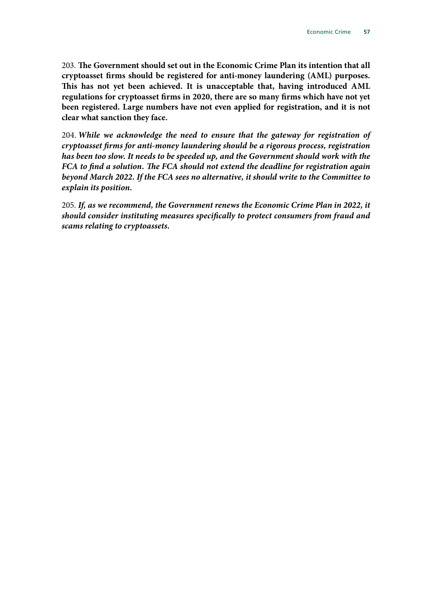203. **The Government should set out in the Economic Crime Plan its intention that all cryptoasset firms should be registered for anti-money laundering (AML) purposes. This has not yet been achieved. It is unacceptable that, having introduced AML regulations for cryptoasset firms in 2020, there are so many firms which have not yet been registered. Large numbers have not even applied for registration, and it is not clear what sanction they face.**

204. *While we acknowledge the need to ensure that the gateway for registration of cryptoasset firms for anti-money laundering should be a rigorous process, registration has been too slow. It needs to be speeded up, and the Government should work with the FCA to find a solution. The FCA should not extend the deadline for registration again beyond March 2022. If the FCA sees no alternative, it should write to the Committee to explain its position.*

205. *If, as we recommend, the Government renews the Economic Crime Plan in 2022, it should consider instituting measures specifically to protect consumers from fraud and scams relating to cryptoassets.*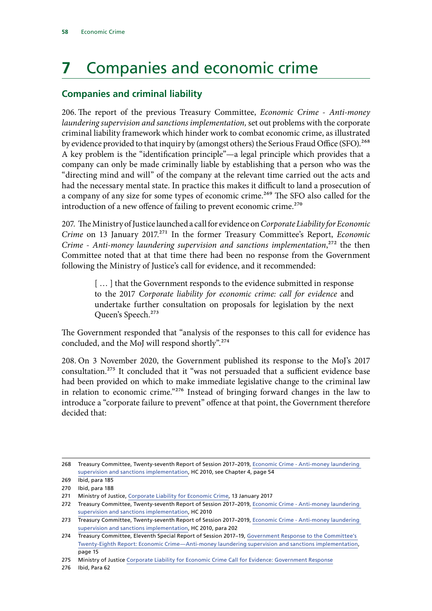# **7** Companies and economic crime

# **Companies and criminal liability**

206. The report of the previous Treasury Committee, *Economic Crime - Anti-money laundering supervision and sanctions implementation,* set out problems with the corporate criminal liability framework which hinder work to combat economic crime, as illustrated by evidence provided to that inquiry by (amongst others) the Serious Fraud Office (SFO).<sup>268</sup> A key problem is the "identification principle"—a legal principle which provides that a company can only be made criminally liable by establishing that a person who was the "directing mind and will" of the company at the relevant time carried out the acts and had the necessary mental state. In practice this makes it difficult to land a prosecution of a company of any size for some types of economic crime.<sup>269</sup> The SFO also called for the introduction of a new offence of failing to prevent economic crime.<sup>270</sup>

207. The Ministry of Justice launched a call for evidence on *Corporate Liability for Economic Crime* on 13 January 2017.<sup>271</sup> In the former Treasury Committee's Report, *Economic Crime - Anti-money laundering supervision and sanctions implementation*,<sup>272</sup> the then Committee noted that at that time there had been no response from the Government following the Ministry of Justice's call for evidence, and it recommended:

> [...] that the Government responds to the evidence submitted in response to the 2017 *Corporate liability for economic crime: call for evidence* and undertake further consultation on proposals for legislation by the next Queen's Speech.273

The Government responded that "analysis of the responses to this call for evidence has concluded, and the MoJ will respond shortly".274

208. On 3 November 2020, the Government published its response to the MoJ's 2017 consultation.275 It concluded that it "was not persuaded that a sufficient evidence base had been provided on which to make immediate legislative change to the criminal law in relation to economic crime."276 Instead of bringing forward changes in the law to introduce a "corporate failure to prevent" offence at that point, the Government therefore decided that:

<sup>268</sup> Treasury Committee, Twenty-seventh Report of Session 2017–2019, [Economic Crime - Anti-money laundering](https://publications.parliament.uk/pa/cm201719/cmselect/cmtreasy/2010/2010.pdf)  [supervision and sanctions implementation](https://publications.parliament.uk/pa/cm201719/cmselect/cmtreasy/2010/2010.pdf), HC 2010, see Chapter 4, page 54

<sup>269</sup> Ibid, para 185

<sup>270</sup> Ibid, para 188

<sup>271</sup> Ministry of Justice, [Corporate Liability for Economic Crime](https://consult.justice.gov.uk/digital-communications/corporate-liability-for-economic-crime/supporting_documents/corporateliabilityforeconomiccrimeconsultationdocument.pdf), 13 January 2017

<sup>272</sup> Treasury Committee, Twenty-seventh Report of Session 2017–2019, [Economic Crime - Anti-money laundering](https://publications.parliament.uk/pa/cm201719/cmselect/cmtreasy/2010/2010.pdf)  [supervision and sanctions implementation](https://publications.parliament.uk/pa/cm201719/cmselect/cmtreasy/2010/2010.pdf), HC 2010

<sup>273</sup> Treasury Committee, Twenty-seventh Report of Session 2017–2019, [Economic Crime - Anti-money laundering](https://publications.parliament.uk/pa/cm201719/cmselect/cmtreasy/2010/2010.pdf)  [supervision and sanctions implementation](https://publications.parliament.uk/pa/cm201719/cmselect/cmtreasy/2010/2010.pdf), HC 2010, para 202

<sup>274</sup> Treasury Committee, Eleventh Special Report of Session 2017–19, [Government Response to the Committee's](https://publications.parliament.uk/pa/cm201719/cmselect/cmtreasy/2187/2187.pdf)  [Twenty-Eighth Report: Economic Crime—Anti-money laundering supervision and sanctions implementation,](https://publications.parliament.uk/pa/cm201719/cmselect/cmtreasy/2187/2187.pdf) page 15

<sup>275</sup> Ministry of Justice [Corporate Liability for Economic Crime Call for Evidence: Government Response](https://assets.publishing.service.gov.uk/government/uploads/system/uploads/attachment_data/file/932169/corporate-liability-economic-crime-call-evidence-government-response.pdf)

<sup>276</sup> Ibid, Para 62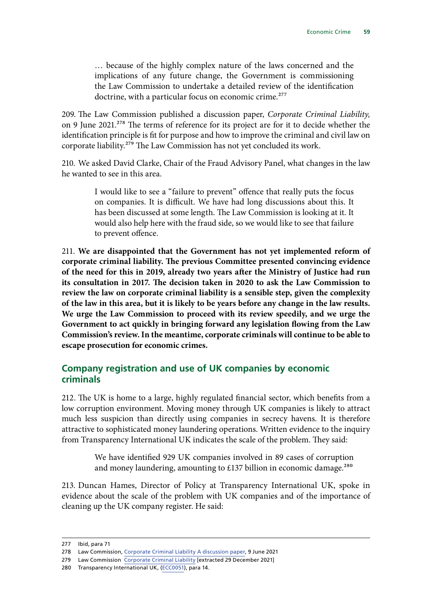… because of the highly complex nature of the laws concerned and the implications of any future change, the Government is commissioning the Law Commission to undertake a detailed review of the identification doctrine, with a particular focus on economic crime.<sup>277</sup>

209. The Law Commission published a discussion paper, *Corporate Criminal Liability,* on 9 June 2021.<sup>278</sup> The terms of reference for its project are for it to decide whether the identification principle is fit for purpose and how to improve the criminal and civil law on corporate liability.<sup>279</sup> The Law Commission has not yet concluded its work.

210. We asked David Clarke, Chair of the Fraud Advisory Panel, what changes in the law he wanted to see in this area.

> I would like to see a "failure to prevent" offence that really puts the focus on companies. It is difficult. We have had long discussions about this. It has been discussed at some length. The Law Commission is looking at it. It would also help here with the fraud side, so we would like to see that failure to prevent offence.

211. **We are disappointed that the Government has not yet implemented reform of corporate criminal liability. The previous Committee presented convincing evidence of the need for this in 2019, already two years after the Ministry of Justice had run its consultation in 2017. The decision taken in 2020 to ask the Law Commission to review the law on corporate criminal liability is a sensible step, given the complexity of the law in this area, but it is likely to be years before any change in the law results. We urge the Law Commission to proceed with its review speedily, and we urge the Government to act quickly in bringing forward any legislation flowing from the Law Commission's review. In the meantime, corporate criminals will continue to be able to escape prosecution for economic crimes.**

# **Company registration and use of UK companies by economic criminals**

212. The UK is home to a large, highly regulated financial sector, which benefits from a low corruption environment. Moving money through UK companies is likely to attract much less suspicion than directly using companies in secrecy havens. It is therefore attractive to sophisticated money laundering operations. Written evidence to the inquiry from Transparency International UK indicates the scale of the problem. They said:

> We have identified 929 UK companies involved in 89 cases of corruption and money laundering, amounting to £137 billion in economic damage.<sup>280</sup>

213. Duncan Hames, Director of Policy at Transparency International UK, spoke in evidence about the scale of the problem with UK companies and of the importance of cleaning up the UK company register. He said:

<sup>277</sup> Ibid, para 71

<sup>278</sup> Law Commission, [Corporate Criminal Liability A discussion paper,](https://s3-eu-west-2.amazonaws.com/lawcom-prod-storage-11jsxou24uy7q/uploads/2021/06/Corporate-Criminal-Liability-Discussion-Paper.pdf) 9 June 2021

<sup>279</sup> Law Commission [Corporate Criminal Liability](https://www.lawcom.gov.uk/project/corporate-criminal-liability/) [extracted 29 December 2021]

<sup>280</sup> Transparency International UK, ([ECC0051\)](https://committees.parliament.uk/writtenevidence/18442/pdf/), para 14.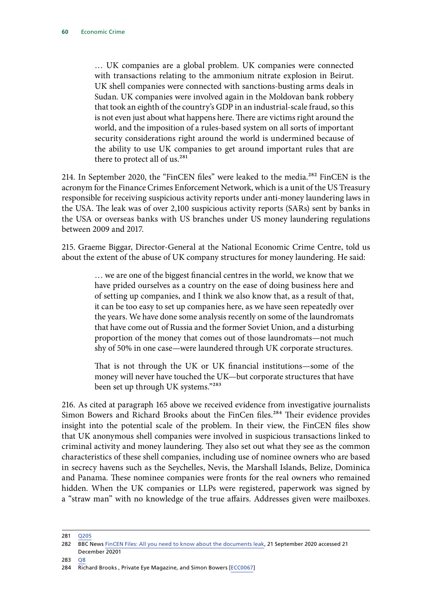… UK companies are a global problem. UK companies were connected with transactions relating to the ammonium nitrate explosion in Beirut. UK shell companies were connected with sanctions-busting arms deals in Sudan. UK companies were involved again in the Moldovan bank robbery that took an eighth of the country's GDP in an industrial-scale fraud, so this is not even just about what happens here. There are victims right around the world, and the imposition of a rules-based system on all sorts of important security considerations right around the world is undermined because of the ability to use UK companies to get around important rules that are there to protect all of us.<sup>281</sup>

214. In September 2020, the "FinCEN files" were leaked to the media.282 FinCEN is the acronym for the Finance Crimes Enforcement Network, which is a unit of the US Treasury responsible for receiving suspicious activity reports under anti-money laundering laws in the USA. The leak was of over 2,100 suspicious activity reports (SARs) sent by banks in the USA or overseas banks with US branches under US money laundering regulations between 2009 and 2017.

215. Graeme Biggar, Director-General at the National Economic Crime Centre, told us about the extent of the abuse of UK company structures for money laundering. He said:

> … we are one of the biggest financial centres in the world, we know that we have prided ourselves as a country on the ease of doing business here and of setting up companies, and I think we also know that, as a result of that, it can be too easy to set up companies here, as we have seen repeatedly over the years. We have done some analysis recently on some of the laundromats that have come out of Russia and the former Soviet Union, and a disturbing proportion of the money that comes out of those laundromats—not much shy of 50% in one case—were laundered through UK corporate structures.

> That is not through the UK or UK financial institutions—some of the money will never have touched the UK—but corporate structures that have been set up through UK systems."283

216. As cited at paragraph 165 above we received evidence from investigative journalists Simon Bowers and Richard Brooks about the FinCen files.<sup>284</sup> Their evidence provides insight into the potential scale of the problem. In their view, the FinCEN files show that UK anonymous shell companies were involved in suspicious transactions linked to criminal activity and money laundering. They also set out what they see as the common characteristics of these shell companies, including use of nominee owners who are based in secrecy havens such as the Seychelles, Nevis, the Marshall Islands, Belize, Dominica and Panama. These nominee companies were fronts for the real owners who remained hidden. When the UK companies or LLPs were registered, paperwork was signed by a "straw man" with no knowledge of the true affairs. Addresses given were mailboxes.

281 [Q205](https://committees.parliament.uk/oralevidence/2532/pdf/)

283 [Q8](https://committees.parliament.uk/oralevidence/1571/pdf/)

<sup>282</sup> BBC News [FinCEN Files: All you need to know about the documents leak](https://www.bbc.co.uk/news/uk-54226107), 21 September 2020 accessed 21 December 20201

<sup>284</sup> Richard Brooks , Private Eye Magazine, and Simon Bowers [\[ECC0067](https://committees.parliament.uk/writtenevidence/18567/pdf/)]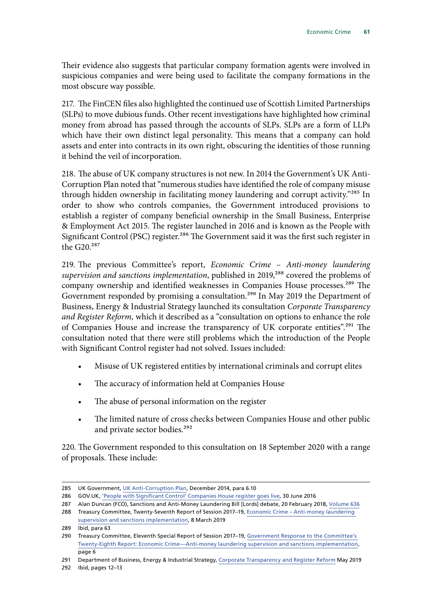Their evidence also suggests that particular company formation agents were involved in suspicious companies and were being used to facilitate the company formations in the most obscure way possible.

217. The FinCEN files also highlighted the continued use of Scottish Limited Partnerships (SLPs) to move dubious funds. Other recent investigations have highlighted how criminal money from abroad has passed through the accounts of SLPs. SLPs are a form of LLPs which have their own distinct legal personality. This means that a company can hold assets and enter into contracts in its own right, obscuring the identities of those running it behind the veil of incorporation.

218. The abuse of UK company structures is not new. In 2014 the Government's UK Anti-Corruption Plan noted that "numerous studies have identified the role of company misuse through hidden ownership in facilitating money laundering and corrupt activity."285 In order to show who controls companies, the Government introduced provisions to establish a register of company beneficial ownership in the Small Business, Enterprise & Employment Act 2015. The register launched in 2016 and is known as the People with Significant Control (PSC) register.<sup>286</sup> The Government said it was the first such register in the G20.287

219. The previous Committee's report, *Economic Crime – Anti-money laundering supervision and sanctions implementation*, published in 2019,<sup>288</sup> covered the problems of company ownership and identified weaknesses in Companies House processes.<sup>289</sup> The Government responded by promising a consultation.<sup>290</sup> In May 2019 the Department of Business, Energy & Industrial Strategy launched its consultation *Corporate Transparency and Register Reform,* which it described as a "consultation on options to enhance the role of Companies House and increase the transparency of UK corporate entities".<sup>291</sup> The consultation noted that there were still problems which the introduction of the People with Significant Control register had not solved. Issues included:

- Misuse of UK registered entities by international criminals and corrupt elites
- The accuracy of information held at Companies House
- The abuse of personal information on the register
- The limited nature of cross checks between Companies House and other public and private sector bodies.<sup>292</sup>

220. The Government responded to this consultation on 18 September 2020 with a range of proposals. These include:

<sup>285</sup> UK Government, [UK Anti-Corruption Plan](https://assets.publishing.service.gov.uk/government/uploads/system/uploads/attachment_data/file/388894/UKantiCorruptionPlan.pdf), December 2014, para 6.10

<sup>286</sup> GOV.UK, ['People with Significant Control' Companies House register goes live,](https://hopuk.sharepoint.com/sites/hcc-Treasury/Papers/2021-22/‘People%20with%20Significant%20Control’%20Companies%20House%20register%20goes%20live) 30 June 2016

<sup>287</sup> Alan Duncan (FCO), Sanctions and Anti-Money Laundering Bill [Lords] debate, 20 February 2018, Volume 636

<sup>288</sup> Treasury Committee, Twenty-Seventh Report of Session 2017–19, [Economic Crime – Anti-money laundering](https://publications.parliament.uk/pa/cm201719/cmselect/cmtreasy/2010/2010.pdf)  [supervision and sanctions implementation](https://publications.parliament.uk/pa/cm201719/cmselect/cmtreasy/2010/2010.pdf), 8 March 2019

<sup>289</sup> Ibid, para 63

<sup>290</sup> Treasury Committee, Eleventh Special Report of Session 2017–19, [Government Response to the Committee's](https://publications.parliament.uk/pa/cm201719/cmselect/cmtreasy/2187/2187.pdf)  [Twenty-Eighth Report: Economic Crime—Anti-money laundering supervision and sanctions implementation,](https://publications.parliament.uk/pa/cm201719/cmselect/cmtreasy/2187/2187.pdf) page 6

<sup>291</sup> Department of Business, Energy & Industrial Strategy, [Corporate Transparency and Register Reform](https://assets.publishing.service.gov.uk/government/uploads/system/uploads/attachment_data/file/819994/Corporate_transparency_and_register_reform.pdf) May 2019

<sup>292</sup> Ibid, pages 12–13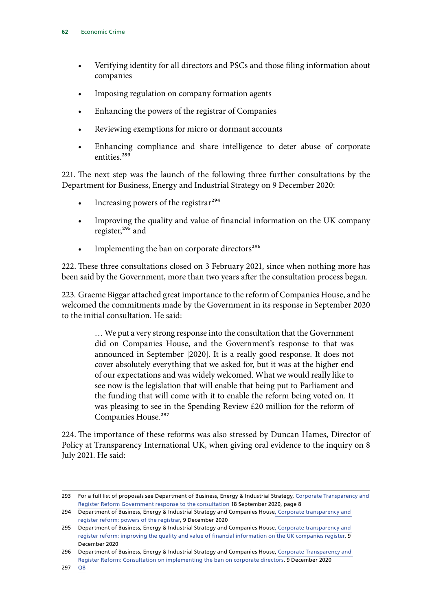- Verifying identity for all directors and PSCs and those filing information about companies
- Imposing regulation on company formation agents
- Enhancing the powers of the registrar of Companies
- Reviewing exemptions for micro or dormant accounts
- Enhancing compliance and share intelligence to deter abuse of corporate entities.293

221. The next step was the launch of the following three further consultations by the Department for Business, Energy and Industrial Strategy on 9 December 2020:

- Increasing powers of the registrar $^{294}$
- Improving the quality and value of financial information on the UK company register,<sup>295</sup> and
- Implementing the ban on corporate directors<sup>296</sup>

222. These three consultations closed on 3 February 2021, since when nothing more has been said by the Government, more than two years after the consultation process began.

223. Graeme Biggar attached great importance to the reform of Companies House, and he welcomed the commitments made by the Government in its response in September 2020 to the initial consultation. He said:

> … We put a very strong response into the consultation that the Government did on Companies House, and the Government's response to that was announced in September [2020]. It is a really good response. It does not cover absolutely everything that we asked for, but it was at the higher end of our expectations and was widely welcomed. What we would really like to see now is the legislation that will enable that being put to Parliament and the funding that will come with it to enable the reform being voted on. It was pleasing to see in the Spending Review £20 million for the reform of Companies House.<sup>297</sup>

224. The importance of these reforms was also stressed by Duncan Hames, Director of Policy at Transparency International UK, when giving oral evidence to the inquiry on 8 July 2021. He said:

<sup>293</sup> For a full list of proposals see Department of Business, Energy & Industrial Strategy, [Corporate Transparency and](https://assets.publishing.service.gov.uk/government/uploads/system/uploads/attachment_data/file/925059/corporate-transparency-register-reform-government-response.pdf)  [Register Reform Government response to the consultation](https://assets.publishing.service.gov.uk/government/uploads/system/uploads/attachment_data/file/925059/corporate-transparency-register-reform-government-response.pdf) 18 September 2020, page 8

<sup>294</sup> Department of Business, Energy & Industrial Strategy and Companies House[, Corporate transparency and](https://www.gov.uk/Government/consultations/corporate-transparency-and-register-reform-powers-of-the-registrar)  [register reform: powers of the registrar](https://www.gov.uk/Government/consultations/corporate-transparency-and-register-reform-powers-of-the-registrar), 9 December 2020

<sup>295</sup> Department of Business, Energy & Industrial Strategy and Companies House[, Corporate transparency and](https://www.gov.uk/government/consultations/corporate-transparency-and-register-reform-improving-the-quality-and-value-of-financial-information-on-the-uk-companies-register)  [register reform: improving the quality and value of financial information on the UK companies register](https://www.gov.uk/government/consultations/corporate-transparency-and-register-reform-improving-the-quality-and-value-of-financial-information-on-the-uk-companies-register), 9 December 2020

<sup>296</sup> Department of Business, Energy & Industrial Strategy and Companies House, [Corporate Transparency and](https://assets.publishing.service.gov.uk/government/uploads/system/uploads/attachment_data/file/942194/Corporate_Directors_Consultation.pdf)  [Register Reform: Consultation on implementing the ban on corporate directors.](https://assets.publishing.service.gov.uk/government/uploads/system/uploads/attachment_data/file/942194/Corporate_Directors_Consultation.pdf) 9 December 2020

<sup>297</sup> [Q8](https://committees.parliament.uk/oralevidence/1571/pdf/)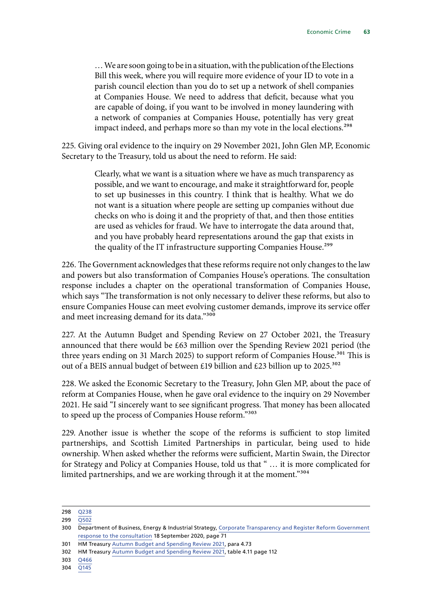… We are soon going to be in a situation, with the publication of the Elections Bill this week, where you will require more evidence of your ID to vote in a parish council election than you do to set up a network of shell companies at Companies House. We need to address that deficit, because what you are capable of doing, if you want to be involved in money laundering with a network of companies at Companies House, potentially has very great impact indeed, and perhaps more so than my vote in the local elections.<sup>298</sup>

225. Giving oral evidence to the inquiry on 29 November 2021, John Glen MP, Economic Secretary to the Treasury, told us about the need to reform. He said:

> Clearly, what we want is a situation where we have as much transparency as possible, and we want to encourage, and make it straightforward for, people to set up businesses in this country. I think that is healthy. What we do not want is a situation where people are setting up companies without due checks on who is doing it and the propriety of that, and then those entities are used as vehicles for fraud. We have to interrogate the data around that, and you have probably heard representations around the gap that exists in the quality of the IT infrastructure supporting Companies House.<sup>299</sup>

226. The Government acknowledges that these reforms require not only changes to the law and powers but also transformation of Companies House's operations. The consultation response includes a chapter on the operational transformation of Companies House, which says "The transformation is not only necessary to deliver these reforms, but also to ensure Companies House can meet evolving customer demands, improve its service offer and meet increasing demand for its data."300

227. At the Autumn Budget and Spending Review on 27 October 2021, the Treasury announced that there would be £63 million over the Spending Review 2021 period (the three years ending on 31 March 2025) to support reform of Companies House.<sup>301</sup> This is out of a BEIS annual budget of between £19 billion and £23 billion up to 2025.<sup>302</sup>

228. We asked the Economic Secretary to the Treasury, John Glen MP, about the pace of reform at Companies House, when he gave oral evidence to the inquiry on 29 November 2021. He said "I sincerely want to see significant progress. That money has been allocated to speed up the process of Companies House reform."303

229. Another issue is whether the scope of the reforms is sufficient to stop limited partnerships, and Scottish Limited Partnerships in particular, being used to hide ownership. When asked whether the reforms were sufficient, Martin Swain, the Director for Strategy and Policy at Companies House, told us that " ... it is more complicated for limited partnerships, and we are working through it at the moment."<sup>304</sup>

<sup>298</sup> [Q238](https://committees.parliament.uk/oralevidence/2532/pdf/) 299 [Q502](https://committees.parliament.uk/oralevidence/3088/pdf/)

<sup>300</sup> Department of Business, Energy & Industrial Strategy, [Corporate Transparency and Register Reform Government](https://assets.publishing.service.gov.uk/government/uploads/system/uploads/attachment_data/file/925059/corporate-transparency-register-reform-government-response.pdf)  [response to the consultation](https://assets.publishing.service.gov.uk/government/uploads/system/uploads/attachment_data/file/925059/corporate-transparency-register-reform-government-response.pdf) 18 September 2020, page 71

<sup>301</sup> HM Treasury [Autumn Budget and Spending Review 2021,](https://assets.publishing.service.gov.uk/government/uploads/system/uploads/attachment_data/file/1043689/Budget_AB2021_Web_Accessible.pdf) para 4.73

<sup>302</sup> HM Treasury [Autumn Budget and Spending Review 2021,](https://assets.publishing.service.gov.uk/government/uploads/system/uploads/attachment_data/file/1043689/Budget_AB2021_Web_Accessible.pdf) table 4.11 page 112

<sup>303</sup> [Q466](https://committees.parliament.uk/oralevidence/3088/pdf/)

<sup>304</sup> [Q145](https://committees.parliament.uk/oralevidence/2349/pdf/)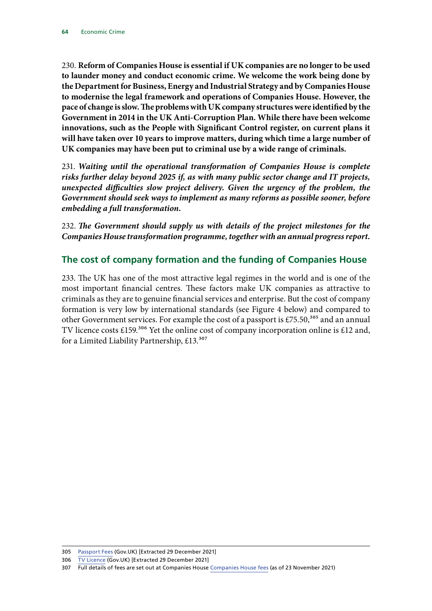230. **Reform of Companies House is essential if UK companies are no longer to be used to launder money and conduct economic crime. We welcome the work being done by the Department for Business, Energy and Industrial Strategy and by Companies House to modernise the legal framework and operations of Companies House. However, the pace of change is slow. The problems with UK company structures were identified by the Government in 2014 in the UK Anti-Corruption Plan. While there have been welcome innovations, such as the People with Significant Control register, on current plans it will have taken over 10 years to improve matters, during which time a large number of UK companies may have been put to criminal use by a wide range of criminals.**

231. *Waiting until the operational transformation of Companies House is complete risks further delay beyond 2025 if, as with many public sector change and IT projects, unexpected difficulties slow project delivery. Given the urgency of the problem, the Government should seek ways to implement as many reforms as possible sooner, before embedding a full transformation.*

232. *The Government should supply us with details of the project milestones for the Companies House transformation programme, together with an annual progress report.*

# **The cost of company formation and the funding of Companies House**

233. The UK has one of the most attractive legal regimes in the world and is one of the most important financial centres. These factors make UK companies as attractive to criminals as they are to genuine financial services and enterprise. But the cost of company formation is very low by international standards (see Figure 4 below) and compared to other Government services. For example the cost of a passport is £75.50,<sup>305</sup> and an annual TV licence costs  $\text{\pounds}159$ .<sup>306</sup> Yet the online cost of company incorporation online is  $\text{\pounds}12$  and, for a Limited Liability Partnership,  $£13.^{307}$ 

<sup>305</sup> [Passport Fees](https://www.gov.uk/passport-fees) (Gov.UK) [Extracted 29 December 2021]

<sup>306</sup> [TV Licence](https://www.gov.uk/tv-licence) (Gov.UK) [Extracted 29 December 2021]

<sup>307</sup> Full details of fees are set out at Companies House [Companies House fees](https://www.gov.uk/government/publications/companies-house-fees/companies-house-fees) (as of 23 November 2021)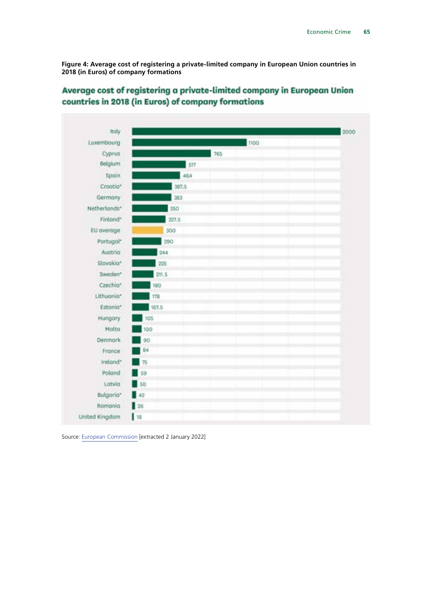**Figure 4: Average cost of registering a private-limited company in European Union countries in 2018 (in Euros) of company formations**



#### Average cost of registering a private-limited company in European Union countries in 2018 (in Euros) of company formations

Source: [European Commission](https://ec.europa.eu/docsroom/documents/34587) [extracted 2 January 2022]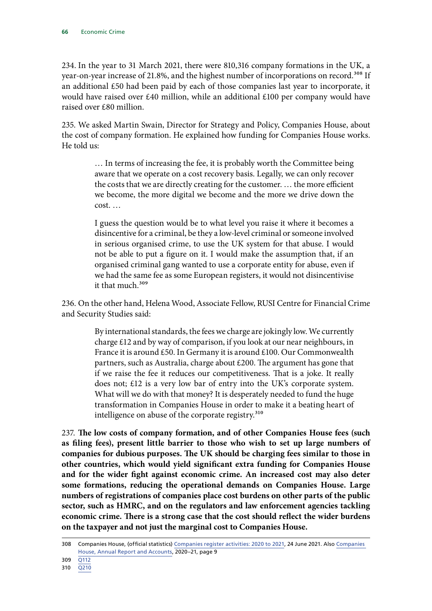234. In the year to 31 March 2021, there were 810,316 company formations in the UK, a year-on-year increase of 21.8%, and the highest number of incorporations on record.<sup>308</sup> If an additional £50 had been paid by each of those companies last year to incorporate, it would have raised over £40 million, while an additional £100 per company would have raised over £80 million.

235. We asked Martin Swain, Director for Strategy and Policy, Companies House, about the cost of company formation. He explained how funding for Companies House works. He told us:

> … In terms of increasing the fee, it is probably worth the Committee being aware that we operate on a cost recovery basis. Legally, we can only recover the costs that we are directly creating for the customer. … the more efficient we become, the more digital we become and the more we drive down the cost. …

> I guess the question would be to what level you raise it where it becomes a disincentive for a criminal, be they a low-level criminal or someone involved in serious organised crime, to use the UK system for that abuse. I would not be able to put a figure on it. I would make the assumption that, if an organised criminal gang wanted to use a corporate entity for abuse, even if we had the same fee as some European registers, it would not disincentivise it that much.<sup>309</sup>

236. On the other hand, Helena Wood, Associate Fellow, RUSI Centre for Financial Crime and Security Studies said:

> By international standards, the fees we charge are jokingly low. We currently charge £12 and by way of comparison, if you look at our near neighbours, in France it is around £50. In Germany it is around £100. Our Commonwealth partners, such as Australia, charge about £200. The argument has gone that if we raise the fee it reduces our competitiveness. That is a joke. It really does not; £12 is a very low bar of entry into the UK's corporate system. What will we do with that money? It is desperately needed to fund the huge transformation in Companies House in order to make it a beating heart of intelligence on abuse of the corporate registry.<sup>310</sup>

237. **The low costs of company formation, and of other Companies House fees (such as filing fees), present little barrier to those who wish to set up large numbers of companies for dubious purposes. The UK should be charging fees similar to those in other countries, which would yield significant extra funding for Companies House and for the wider fight against economic crime. An increased cost may also deter some formations, reducing the operational demands on Companies House. Large numbers of registrations of companies place cost burdens on other parts of the public sector, such as HMRC, and on the regulators and law enforcement agencies tackling economic crime. There is a strong case that the cost should reflect the wider burdens on the taxpayer and not just the marginal cost to Companies House.**

<sup>308</sup> Companies House, (official statistics) [Companies register activities: 2020 to 2021,](https://www.gov.uk/government/statistics/companies-register-activities-statistical-release-2020-to-2021/companies-register-activities-2020-to-2021) 24 June 2021. Also [Companies](https://assets.publishing.service.gov.uk/government/uploads/system/uploads/attachment_data/file/1028103/Companies_House_annual_report_and_accounts_2020-21.pdf)  [House, Annual Report and Accounts](https://assets.publishing.service.gov.uk/government/uploads/system/uploads/attachment_data/file/1028103/Companies_House_annual_report_and_accounts_2020-21.pdf), 2020–21, page 9

<sup>309</sup> [Q112](https://committees.parliament.uk/oralevidence/2349/pdf/)

<sup>310</sup> [Q210](https://committees.parliament.uk/oralevidence/2532/pdf/)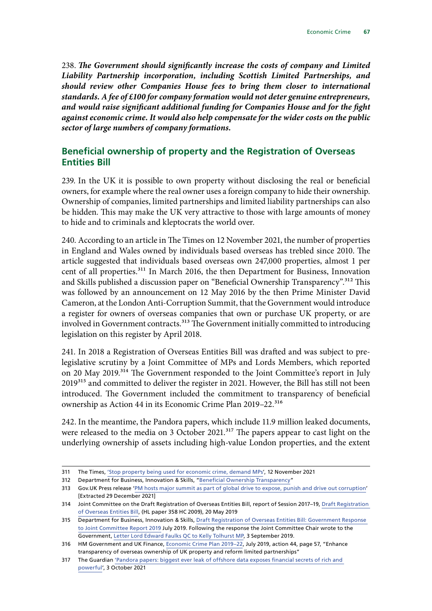238. *The Government should significantly increase the costs of company and Limited Liability Partnership incorporation, including Scottish Limited Partnerships, and should review other Companies House fees to bring them closer to international standards. A fee of £100 for company formation would not deter genuine entrepreneurs, and would raise significant additional funding for Companies House and for the fight against economic crime. It would also help compensate for the wider costs on the public sector of large numbers of company formations.*

# **Beneficial ownership of property and the Registration of Overseas Entities Bill**

239. In the UK it is possible to own property without disclosing the real or beneficial owners, for example where the real owner uses a foreign company to hide their ownership. Ownership of companies, limited partnerships and limited liability partnerships can also be hidden. This may make the UK very attractive to those with large amounts of money to hide and to criminals and kleptocrats the world over.

240. According to an article in The Times on 12 November 2021, the number of properties in England and Wales owned by individuals based overseas has trebled since 2010. The article suggested that individuals based overseas own 247,000 properties, almost 1 per cent of all properties.<sup>311</sup> In March 2016, the then Department for Business, Innovation and Skills published a discussion paper on "Beneficial Ownership Transparency".<sup>312</sup> This was followed by an announcement on 12 May 2016 by the then Prime Minister David Cameron, at the London Anti-Corruption Summit, that the Government would introduce a register for owners of overseas companies that own or purchase UK property, or are involved in Government contracts.<sup>313</sup> The Government initially committed to introducing legislation on this register by April 2018.

241. In 2018 a Registration of Overseas Entities Bill was drafted and was subject to prelegislative scrutiny by a Joint Committee of MPs and Lords Members, which reported on 20 May 2019.314 The Government responded to the Joint Committee's report in July 2019<sup>315</sup> and committed to deliver the register in 2021. However, the Bill has still not been introduced. The Government included the commitment to transparency of beneficial ownership as Action 44 in its Economic Crime Plan 2019–22.<sup>316</sup>

242. In the meantime, the Pandora papers, which include 11.9 million leaked documents, were released to the media on 3 October 2021.<sup>317</sup> The papers appear to cast light on the underlying ownership of assets including high-value London properties, and the extent

<sup>311</sup> The Times, ['Stop property being used for economic crime, demand MPs'](https://www.thetimes.co.uk/article/stop-property-being-used-for-economic-crime-demand-mps-ngdjzs9zf), 12 November 2021

<sup>312</sup> Department for Business, Innovation & Skills, "[Beneficial Ownership Transparency](https://assets.publishing.service.gov.uk/government/uploads/system/uploads/attachment_data/file/512333/bis-16-161-beneficial-ownership-transparency.pdf)"

<sup>313</sup> Gov.UK Press release '[PM hosts major summit as part of global drive to expose, punish and drive out corruption'](https://www.gov.uk/government/news/pm-announces-new-global-commitments-to-expose-punish-and-drive-out-corruption) [Extracted 29 December 2021]

<sup>314</sup> Joint Committee on the Draft Registration of Overseas Entities Bill, report of Session 2017–19, [Draft Registration](https://publications.parliament.uk/pa/jt201719/jtselect/jtovsent/358/358.pdf)  [of Overseas Entities Bill,](https://publications.parliament.uk/pa/jt201719/jtselect/jtovsent/358/358.pdf) (HL paper 358 HC 2009), 20 May 2019

<sup>315</sup> Department for Business, Innovation & Skills, [Draft Registration of Overseas Entities Bill: Government Response](https://www.gov.uk/government/publications/draft-registration-of-overseas-entities-bill-government-response-to-joint-committee-report/draft-registration-of-overseas-entities-bill-government-response-to-joint-committee-report-2019)  [to Joint Committee Report 2019](https://www.gov.uk/government/publications/draft-registration-of-overseas-entities-bill-government-response-to-joint-committee-report/draft-registration-of-overseas-entities-bill-government-response-to-joint-committee-report-2019) July 2019. Following the response the Joint Committee Chair wrote to the Government, [Letter Lord Edward Faulks QC to Kelly Tolhurst MP,](https://old.parliament.uk/documents/joint-committees/draft-registration-overseas-entities/Reply-to-Government-response%20.pdf) 3 September 2019.

<sup>316</sup> HM Government and UK Finance, [Economic Crime Plan 2019–22,](https://assets.publishing.service.gov.uk/government/uploads/system/uploads/attachment_data/file/816215/2019-22_Economic_Crime_Plan.pdf) July 2019, action 44, page 57, "Enhance transparency of overseas ownership of UK property and reform limited partnerships"

<sup>317</sup> The Guardian ['Pandora papers: biggest ever leak of offshore data exposes financial secrets of rich and](https://www.theguardian.com/news/2021/oct/03/pandora-papers-biggest-ever-leak-of-offshore-data-exposes-financial-secrets-of-rich-and-powerful)  [powerful'](https://www.theguardian.com/news/2021/oct/03/pandora-papers-biggest-ever-leak-of-offshore-data-exposes-financial-secrets-of-rich-and-powerful), 3 October 2021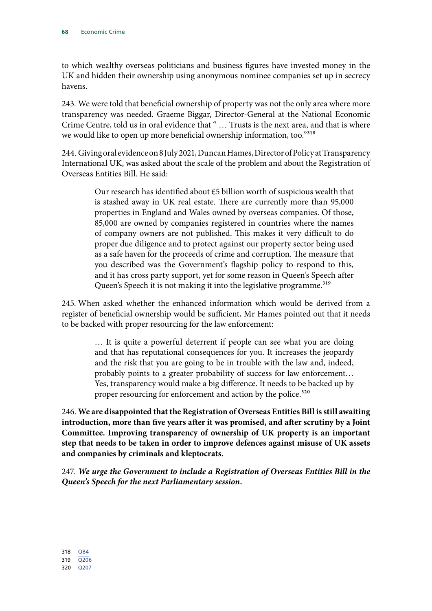to which wealthy overseas politicians and business figures have invested money in the UK and hidden their ownership using anonymous nominee companies set up in secrecy havens.

243. We were told that beneficial ownership of property was not the only area where more transparency was needed. Graeme Biggar, Director-General at the National Economic Crime Centre, told us in oral evidence that " … Trusts is the next area, and that is where we would like to open up more beneficial ownership information, too."<sup>318</sup>

244. Giving oral evidence on 8 July 2021, Duncan Hames, Director of Policy at Transparency International UK, was asked about the scale of the problem and about the Registration of Overseas Entities Bill. He said:

> Our research has identified about £5 billion worth of suspicious wealth that is stashed away in UK real estate. There are currently more than 95,000 properties in England and Wales owned by overseas companies. Of those, 85,000 are owned by companies registered in countries where the names of company owners are not published. This makes it very difficult to do proper due diligence and to protect against our property sector being used as a safe haven for the proceeds of crime and corruption. The measure that you described was the Government's flagship policy to respond to this, and it has cross party support, yet for some reason in Queen's Speech after Queen's Speech it is not making it into the legislative programme.<sup>319</sup>

245. When asked whether the enhanced information which would be derived from a register of beneficial ownership would be sufficient, Mr Hames pointed out that it needs to be backed with proper resourcing for the law enforcement:

> … It is quite a powerful deterrent if people can see what you are doing and that has reputational consequences for you. It increases the jeopardy and the risk that you are going to be in trouble with the law and, indeed, probably points to a greater probability of success for law enforcement… Yes, transparency would make a big difference. It needs to be backed up by proper resourcing for enforcement and action by the police.<sup>320</sup>

246. **We are disappointed that the Registration of Overseas Entities Bill is still awaiting introduction, more than five years after it was promised, and after scrutiny by a Joint Committee. Improving transparency of ownership of UK property is an important step that needs to be taken in order to improve defences against misuse of UK assets and companies by criminals and kleptocrats.**

247. *We urge the Government to include a Registration of Overseas Entities Bill in the Queen's Speech for the next Parliamentary session.*

<sup>320</sup> [Q207](https://committees.parliament.uk/oralevidence/2532/pdf/)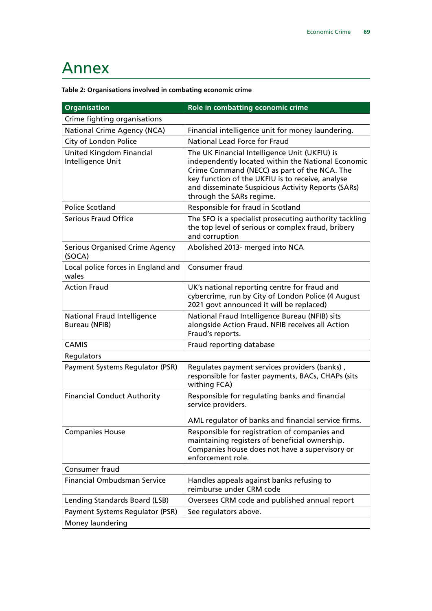# Annex

|  |  | Table 2: Organisations involved in combating economic crime |
|--|--|-------------------------------------------------------------|
|  |  |                                                             |

| <b>Organisation</b>                                 | Role in combatting economic crime                                                                                                                                                                                                                                                         |  |  |  |
|-----------------------------------------------------|-------------------------------------------------------------------------------------------------------------------------------------------------------------------------------------------------------------------------------------------------------------------------------------------|--|--|--|
| Crime fighting organisations                        |                                                                                                                                                                                                                                                                                           |  |  |  |
| National Crime Agency (NCA)                         | Financial intelligence unit for money laundering.                                                                                                                                                                                                                                         |  |  |  |
| City of London Police                               | <b>National Lead Force for Fraud</b>                                                                                                                                                                                                                                                      |  |  |  |
| United Kingdom Financial<br>Intelligence Unit       | The UK Financial Intelligence Unit (UKFIU) is<br>independently located within the National Economic<br>Crime Command (NECC) as part of the NCA. The<br>key function of the UKFIU is to receive, analyse<br>and disseminate Suspicious Activity Reports (SARs)<br>through the SARs regime. |  |  |  |
| <b>Police Scotland</b>                              | Responsible for fraud in Scotland                                                                                                                                                                                                                                                         |  |  |  |
| <b>Serious Fraud Office</b>                         | The SFO is a specialist prosecuting authority tackling<br>the top level of serious or complex fraud, bribery<br>and corruption                                                                                                                                                            |  |  |  |
| <b>Serious Organised Crime Agency</b><br>(SOCA)     | Abolished 2013- merged into NCA                                                                                                                                                                                                                                                           |  |  |  |
| Local police forces in England and<br>wales         | Consumer fraud                                                                                                                                                                                                                                                                            |  |  |  |
| <b>Action Fraud</b>                                 | UK's national reporting centre for fraud and<br>cybercrime, run by City of London Police (4 August<br>2021 govt announced it will be replaced)                                                                                                                                            |  |  |  |
| <b>National Fraud Intelligence</b><br>Bureau (NFIB) | National Fraud Intelligence Bureau (NFIB) sits<br>alongside Action Fraud. NFIB receives all Action<br>Fraud's reports.                                                                                                                                                                    |  |  |  |
| <b>CAMIS</b>                                        | Fraud reporting database                                                                                                                                                                                                                                                                  |  |  |  |
| Regulators                                          |                                                                                                                                                                                                                                                                                           |  |  |  |
| Payment Systems Regulator (PSR)                     | Regulates payment services providers (banks),<br>responsible for faster payments, BACs, CHAPs (sits<br>withing FCA)                                                                                                                                                                       |  |  |  |
| <b>Financial Conduct Authority</b>                  | Responsible for regulating banks and financial<br>service providers.                                                                                                                                                                                                                      |  |  |  |
|                                                     | AML regulator of banks and financial service firms.                                                                                                                                                                                                                                       |  |  |  |
| <b>Companies House</b>                              | Responsible for registration of companies and<br>maintaining registers of beneficial ownership.<br>Companies house does not have a supervisory or<br>enforcement role.                                                                                                                    |  |  |  |
| Consumer fraud                                      |                                                                                                                                                                                                                                                                                           |  |  |  |
| <b>Financial Ombudsman Service</b>                  | Handles appeals against banks refusing to<br>reimburse under CRM code                                                                                                                                                                                                                     |  |  |  |
| Lending Standards Board (LSB)                       | Oversees CRM code and published annual report                                                                                                                                                                                                                                             |  |  |  |
| Payment Systems Regulator (PSR)                     | See regulators above.                                                                                                                                                                                                                                                                     |  |  |  |
| Money laundering                                    |                                                                                                                                                                                                                                                                                           |  |  |  |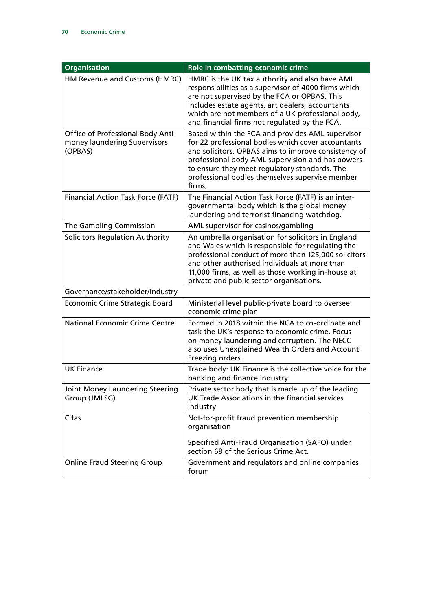| <b>Organisation</b>                                                          | Role in combatting economic crime                                                                                                                                                                                                                                                                                                |  |  |
|------------------------------------------------------------------------------|----------------------------------------------------------------------------------------------------------------------------------------------------------------------------------------------------------------------------------------------------------------------------------------------------------------------------------|--|--|
| HM Revenue and Customs (HMRC)                                                | HMRC is the UK tax authority and also have AML<br>responsibilities as a supervisor of 4000 firms which<br>are not supervised by the FCA or OPBAS. This<br>includes estate agents, art dealers, accountants<br>which are not members of a UK professional body,<br>and financial firms not regulated by the FCA.                  |  |  |
| Office of Professional Body Anti-<br>money laundering Supervisors<br>(OPBAS) | Based within the FCA and provides AML supervisor<br>for 22 professional bodies which cover accountants<br>and solicitors. OPBAS aims to improve consistency of<br>professional body AML supervision and has powers<br>to ensure they meet regulatory standards. The<br>professional bodies themselves supervise member<br>firms, |  |  |
| <b>Financial Action Task Force (FATF)</b>                                    | The Financial Action Task Force (FATF) is an inter-<br>governmental body which is the global money<br>laundering and terrorist financing watchdog.                                                                                                                                                                               |  |  |
| The Gambling Commission                                                      | AML supervisor for casinos/gambling                                                                                                                                                                                                                                                                                              |  |  |
| <b>Solicitors Regulation Authority</b>                                       | An umbrella organisation for solicitors in England<br>and Wales which is responsible for regulating the<br>professional conduct of more than 125,000 solicitors<br>and other authorised individuals at more than<br>11,000 firms, as well as those working in-house at<br>private and public sector organisations.               |  |  |
| Governance/stakeholder/industry                                              |                                                                                                                                                                                                                                                                                                                                  |  |  |
| Economic Crime Strategic Board                                               | Ministerial level public-private board to oversee<br>economic crime plan                                                                                                                                                                                                                                                         |  |  |
| <b>National Economic Crime Centre</b>                                        | Formed in 2018 within the NCA to co-ordinate and<br>task the UK's response to economic crime. Focus<br>on money laundering and corruption. The NECC<br>also uses Unexplained Wealth Orders and Account<br>Freezing orders.                                                                                                       |  |  |
| <b>UK Finance</b>                                                            | Trade body: UK Finance is the collective voice for the<br>banking and finance industry                                                                                                                                                                                                                                           |  |  |
| Joint Money Laundering Steering<br>Group (JMLSG)                             | Private sector body that is made up of the leading<br>UK Trade Associations in the financial services<br>industry                                                                                                                                                                                                                |  |  |
| Cifas                                                                        | Not-for-profit fraud prevention membership<br>organisation<br>Specified Anti-Fraud Organisation (SAFO) under<br>section 68 of the Serious Crime Act.                                                                                                                                                                             |  |  |
| <b>Online Fraud Steering Group</b>                                           | Government and regulators and online companies<br>forum                                                                                                                                                                                                                                                                          |  |  |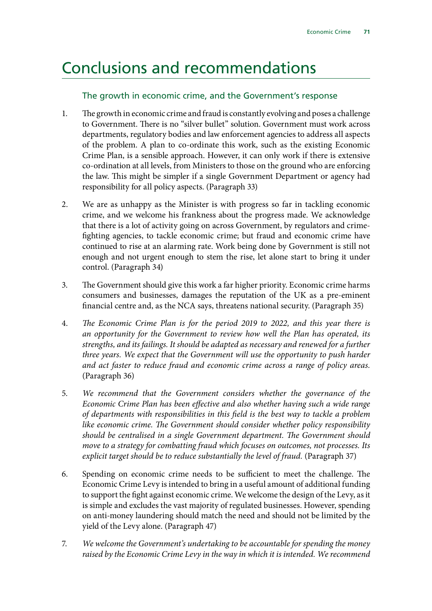## Conclusions and recommendations

### The growth in economic crime, and the Government's response

- 1. The growth in economic crime and fraud is constantly evolving and poses a challenge to Government. There is no "silver bullet" solution. Government must work across departments, regulatory bodies and law enforcement agencies to address all aspects of the problem. A plan to co-ordinate this work, such as the existing Economic Crime Plan, is a sensible approach. However, it can only work if there is extensive co-ordination at all levels, from Ministers to those on the ground who are enforcing the law. This might be simpler if a single Government Department or agency had responsibility for all policy aspects. (Paragraph 33)
- 2. We are as unhappy as the Minister is with progress so far in tackling economic crime, and we welcome his frankness about the progress made. We acknowledge that there is a lot of activity going on across Government, by regulators and crimefighting agencies, to tackle economic crime; but fraud and economic crime have continued to rise at an alarming rate. Work being done by Government is still not enough and not urgent enough to stem the rise, let alone start to bring it under control. (Paragraph 34)
- 3. The Government should give this work a far higher priority. Economic crime harms consumers and businesses, damages the reputation of the UK as a pre-eminent financial centre and, as the NCA says, threatens national security. (Paragraph 35)
- 4. *The Economic Crime Plan is for the period 2019 to 2022, and this year there is an opportunity for the Government to review how well the Plan has operated, its strengths, and its failings. It should be adapted as necessary and renewed for a further three years. We expect that the Government will use the opportunity to push harder and act faster to reduce fraud and economic crime across a range of policy areas.* (Paragraph 36)
- 5. *We recommend that the Government considers whether the governance of the Economic Crime Plan has been effective and also whether having such a wide range of departments with responsibilities in this field is the best way to tackle a problem like economic crime. The Government should consider whether policy responsibility should be centralised in a single Government department. The Government should move to a strategy for combatting fraud which focuses on outcomes, not processes. Its explicit target should be to reduce substantially the level of fraud.* (Paragraph 37)
- 6. Spending on economic crime needs to be sufficient to meet the challenge. The Economic Crime Levy is intended to bring in a useful amount of additional funding to support the fight against economic crime. We welcome the design of the Levy, as it is simple and excludes the vast majority of regulated businesses. However, spending on anti-money laundering should match the need and should not be limited by the yield of the Levy alone. (Paragraph 47)
- 7. *We welcome the Government's undertaking to be accountable for spending the money raised by the Economic Crime Levy in the way in which it is intended. We recommend*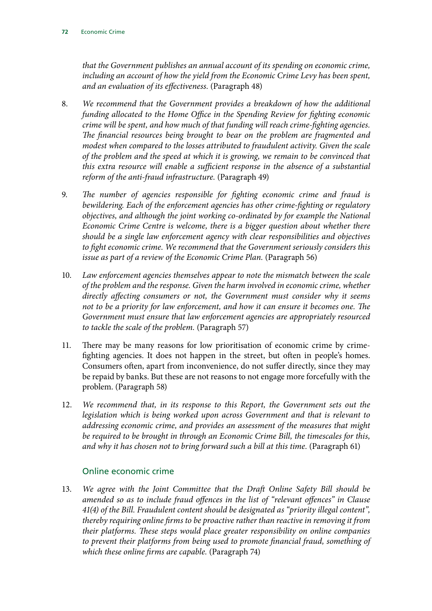*that the Government publishes an annual account of its spending on economic crime, including an account of how the yield from the Economic Crime Levy has been spent, and an evaluation of its effectiveness.* (Paragraph 48)

- 8. *We recommend that the Government provides a breakdown of how the additional funding allocated to the Home Office in the Spending Review for fighting economic crime will be spent, and how much of that funding will reach crime-fighting agencies. The financial resources being brought to bear on the problem are fragmented and modest when compared to the losses attributed to fraudulent activity. Given the scale of the problem and the speed at which it is growing, we remain to be convinced that this extra resource will enable a sufficient response in the absence of a substantial reform of the anti-fraud infrastructure.* (Paragraph 49)
- 9. *The number of agencies responsible for fighting economic crime and fraud is bewildering. Each of the enforcement agencies has other crime-fighting or regulatory objectives, and although the joint working co-ordinated by for example the National Economic Crime Centre is welcome, there is a bigger question about whether there should be a single law enforcement agency with clear responsibilities and objectives to fight economic crime. We recommend that the Government seriously considers this issue as part of a review of the Economic Crime Plan.* (Paragraph 56)
- 10. *Law enforcement agencies themselves appear to note the mismatch between the scale of the problem and the response. Given the harm involved in economic crime, whether directly affecting consumers or not, the Government must consider why it seems not to be a priority for law enforcement, and how it can ensure it becomes one. The Government must ensure that law enforcement agencies are appropriately resourced to tackle the scale of the problem.* (Paragraph 57)
- 11. There may be many reasons for low prioritisation of economic crime by crimefighting agencies. It does not happen in the street, but often in people's homes. Consumers often, apart from inconvenience, do not suffer directly, since they may be repaid by banks. But these are not reasons to not engage more forcefully with the problem. (Paragraph 58)
- 12. *We recommend that, in its response to this Report, the Government sets out the legislation which is being worked upon across Government and that is relevant to addressing economic crime, and provides an assessment of the measures that might be required to be brought in through an Economic Crime Bill, the timescales for this, and why it has chosen not to bring forward such a bill at this time.* (Paragraph 61)

## Online economic crime

13. *We agree with the Joint Committee that the Draft Online Safety Bill should be amended so as to include fraud offences in the list of "relevant offences" in Clause 41(4) of the Bill. Fraudulent content should be designated as "priority illegal content", thereby requiring online firms to be proactive rather than reactive in removing it from their platforms. These steps would place greater responsibility on online companies to prevent their platforms from being used to promote financial fraud, something of which these online firms are capable.* (Paragraph 74)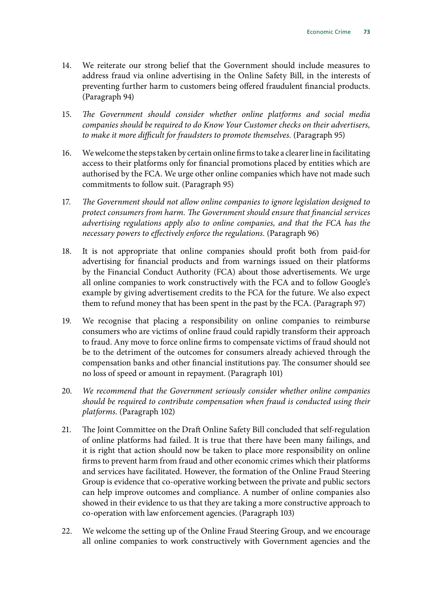- 14. We reiterate our strong belief that the Government should include measures to address fraud via online advertising in the Online Safety Bill, in the interests of preventing further harm to customers being offered fraudulent financial products. (Paragraph 94)
- 15. *The Government should consider whether online platforms and social media companies should be required to do Know Your Customer checks on their advertisers, to make it more difficult for fraudsters to promote themselves.* (Paragraph 95)
- 16. We welcome the steps taken by certain online firms to take a clearer line in facilitating access to their platforms only for financial promotions placed by entities which are authorised by the FCA. We urge other online companies which have not made such commitments to follow suit. (Paragraph 95)
- 17. *The Government should not allow online companies to ignore legislation designed to protect consumers from harm. The Government should ensure that financial services advertising regulations apply also to online companies, and that the FCA has the necessary powers to effectively enforce the regulations.* (Paragraph 96)
- 18. It is not appropriate that online companies should profit both from paid-for advertising for financial products and from warnings issued on their platforms by the Financial Conduct Authority (FCA) about those advertisements. We urge all online companies to work constructively with the FCA and to follow Google's example by giving advertisement credits to the FCA for the future. We also expect them to refund money that has been spent in the past by the FCA. (Paragraph 97)
- 19. We recognise that placing a responsibility on online companies to reimburse consumers who are victims of online fraud could rapidly transform their approach to fraud. Any move to force online firms to compensate victims of fraud should not be to the detriment of the outcomes for consumers already achieved through the compensation banks and other financial institutions pay. The consumer should see no loss of speed or amount in repayment. (Paragraph 101)
- 20. *We recommend that the Government seriously consider whether online companies should be required to contribute compensation when fraud is conducted using their platforms.* (Paragraph 102)
- 21. The Joint Committee on the Draft Online Safety Bill concluded that self-regulation of online platforms had failed. It is true that there have been many failings, and it is right that action should now be taken to place more responsibility on online firms to prevent harm from fraud and other economic crimes which their platforms and services have facilitated. However, the formation of the Online Fraud Steering Group is evidence that co-operative working between the private and public sectors can help improve outcomes and compliance. A number of online companies also showed in their evidence to us that they are taking a more constructive approach to co-operation with law enforcement agencies. (Paragraph 103)
- 22. We welcome the setting up of the Online Fraud Steering Group, and we encourage all online companies to work constructively with Government agencies and the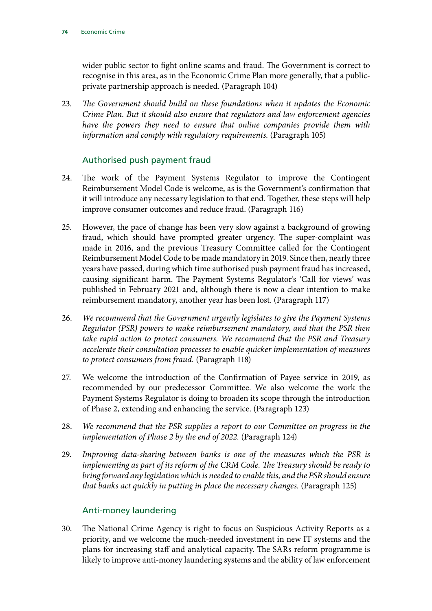wider public sector to fight online scams and fraud. The Government is correct to recognise in this area, as in the Economic Crime Plan more generally, that a publicprivate partnership approach is needed. (Paragraph 104)

23. *The Government should build on these foundations when it updates the Economic Crime Plan. But it should also ensure that regulators and law enforcement agencies have the powers they need to ensure that online companies provide them with information and comply with regulatory requirements.* (Paragraph 105)

### Authorised push payment fraud

- 24. The work of the Payment Systems Regulator to improve the Contingent Reimbursement Model Code is welcome, as is the Government's confirmation that it will introduce any necessary legislation to that end. Together, these steps will help improve consumer outcomes and reduce fraud. (Paragraph 116)
- 25. However, the pace of change has been very slow against a background of growing fraud, which should have prompted greater urgency. The super-complaint was made in 2016, and the previous Treasury Committee called for the Contingent Reimbursement Model Code to be made mandatory in 2019. Since then, nearly three years have passed, during which time authorised push payment fraud has increased, causing significant harm. The Payment Systems Regulator's 'Call for views' was published in February 2021 and, although there is now a clear intention to make reimbursement mandatory, another year has been lost. (Paragraph 117)
- 26. *We recommend that the Government urgently legislates to give the Payment Systems Regulator (PSR) powers to make reimbursement mandatory, and that the PSR then take rapid action to protect consumers. We recommend that the PSR and Treasury accelerate their consultation processes to enable quicker implementation of measures to protect consumers from fraud.* (Paragraph 118)
- 27. We welcome the introduction of the Confirmation of Payee service in 2019, as recommended by our predecessor Committee. We also welcome the work the Payment Systems Regulator is doing to broaden its scope through the introduction of Phase 2, extending and enhancing the service. (Paragraph 123)
- 28. *We recommend that the PSR supplies a report to our Committee on progress in the implementation of Phase 2 by the end of 2022.* (Paragraph 124)
- 29. *Improving data-sharing between banks is one of the measures which the PSR is implementing as part of its reform of the CRM Code. The Treasury should be ready to bring forward any legislation which is needed to enable this, and the PSR should ensure that banks act quickly in putting in place the necessary changes.* (Paragraph 125)

#### Anti-money laundering

30. The National Crime Agency is right to focus on Suspicious Activity Reports as a priority, and we welcome the much-needed investment in new IT systems and the plans for increasing staff and analytical capacity. The SARs reform programme is likely to improve anti-money laundering systems and the ability of law enforcement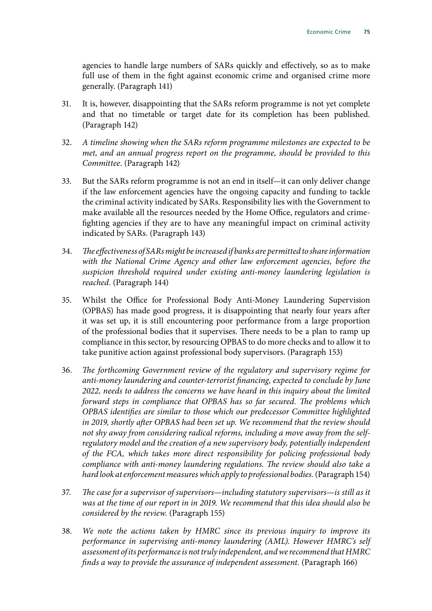agencies to handle large numbers of SARs quickly and effectively, so as to make full use of them in the fight against economic crime and organised crime more generally. (Paragraph 141)

- 31. It is, however, disappointing that the SARs reform programme is not yet complete and that no timetable or target date for its completion has been published. (Paragraph 142)
- 32. *A timeline showing when the SARs reform programme milestones are expected to be met, and an annual progress report on the programme, should be provided to this Committee.* (Paragraph 142)
- 33. But the SARs reform programme is not an end in itself—it can only deliver change if the law enforcement agencies have the ongoing capacity and funding to tackle the criminal activity indicated by SARs. Responsibility lies with the Government to make available all the resources needed by the Home Office, regulators and crimefighting agencies if they are to have any meaningful impact on criminal activity indicated by SARs. (Paragraph 143)
- 34. *The effectiveness of SARs might be increased if banks are permitted to share information with the National Crime Agency and other law enforcement agencies, before the suspicion threshold required under existing anti-money laundering legislation is reached.* (Paragraph 144)
- 35. Whilst the Office for Professional Body Anti-Money Laundering Supervision (OPBAS) has made good progress, it is disappointing that nearly four years after it was set up, it is still encountering poor performance from a large proportion of the professional bodies that it supervises. There needs to be a plan to ramp up compliance in this sector, by resourcing OPBAS to do more checks and to allow it to take punitive action against professional body supervisors. (Paragraph 153)
- 36. *The forthcoming Government review of the regulatory and supervisory regime for anti-money laundering and counter-terrorist financing, expected to conclude by June 2022, needs to address the concerns we have heard in this inquiry about the limited forward steps in compliance that OPBAS has so far secured. The problems which OPBAS identifies are similar to those which our predecessor Committee highlighted in 2019, shortly after OPBAS had been set up. We recommend that the review should not shy away from considering radical reforms, including a move away from the selfregulatory model and the creation of a new supervisory body, potentially independent of the FCA, which takes more direct responsibility for policing professional body compliance with anti-money laundering regulations. The review should also take a hard look at enforcement measures which apply to professional bodies.* (Paragraph 154)
- 37. *The case for a supervisor of supervisors—including statutory supervisors—is still as it was at the time of our report in in 2019. We recommend that this idea should also be considered by the review.* (Paragraph 155)
- 38. *We note the actions taken by HMRC since its previous inquiry to improve its performance in supervising anti-money laundering (AML). However HMRC's self assessment of its performance is not truly independent, and we recommend that HMRC finds a way to provide the assurance of independent assessment.* (Paragraph 166)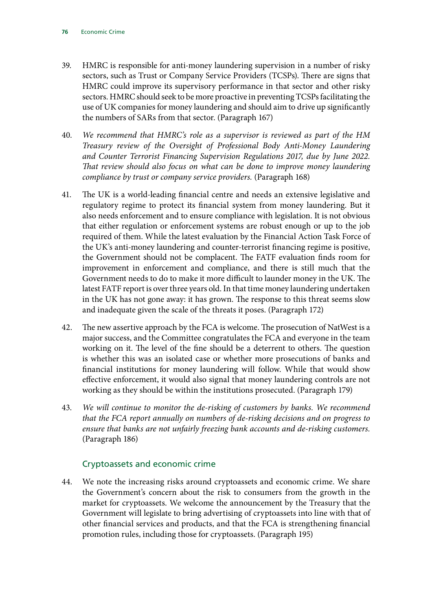- 39. HMRC is responsible for anti-money laundering supervision in a number of risky sectors, such as Trust or Company Service Providers (TCSPs). There are signs that HMRC could improve its supervisory performance in that sector and other risky sectors. HMRC should seek to be more proactive in preventing TCSPs facilitating the use of UK companies for money laundering and should aim to drive up significantly the numbers of SARs from that sector. (Paragraph 167)
- 40. *We recommend that HMRC's role as a supervisor is reviewed as part of the HM Treasury review of the Oversight of Professional Body Anti-Money Laundering and Counter Terrorist Financing Supervision Regulations 2017, due by June 2022. That review should also focus on what can be done to improve money laundering compliance by trust or company service providers.* (Paragraph 168)
- 41. The UK is a world-leading financial centre and needs an extensive legislative and regulatory regime to protect its financial system from money laundering. But it also needs enforcement and to ensure compliance with legislation. It is not obvious that either regulation or enforcement systems are robust enough or up to the job required of them. While the latest evaluation by the Financial Action Task Force of the UK's anti-money laundering and counter-terrorist financing regime is positive, the Government should not be complacent. The FATF evaluation finds room for improvement in enforcement and compliance, and there is still much that the Government needs to do to make it more difficult to launder money in the UK. The latest FATF report is over three years old. In that time money laundering undertaken in the UK has not gone away: it has grown. The response to this threat seems slow and inadequate given the scale of the threats it poses. (Paragraph 172)
- 42. The new assertive approach by the FCA is welcome. The prosecution of NatWest is a major success, and the Committee congratulates the FCA and everyone in the team working on it. The level of the fine should be a deterrent to others. The question is whether this was an isolated case or whether more prosecutions of banks and financial institutions for money laundering will follow. While that would show effective enforcement, it would also signal that money laundering controls are not working as they should be within the institutions prosecuted. (Paragraph 179)
- 43. *We will continue to monitor the de-risking of customers by banks. We recommend that the FCA report annually on numbers of de-risking decisions and on progress to ensure that banks are not unfairly freezing bank accounts and de-risking customers.*  (Paragraph 186)

### Cryptoassets and economic crime

44. We note the increasing risks around cryptoassets and economic crime. We share the Government's concern about the risk to consumers from the growth in the market for cryptoassets. We welcome the announcement by the Treasury that the Government will legislate to bring advertising of cryptoassets into line with that of other financial services and products, and that the FCA is strengthening financial promotion rules, including those for cryptoassets. (Paragraph 195)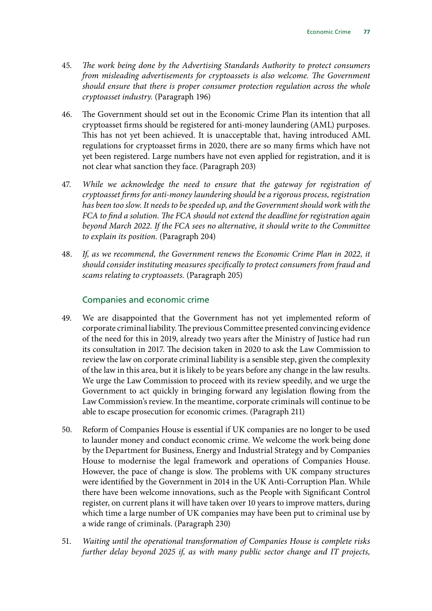- 45. *The work being done by the Advertising Standards Authority to protect consumers from misleading advertisements for cryptoassets is also welcome. The Government should ensure that there is proper consumer protection regulation across the whole cryptoasset industry.* (Paragraph 196)
- 46. The Government should set out in the Economic Crime Plan its intention that all cryptoasset firms should be registered for anti-money laundering (AML) purposes. This has not yet been achieved. It is unacceptable that, having introduced AML regulations for cryptoasset firms in 2020, there are so many firms which have not yet been registered. Large numbers have not even applied for registration, and it is not clear what sanction they face. (Paragraph 203)
- 47. *While we acknowledge the need to ensure that the gateway for registration of cryptoasset firms for anti-money laundering should be a rigorous process, registration has been too slow. It needs to be speeded up, and the Government should work with the FCA to find a solution. The FCA should not extend the deadline for registration again beyond March 2022. If the FCA sees no alternative, it should write to the Committee to explain its position.* (Paragraph 204)
- 48. *If, as we recommend, the Government renews the Economic Crime Plan in 2022, it should consider instituting measures specifically to protect consumers from fraud and scams relating to cryptoassets.* (Paragraph 205)

### Companies and economic crime

- 49. We are disappointed that the Government has not yet implemented reform of corporate criminal liability. The previous Committee presented convincing evidence of the need for this in 2019, already two years after the Ministry of Justice had run its consultation in 2017. The decision taken in 2020 to ask the Law Commission to review the law on corporate criminal liability is a sensible step, given the complexity of the law in this area, but it is likely to be years before any change in the law results. We urge the Law Commission to proceed with its review speedily, and we urge the Government to act quickly in bringing forward any legislation flowing from the Law Commission's review. In the meantime, corporate criminals will continue to be able to escape prosecution for economic crimes. (Paragraph 211)
- 50. Reform of Companies House is essential if UK companies are no longer to be used to launder money and conduct economic crime. We welcome the work being done by the Department for Business, Energy and Industrial Strategy and by Companies House to modernise the legal framework and operations of Companies House. However, the pace of change is slow. The problems with UK company structures were identified by the Government in 2014 in the UK Anti-Corruption Plan. While there have been welcome innovations, such as the People with Significant Control register, on current plans it will have taken over 10 years to improve matters, during which time a large number of UK companies may have been put to criminal use by a wide range of criminals. (Paragraph 230)
- 51. *Waiting until the operational transformation of Companies House is complete risks further delay beyond 2025 if, as with many public sector change and IT projects,*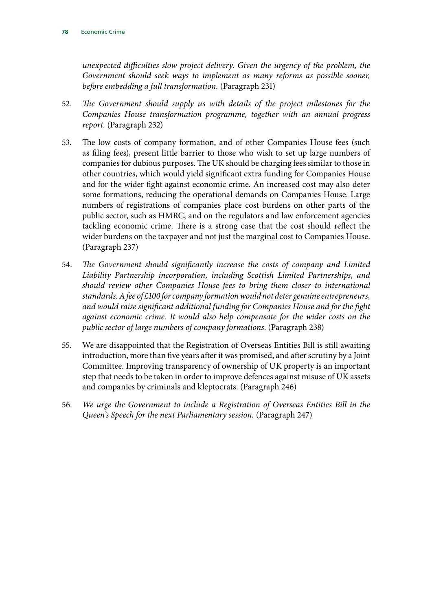*unexpected difficulties slow project delivery. Given the urgency of the problem, the Government should seek ways to implement as many reforms as possible sooner, before embedding a full transformation.* (Paragraph 231)

- 52. *The Government should supply us with details of the project milestones for the Companies House transformation programme, together with an annual progress report.* (Paragraph 232)
- 53. The low costs of company formation, and of other Companies House fees (such as filing fees), present little barrier to those who wish to set up large numbers of companies for dubious purposes. The UK should be charging fees similar to those in other countries, which would yield significant extra funding for Companies House and for the wider fight against economic crime. An increased cost may also deter some formations, reducing the operational demands on Companies House. Large numbers of registrations of companies place cost burdens on other parts of the public sector, such as HMRC, and on the regulators and law enforcement agencies tackling economic crime. There is a strong case that the cost should reflect the wider burdens on the taxpayer and not just the marginal cost to Companies House. (Paragraph 237)
- 54. *The Government should significantly increase the costs of company and Limited Liability Partnership incorporation, including Scottish Limited Partnerships, and should review other Companies House fees to bring them closer to international standards. A fee of £100 for company formation would not deter genuine entrepreneurs, and would raise significant additional funding for Companies House and for the fight against economic crime. It would also help compensate for the wider costs on the public sector of large numbers of company formations*. (Paragraph 238)
- 55. We are disappointed that the Registration of Overseas Entities Bill is still awaiting introduction, more than five years after it was promised, and after scrutiny by a Joint Committee. Improving transparency of ownership of UK property is an important step that needs to be taken in order to improve defences against misuse of UK assets and companies by criminals and kleptocrats. (Paragraph 246)
- 56. *We urge the Government to include a Registration of Overseas Entities Bill in the Queen's Speech for the next Parliamentary session.* (Paragraph 247)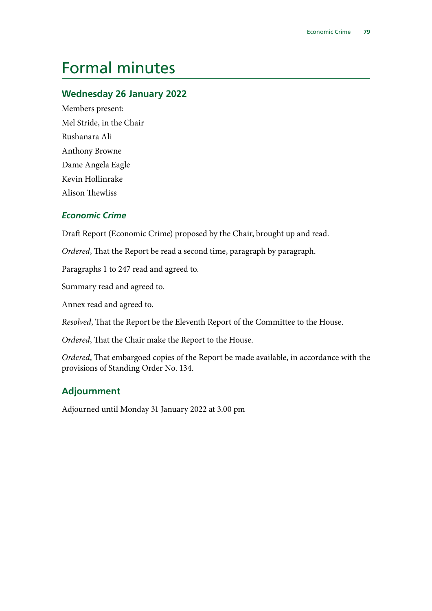## Formal minutes

## **Wednesday 26 January 2022**

Members present: Mel Stride, in the Chair Rushanara Ali Anthony Browne Dame Angela Eagle Kevin Hollinrake Alison Thewliss

### *Economic Crime*

Draft Report (Economic Crime) proposed by the Chair, brought up and read.

*Ordered*, That the Report be read a second time, paragraph by paragraph.

Paragraphs 1 to 247 read and agreed to.

Summary read and agreed to.

Annex read and agreed to.

*Resolved*, That the Report be the Eleventh Report of the Committee to the House.

*Ordered*, That the Chair make the Report to the House.

*Ordered*, That embargoed copies of the Report be made available, in accordance with the provisions of Standing Order No. 134.

### **Adjournment**

Adjourned until Monday 31 January 2022 at 3.00 pm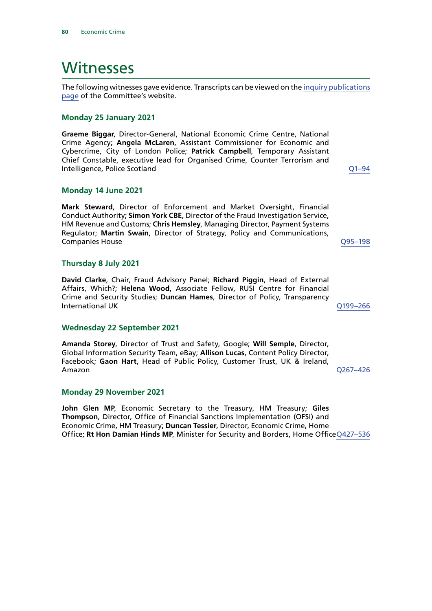## Witnesses

The following witnesses gave evidence. Transcripts can be viewed on the [inquiry publications](https://committees.parliament.uk/work/726/default/publications/oral-evidence/) [page](https://committees.parliament.uk/work/726/default/publications/oral-evidence/) of the Committee's website.

#### **Monday 25 January 2021**

**Graeme Biggar**, Director-General, National Economic Crime Centre, National Crime Agency; **Angela McLaren**, Assistant Commissioner for Economic and Cybercrime, City of London Police; **Patrick Campbell**, Temporary Assistant Chief Constable, executive lead for Organised Crime, Counter Terrorism and Intelligence, Police Scotland [Q1–94](https://committees.parliament.uk/oralevidence/1571/html/)

#### **Monday 14 June 2021**

**Mark Steward**, Director of Enforcement and Market Oversight, Financial Conduct Authority; **Simon York CBE**, Director of the Fraud Investigation Service, HM Revenue and Customs; **Chris Hemsley**, Managing Director, Payment Systems Regulator; **Martin Swain**, Director of Strategy, Policy and Communications, Companies House [Q95–198](https://committees.parliament.uk/oralevidence/2349/html/)

#### **Thursday 8 July 2021**

**David Clarke**, Chair, Fraud Advisory Panel; **Richard Piggin**, Head of External Affairs, Which?; **Helena Wood**, Associate Fellow, RUSI Centre for Financial Crime and Security Studies; **Duncan Hames**, Director of Policy, Transparency International UK [Q199–266](https://committees.parliament.uk/oralevidence/2532/html/)

#### **Wednesday 22 September 2021**

**Amanda Storey**, Director of Trust and Safety, Google; **Will Semple**, Director, Global Information Security Team, eBay; **Allison Lucas**, Content Policy Director, Facebook; **Gaon Hart**, Head of Public Policy, Customer Trust, UK & Ireland, Amazon [Q267–426](https://committees.parliament.uk/oralevidence/2779/html/)

#### **Monday 29 November 2021**

**John Glen MP**, Economic Secretary to the Treasury, HM Treasury; **Giles Thompson**, Director, Office of Financial Sanctions Implementation (OFSI) and Economic Crime, HM Treasury; **Duncan Tessier**, Director, Economic Crime, Home Office; **Rt Hon Damian Hinds MP**, Minister for Security and Borders, Home Office[Q427–536](https://committees.parliament.uk/oralevidence/3088/html/)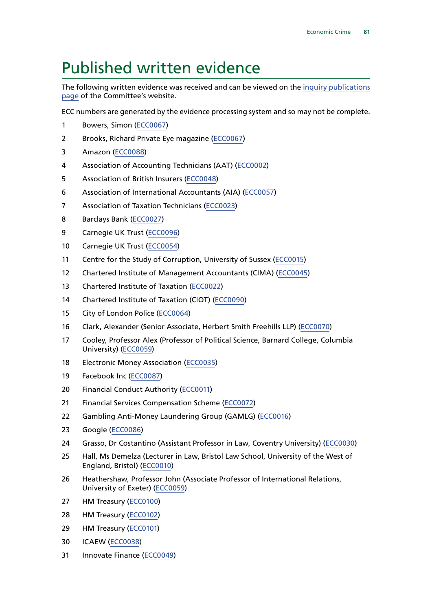## Published written evidence

The following written evidence was received and can be viewed on the [inquiry publications](https://committees.parliament.uk/work/726/default/publications/written-evidence/) [page](https://committees.parliament.uk/work/726/default/publications/written-evidence/) of the Committee's website.

ECC numbers are generated by the evidence processing system and so may not be complete.

- Bowers, Simon [\(ECC0067\)](https://committees.parliament.uk/writtenevidence/18567/html/)
- Brooks, Richard Private Eye magazine [\(ECC0067\)](https://committees.parliament.uk/writtenevidence/18567/html/)
- Amazon [\(ECC0088\)](https://committees.parliament.uk/writtenevidence/40335/html/)
- Association of Accounting Technicians (AAT) [\(ECC0002](https://committees.parliament.uk/writtenevidence/14978/html/))
- Association of British Insurers [\(ECC0048\)](https://committees.parliament.uk/writtenevidence/18367/html/)
- Association of International Accountants (AIA) ([ECC0057\)](https://committees.parliament.uk/writtenevidence/18506/html/)
- Association of Taxation Technicians [\(ECC0023\)](https://committees.parliament.uk/writtenevidence/17433/html/)
- Barclays Bank ([ECC0027\)](https://committees.parliament.uk/writtenevidence/17556/html/)
- Carnegie UK Trust [\(ECC0096\)](https://committees.parliament.uk/writtenevidence/41361/html/)
- Carnegie UK Trust [\(ECC0054](https://committees.parliament.uk/writtenevidence/18496/html/))
- Centre for the Study of Corruption, University of Sussex [\(ECC0015\)](https://committees.parliament.uk/writtenevidence/17333/html/)
- Chartered Institute of Management Accountants (CIMA) ([ECC0045](https://committees.parliament.uk/writtenevidence/18255/html/))
- Chartered Institute of Taxation [\(ECC0022](https://committees.parliament.uk/writtenevidence/17428/html/))
- Chartered Institute of Taxation (CIOT) [\(ECC0090\)](https://committees.parliament.uk/writtenevidence/40861/default/)
- City of London Police ([ECC0064](https://committees.parliament.uk/writtenevidence/18563/html/))
- Clark, Alexander (Senior Associate, Herbert Smith Freehills LLP) [\(ECC0070](https://committees.parliament.uk/writtenevidence/18650/html/))
- Cooley, Professor Alex (Professor of Political Science, Barnard College, Columbia University) [\(ECC0059](https://committees.parliament.uk/writtenevidence/18542/html/))
- Electronic Money Association ([ECC0035\)](https://committees.parliament.uk/writtenevidence/17652/html/)
- Facebook Inc [\(ECC0087\)](https://committees.parliament.uk/writtenevidence/40334/default/)
- Financial Conduct Authority ([ECC0011](https://committees.parliament.uk/writtenevidence/17016/html/))
- Financial Services Compensation Scheme [\(ECC0072](https://committees.parliament.uk/writtenevidence/19108/html/))
- Gambling Anti-Money Laundering Group (GAMLG) [\(ECC0016\)](https://committees.parliament.uk/writtenevidence/17344/html/)
- Google ([ECC0086](https://committees.parliament.uk/writtenevidence/40330/html/))
- Grasso, Dr Costantino (Assistant Professor in Law, Coventry University) ([ECC0030\)](https://committees.parliament.uk/writtenevidence/17591/html/)
- Hall, Ms Demelza (Lecturer in Law, Bristol Law School, University of the West of England, Bristol) [\(ECC0010](https://committees.parliament.uk/writtenevidence/16989/html/))
- Heathershaw, Professor John (Associate Professor of International Relations, University of Exeter) ([ECC0059](https://committees.parliament.uk/writtenevidence/18542/html/))
- HM Treasury [\(ECC0100\)](https://committees.parliament.uk/writtenevidence/42174/html/)
- HM Treasury [\(ECC0102](https://committees.parliament.uk/writtenevidence/42219/html/))
- HM Treasury [\(ECC0101\)](https://committees.parliament.uk/writtenevidence/42218/html/)
- ICAEW [\(ECC0038](https://committees.parliament.uk/writtenevidence/17702/html/))
- Innovate Finance ([ECC0049](https://committees.parliament.uk/writtenevidence/18405/html/))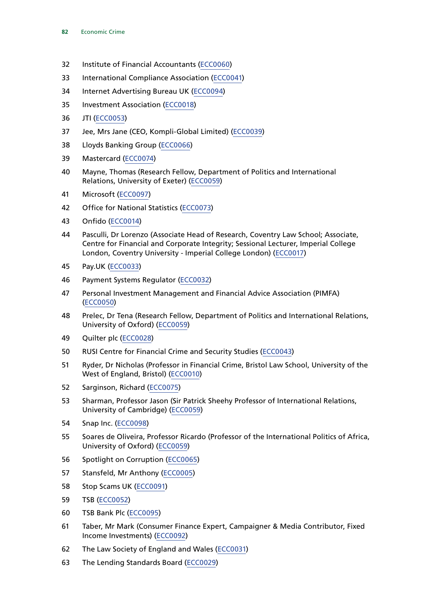- Institute of Financial Accountants [\(ECC0060\)](https://committees.parliament.uk/writtenevidence/18548/html/)
- International Compliance Association [\(ECC0041\)](https://committees.parliament.uk/writtenevidence/17745/html/)
- Internet Advertising Bureau UK ([ECC0094](https://committees.parliament.uk/writtenevidence/41146/html/))
- Investment Association ([ECC0018](https://committees.parliament.uk/writtenevidence/17360/html/))
- JTI ([ECC0053\)](https://committees.parliament.uk/writtenevidence/18469/html/)
- Jee, Mrs Jane (CEO, Kompli-Global Limited) [\(ECC0039](https://committees.parliament.uk/writtenevidence/17708/html/))
- Lloyds Banking Group ([ECC0066](https://committees.parliament.uk/writtenevidence/18565/html/))
- Mastercard [\(ECC0074\)](https://committees.parliament.uk/writtenevidence/19133/html/)
- Mayne, Thomas (Research Fellow, Department of Politics and International Relations, University of Exeter) [\(ECC0059](https://committees.parliament.uk/writtenevidence/18542/html/))
- Microsoft [\(ECC0097\)](https://committees.parliament.uk/writtenevidence/41362/html/)
- Office for National Statistics [\(ECC0073\)](https://committees.parliament.uk/writtenevidence/19131/html/)
- Onfido [\(ECC0014\)](https://committees.parliament.uk/writtenevidence/17319/html/)
- Pasculli, Dr Lorenzo (Associate Head of Research, Coventry Law School; Associate, Centre for Financial and Corporate Integrity; Sessional Lecturer, Imperial College London, Coventry University - Imperial College London) ([ECC0017\)](https://committees.parliament.uk/writtenevidence/17346/html/)
- Pay.UK ([ECC0033](https://committees.parliament.uk/writtenevidence/17611/html/))
- Payment Systems Regulator [\(ECC0032](https://committees.parliament.uk/writtenevidence/17605/html/))
- Personal Investment Management and Financial Advice Association (PIMFA) ([ECC0050\)](https://committees.parliament.uk/writtenevidence/18433/html/)
- Prelec, Dr Tena (Research Fellow, Department of Politics and International Relations, University of Oxford) [\(ECC0059](https://committees.parliament.uk/writtenevidence/18542/html/))
- Quilter plc [\(ECC0028\)](https://committees.parliament.uk/writtenevidence/17567/html/)
- RUSI Centre for Financial Crime and Security Studies ([ECC0043](https://committees.parliament.uk/writtenevidence/18204/html/))
- Ryder, Dr Nicholas (Professor in Financial Crime, Bristol Law School, University of the West of England, Bristol) [\(ECC0010](https://committees.parliament.uk/writtenevidence/16989/html/))
- Sarginson, Richard [\(ECC0075\)](https://committees.parliament.uk/writtenevidence/19318/html/)
- Sharman, Professor Jason (Sir Patrick Sheehy Professor of International Relations, University of Cambridge) [\(ECC0059](https://committees.parliament.uk/writtenevidence/18542/html/))
- Snap Inc. [\(ECC0098\)](https://committees.parliament.uk/writtenevidence/41363/html/)
- Soares de Oliveira, Professor Ricardo (Professor of the International Politics of Africa, University of Oxford) [\(ECC0059](https://committees.parliament.uk/writtenevidence/18542/html/))
- Spotlight on Corruption [\(ECC0065\)](https://committees.parliament.uk/writtenevidence/18564/html/)
- Stansfeld, Mr Anthony [\(ECC0005\)](https://committees.parliament.uk/writtenevidence/16170/html/)
- Stop Scams UK [\(ECC0091\)](https://committees.parliament.uk/writtenevidence/40862/default/)
- TSB [\(ECC0052](https://committees.parliament.uk/writtenevidence/18464/html/))
- TSB Bank Plc [\(ECC0095](https://committees.parliament.uk/writtenevidence/41292/html/))
- Taber, Mr Mark (Consumer Finance Expert, Campaigner & Media Contributor, Fixed Income Investments) ([ECC0092\)](https://committees.parliament.uk/writtenevidence/40863/default/)
- The Law Society of England and Wales ([ECC0031](https://committees.parliament.uk/writtenevidence/17603/html/))
- The Lending Standards Board [\(ECC0029](https://committees.parliament.uk/writtenevidence/17583/html/))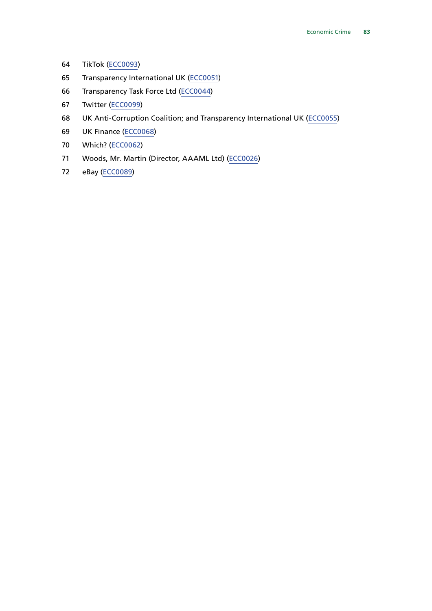- TikTok ([ECC0093\)](https://committees.parliament.uk/writtenevidence/41144/html/)
- Transparency International UK ([ECC0051\)](https://committees.parliament.uk/writtenevidence/18442/html/)
- Transparency Task Force Ltd [\(ECC0044](https://committees.parliament.uk/writtenevidence/18250/html/))
- Twitter [\(ECC0099](https://committees.parliament.uk/writtenevidence/41722/html/))
- UK Anti-Corruption Coalition; and Transparency International UK ([ECC0055\)](https://committees.parliament.uk/writtenevidence/18497/html/)
- UK Finance ([ECC0068](https://committees.parliament.uk/writtenevidence/18646/html/))
- Which? [\(ECC0062\)](https://committees.parliament.uk/writtenevidence/18554/html/)
- Woods, Mr. Martin (Director, AAAML Ltd) ([ECC0026\)](https://committees.parliament.uk/writtenevidence/17486/html/)
- eBay ([ECC0089](https://committees.parliament.uk/writtenevidence/40336/html/))